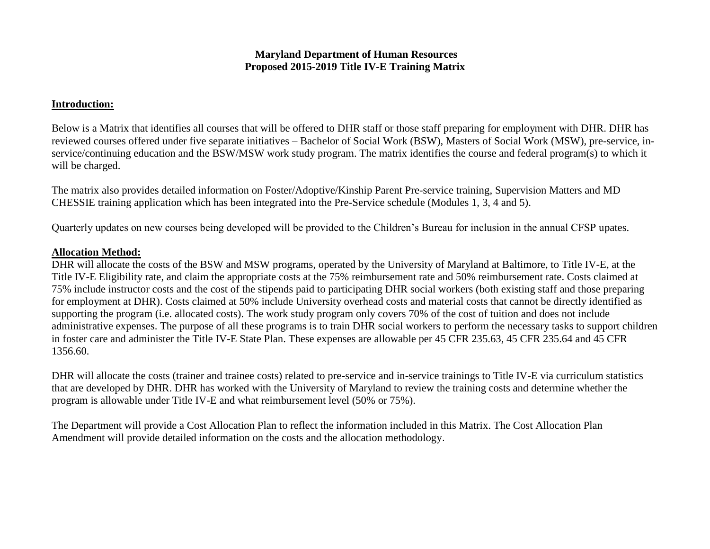## **Maryland Department of Human Resources Proposed 2015-2019 Title IV-E Training Matrix**

## **Introduction:**

Below is a Matrix that identifies all courses that will be offered to DHR staff or those staff preparing for employment with DHR. DHR has reviewed courses offered under five separate initiatives – Bachelor of Social Work (BSW), Masters of Social Work (MSW), pre-service, inservice/continuing education and the BSW/MSW work study program. The matrix identifies the course and federal program(s) to which it will be charged.

The matrix also provides detailed information on Foster/Adoptive/Kinship Parent Pre-service training, Supervision Matters and MD CHESSIE training application which has been integrated into the Pre-Service schedule (Modules 1, 3, 4 and 5).

Quarterly updates on new courses being developed will be provided to the Children's Bureau for inclusion in the annual CFSP upates.

## **Allocation Method:**

DHR will allocate the costs of the BSW and MSW programs, operated by the University of Maryland at Baltimore, to Title IV-E, at the Title IV-E Eligibility rate, and claim the appropriate costs at the 75% reimbursement rate and 50% reimbursement rate. Costs claimed at 75% include instructor costs and the cost of the stipends paid to participating DHR social workers (both existing staff and those preparing for employment at DHR). Costs claimed at 50% include University overhead costs and material costs that cannot be directly identified as supporting the program (i.e. allocated costs). The work study program only covers 70% of the cost of tuition and does not include administrative expenses. The purpose of all these programs is to train DHR social workers to perform the necessary tasks to support children in foster care and administer the Title IV-E State Plan. These expenses are allowable per 45 CFR 235.63, 45 CFR 235.64 and 45 CFR 1356.60.

DHR will allocate the costs (trainer and trainee costs) related to pre-service and in-service trainings to Title IV-E via curriculum statistics that are developed by DHR. DHR has worked with the University of Maryland to review the training costs and determine whether the program is allowable under Title IV-E and what reimbursement level (50% or 75%).

The Department will provide a Cost Allocation Plan to reflect the information included in this Matrix. The Cost Allocation Plan Amendment will provide detailed information on the costs and the allocation methodology.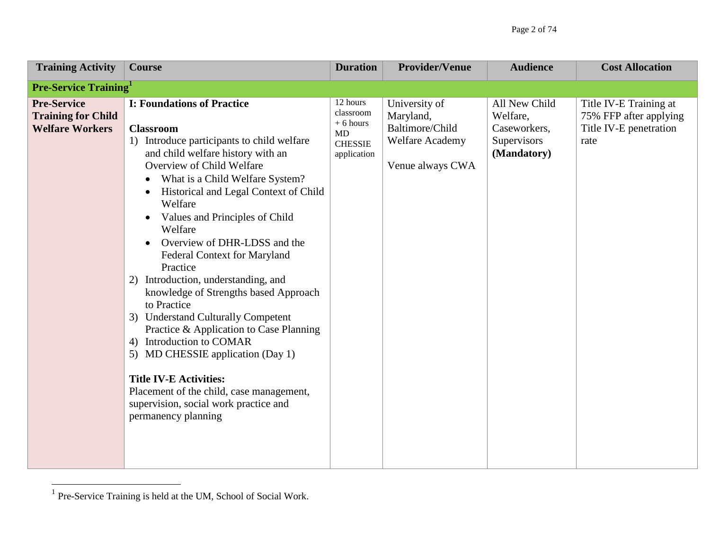| <b>Training Activity</b>                                                  | <b>Course</b>                                                                                                                                                                                                                                                                                                                                                                                                                                                                                                                                                                                                                                                                                                                                                                                                        | <b>Duration</b>                                                            | <b>Provider/Venue</b>                                                                | <b>Audience</b>                                                         | <b>Cost Allocation</b>                                                             |
|---------------------------------------------------------------------------|----------------------------------------------------------------------------------------------------------------------------------------------------------------------------------------------------------------------------------------------------------------------------------------------------------------------------------------------------------------------------------------------------------------------------------------------------------------------------------------------------------------------------------------------------------------------------------------------------------------------------------------------------------------------------------------------------------------------------------------------------------------------------------------------------------------------|----------------------------------------------------------------------------|--------------------------------------------------------------------------------------|-------------------------------------------------------------------------|------------------------------------------------------------------------------------|
| <b>Pre-Service Training</b>                                               |                                                                                                                                                                                                                                                                                                                                                                                                                                                                                                                                                                                                                                                                                                                                                                                                                      |                                                                            |                                                                                      |                                                                         |                                                                                    |
| <b>Pre-Service</b><br><b>Training for Child</b><br><b>Welfare Workers</b> | <b>I: Foundations of Practice</b><br><b>Classroom</b><br>1) Introduce participants to child welfare<br>and child welfare history with an<br>Overview of Child Welfare<br>What is a Child Welfare System?<br>Historical and Legal Context of Child<br>$\bullet$<br>Welfare<br>Values and Principles of Child<br>$\bullet$<br>Welfare<br>Overview of DHR-LDSS and the<br><b>Federal Context for Maryland</b><br>Practice<br>2) Introduction, understanding, and<br>knowledge of Strengths based Approach<br>to Practice<br>3) Understand Culturally Competent<br>Practice & Application to Case Planning<br>4) Introduction to COMAR<br>5) MD CHESSIE application (Day 1)<br><b>Title IV-E Activities:</b><br>Placement of the child, case management,<br>supervision, social work practice and<br>permanency planning | 12 hours<br>classroom<br>$+6$ hours<br>MD<br><b>CHESSIE</b><br>application | University of<br>Maryland,<br>Baltimore/Child<br>Welfare Academy<br>Venue always CWA | All New Child<br>Welfare,<br>Caseworkers,<br>Supervisors<br>(Mandatory) | Title IV-E Training at<br>75% FFP after applying<br>Title IV-E penetration<br>rate |

 1 Pre-Service Training is held at the UM, School of Social Work.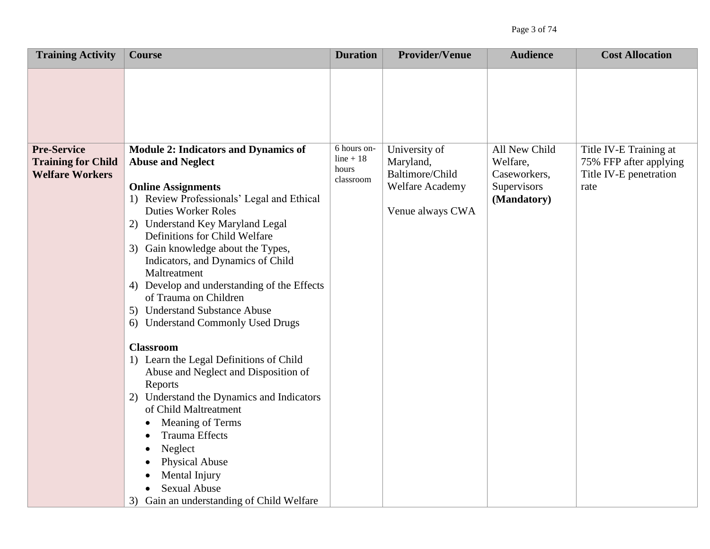| <b>Training Activity</b>                                                  | <b>Course</b>                                                                                                                                                                                                                                                                                                                                                                                                                                                                                                                                                                                                                                                                                                                                                                                                                                                                                | <b>Duration</b>                                  | <b>Provider/Venue</b>                                                                | <b>Audience</b>                                                         | <b>Cost Allocation</b>                                                             |
|---------------------------------------------------------------------------|----------------------------------------------------------------------------------------------------------------------------------------------------------------------------------------------------------------------------------------------------------------------------------------------------------------------------------------------------------------------------------------------------------------------------------------------------------------------------------------------------------------------------------------------------------------------------------------------------------------------------------------------------------------------------------------------------------------------------------------------------------------------------------------------------------------------------------------------------------------------------------------------|--------------------------------------------------|--------------------------------------------------------------------------------------|-------------------------------------------------------------------------|------------------------------------------------------------------------------------|
|                                                                           |                                                                                                                                                                                                                                                                                                                                                                                                                                                                                                                                                                                                                                                                                                                                                                                                                                                                                              |                                                  |                                                                                      |                                                                         |                                                                                    |
| <b>Pre-Service</b><br><b>Training for Child</b><br><b>Welfare Workers</b> | <b>Module 2: Indicators and Dynamics of</b><br><b>Abuse and Neglect</b><br><b>Online Assignments</b><br>1) Review Professionals' Legal and Ethical<br><b>Duties Worker Roles</b><br>2) Understand Key Maryland Legal<br>Definitions for Child Welfare<br>3) Gain knowledge about the Types,<br>Indicators, and Dynamics of Child<br>Maltreatment<br>4) Develop and understanding of the Effects<br>of Trauma on Children<br>5) Understand Substance Abuse<br>6) Understand Commonly Used Drugs<br><b>Classroom</b><br>1) Learn the Legal Definitions of Child<br>Abuse and Neglect and Disposition of<br>Reports<br>Understand the Dynamics and Indicators<br>2)<br>of Child Maltreatment<br>Meaning of Terms<br>$\bullet$<br><b>Trauma Effects</b><br>Neglect<br><b>Physical Abuse</b><br>Mental Injury<br><b>Sexual Abuse</b><br>$\bullet$<br>Gain an understanding of Child Welfare<br>3) | 6 hours on-<br>$line + 18$<br>hours<br>classroom | University of<br>Maryland,<br>Baltimore/Child<br>Welfare Academy<br>Venue always CWA | All New Child<br>Welfare,<br>Caseworkers,<br>Supervisors<br>(Mandatory) | Title IV-E Training at<br>75% FFP after applying<br>Title IV-E penetration<br>rate |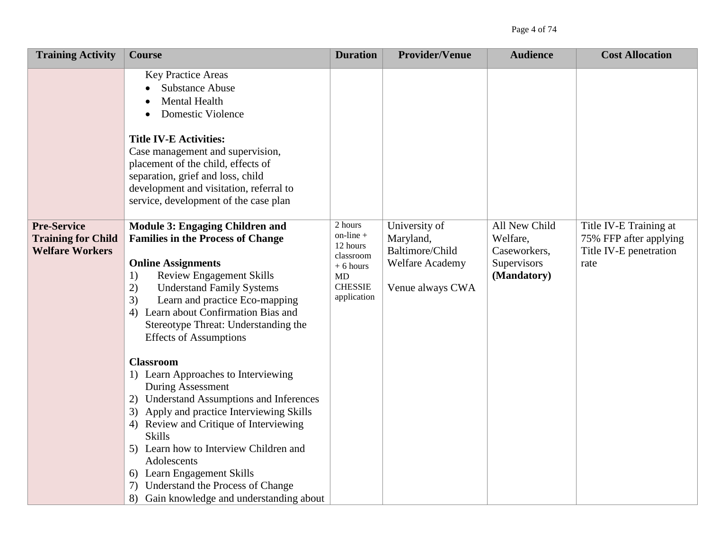| <b>Training Activity</b>                                                  | <b>Course</b>                                                                                                                                                                                                                                                                                                                                                                                                     | <b>Duration</b>                                                                                                | <b>Provider/Venue</b>                                                                       | <b>Audience</b>                                                         | <b>Cost Allocation</b>                                                             |
|---------------------------------------------------------------------------|-------------------------------------------------------------------------------------------------------------------------------------------------------------------------------------------------------------------------------------------------------------------------------------------------------------------------------------------------------------------------------------------------------------------|----------------------------------------------------------------------------------------------------------------|---------------------------------------------------------------------------------------------|-------------------------------------------------------------------------|------------------------------------------------------------------------------------|
|                                                                           | <b>Key Practice Areas</b><br><b>Substance Abuse</b><br>Mental Health<br><b>Domestic Violence</b><br><b>Title IV-E Activities:</b><br>Case management and supervision,<br>placement of the child, effects of<br>separation, grief and loss, child<br>development and visitation, referral to<br>service, development of the case plan                                                                              |                                                                                                                |                                                                                             |                                                                         |                                                                                    |
| <b>Pre-Service</b><br><b>Training for Child</b><br><b>Welfare Workers</b> | Module 3: Engaging Children and<br><b>Families in the Process of Change</b><br><b>Online Assignments</b><br><b>Review Engagement Skills</b><br>1)<br>2)<br><b>Understand Family Systems</b><br>Learn and practice Eco-mapping<br>3)<br>Learn about Confirmation Bias and<br>4)<br>Stereotype Threat: Understanding the<br><b>Effects of Assumptions</b>                                                           | 2 hours<br>$on$ -line $+$<br>12 hours<br>classroom<br>$+6$ hours<br><b>MD</b><br><b>CHESSIE</b><br>application | University of<br>Maryland,<br>Baltimore/Child<br><b>Welfare Academy</b><br>Venue always CWA | All New Child<br>Welfare,<br>Caseworkers,<br>Supervisors<br>(Mandatory) | Title IV-E Training at<br>75% FFP after applying<br>Title IV-E penetration<br>rate |
|                                                                           | <b>Classroom</b><br>1) Learn Approaches to Interviewing<br>During Assessment<br>2) Understand Assumptions and Inferences<br>3) Apply and practice Interviewing Skills<br>4) Review and Critique of Interviewing<br><b>Skills</b><br>5) Learn how to Interview Children and<br>Adolescents<br>6) Learn Engagement Skills<br>Understand the Process of Change<br>7)<br>Gain knowledge and understanding about<br>8) |                                                                                                                |                                                                                             |                                                                         |                                                                                    |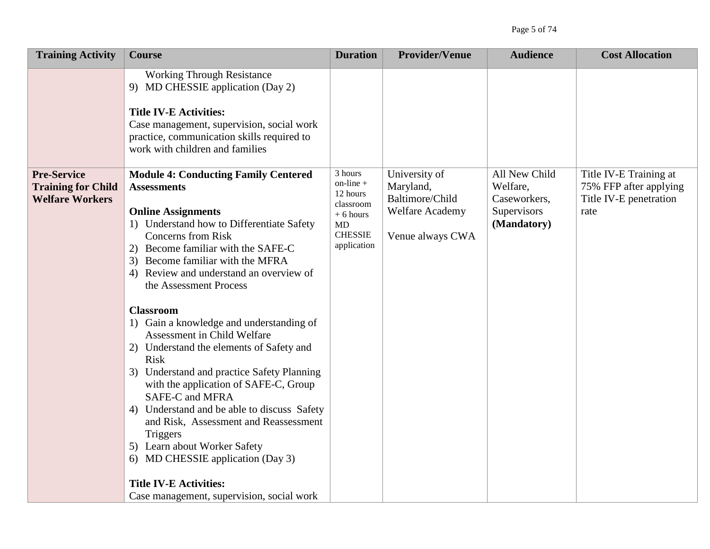| <b>Training Activity</b>                                                  | <b>Course</b>                                                                                                                                                                                                                                                                                                                                                                                                                                                                                                                                                                                                                                                                                                                                                                                                | <b>Duration</b>                                                                                         | <b>Provider/Venue</b>                                                                       | <b>Audience</b>                                                         | <b>Cost Allocation</b>                                                             |
|---------------------------------------------------------------------------|--------------------------------------------------------------------------------------------------------------------------------------------------------------------------------------------------------------------------------------------------------------------------------------------------------------------------------------------------------------------------------------------------------------------------------------------------------------------------------------------------------------------------------------------------------------------------------------------------------------------------------------------------------------------------------------------------------------------------------------------------------------------------------------------------------------|---------------------------------------------------------------------------------------------------------|---------------------------------------------------------------------------------------------|-------------------------------------------------------------------------|------------------------------------------------------------------------------------|
|                                                                           | <b>Working Through Resistance</b><br>9) MD CHESSIE application (Day 2)<br><b>Title IV-E Activities:</b><br>Case management, supervision, social work<br>practice, communication skills required to<br>work with children and families                                                                                                                                                                                                                                                                                                                                                                                                                                                                                                                                                                        |                                                                                                         |                                                                                             |                                                                         |                                                                                    |
| <b>Pre-Service</b><br><b>Training for Child</b><br><b>Welfare Workers</b> | <b>Module 4: Conducting Family Centered</b><br><b>Assessments</b><br><b>Online Assignments</b><br>1) Understand how to Differentiate Safety<br><b>Concerns</b> from Risk<br>2) Become familiar with the SAFE-C<br>3) Become familiar with the MFRA<br>4) Review and understand an overview of<br>the Assessment Process<br><b>Classroom</b><br>1) Gain a knowledge and understanding of<br>Assessment in Child Welfare<br>2) Understand the elements of Safety and<br><b>Risk</b><br>3) Understand and practice Safety Planning<br>with the application of SAFE-C, Group<br>SAFE-C and MFRA<br>4) Understand and be able to discuss Safety<br>and Risk, Assessment and Reassessment<br><b>Triggers</b><br>5) Learn about Worker Safety<br>6) MD CHESSIE application (Day 3)<br><b>Title IV-E Activities:</b> | 3 hours<br>$on$ -line $+$<br>12 hours<br>classroom<br>$+6$ hours<br>MD<br><b>CHESSIE</b><br>application | University of<br>Maryland,<br>Baltimore/Child<br><b>Welfare Academy</b><br>Venue always CWA | All New Child<br>Welfare,<br>Caseworkers,<br>Supervisors<br>(Mandatory) | Title IV-E Training at<br>75% FFP after applying<br>Title IV-E penetration<br>rate |
|                                                                           | Case management, supervision, social work                                                                                                                                                                                                                                                                                                                                                                                                                                                                                                                                                                                                                                                                                                                                                                    |                                                                                                         |                                                                                             |                                                                         |                                                                                    |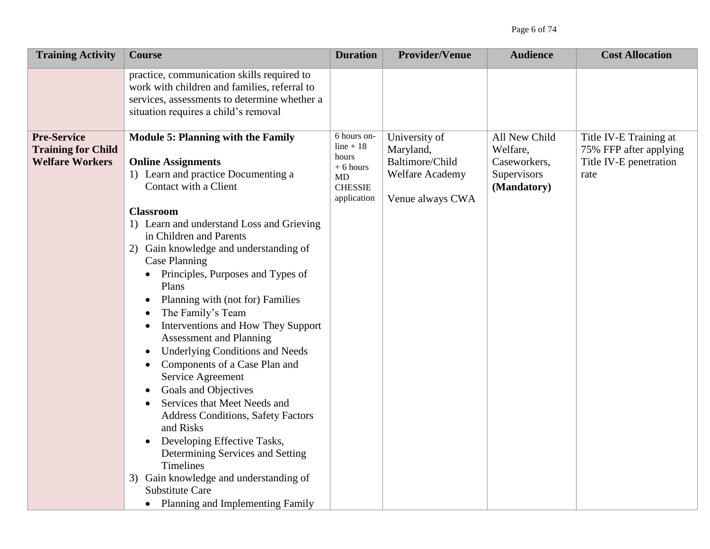| <b>Training Activity</b>                                                  | <b>Course</b>                                                                                                                                                                                                                                                                                                                                                                                                                                                                                                                                                                                                                                                                                                                                                                                                                                                                                                                                                                     | <b>Duration</b>                                                                          | <b>Provider/Venue</b>                                                                       | <b>Audience</b>                                                         | <b>Cost Allocation</b>                                                             |
|---------------------------------------------------------------------------|-----------------------------------------------------------------------------------------------------------------------------------------------------------------------------------------------------------------------------------------------------------------------------------------------------------------------------------------------------------------------------------------------------------------------------------------------------------------------------------------------------------------------------------------------------------------------------------------------------------------------------------------------------------------------------------------------------------------------------------------------------------------------------------------------------------------------------------------------------------------------------------------------------------------------------------------------------------------------------------|------------------------------------------------------------------------------------------|---------------------------------------------------------------------------------------------|-------------------------------------------------------------------------|------------------------------------------------------------------------------------|
|                                                                           | practice, communication skills required to<br>work with children and families, referral to<br>services, assessments to determine whether a<br>situation requires a child's removal                                                                                                                                                                                                                                                                                                                                                                                                                                                                                                                                                                                                                                                                                                                                                                                                |                                                                                          |                                                                                             |                                                                         |                                                                                    |
| <b>Pre-Service</b><br><b>Training for Child</b><br><b>Welfare Workers</b> | <b>Module 5: Planning with the Family</b><br><b>Online Assignments</b><br>1) Learn and practice Documenting a<br>Contact with a Client<br><b>Classroom</b><br>1) Learn and understand Loss and Grieving<br>in Children and Parents<br>2) Gain knowledge and understanding of<br>Case Planning<br>Principles, Purposes and Types of<br>Plans<br>Planning with (not for) Families<br>$\bullet$<br>The Family's Team<br>$\bullet$<br>Interventions and How They Support<br>$\bullet$<br><b>Assessment and Planning</b><br><b>Underlying Conditions and Needs</b><br>$\bullet$<br>Components of a Case Plan and<br>$\bullet$<br>Service Agreement<br>Goals and Objectives<br>$\bullet$<br>Services that Meet Needs and<br><b>Address Conditions, Safety Factors</b><br>and Risks<br>Developing Effective Tasks,<br>Determining Services and Setting<br>Timelines<br>3) Gain knowledge and understanding of<br><b>Substitute Care</b><br>Planning and Implementing Family<br>$\bullet$ | 6 hours on-<br>$line + 18$<br>hours<br>$+6$ hours<br>MD<br><b>CHESSIE</b><br>application | University of<br>Maryland,<br>Baltimore/Child<br><b>Welfare Academy</b><br>Venue always CWA | All New Child<br>Welfare,<br>Caseworkers,<br>Supervisors<br>(Mandatory) | Title IV-E Training at<br>75% FFP after applying<br>Title IV-E penetration<br>rate |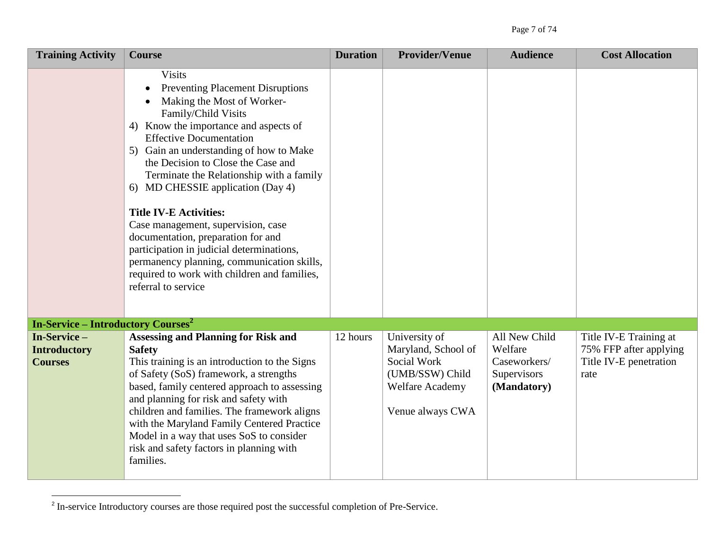| <b>Training Activity</b>                             | <b>Course</b>                                                                                                                                                                                                                                                                                                                                                                                                                                                                                                                                                                                                                             | <b>Duration</b> | <b>Provider/Venue</b>                                                                                         | <b>Audience</b>                                                        | <b>Cost Allocation</b>                                                             |
|------------------------------------------------------|-------------------------------------------------------------------------------------------------------------------------------------------------------------------------------------------------------------------------------------------------------------------------------------------------------------------------------------------------------------------------------------------------------------------------------------------------------------------------------------------------------------------------------------------------------------------------------------------------------------------------------------------|-----------------|---------------------------------------------------------------------------------------------------------------|------------------------------------------------------------------------|------------------------------------------------------------------------------------|
|                                                      | <b>Visits</b><br><b>Preventing Placement Disruptions</b><br>Making the Most of Worker-<br>Family/Child Visits<br>4) Know the importance and aspects of<br><b>Effective Documentation</b><br>5) Gain an understanding of how to Make<br>the Decision to Close the Case and<br>Terminate the Relationship with a family<br>6) MD CHESSIE application (Day 4)<br><b>Title IV-E Activities:</b><br>Case management, supervision, case<br>documentation, preparation for and<br>participation in judicial determinations,<br>permanency planning, communication skills,<br>required to work with children and families,<br>referral to service |                 |                                                                                                               |                                                                        |                                                                                    |
| <b>In-Service – Introductory Courses<sup>2</sup></b> |                                                                                                                                                                                                                                                                                                                                                                                                                                                                                                                                                                                                                                           |                 |                                                                                                               |                                                                        |                                                                                    |
| In-Service-<br><b>Introductory</b><br><b>Courses</b> | <b>Assessing and Planning for Risk and</b><br><b>Safety</b><br>This training is an introduction to the Signs<br>of Safety (SoS) framework, a strengths<br>based, family centered approach to assessing<br>and planning for risk and safety with<br>children and families. The framework aligns<br>with the Maryland Family Centered Practice<br>Model in a way that uses SoS to consider<br>risk and safety factors in planning with<br>families.                                                                                                                                                                                         | 12 hours        | University of<br>Maryland, School of<br>Social Work<br>(UMB/SSW) Child<br>Welfare Academy<br>Venue always CWA | All New Child<br>Welfare<br>Caseworkers/<br>Supervisors<br>(Mandatory) | Title IV-E Training at<br>75% FFP after applying<br>Title IV-E penetration<br>rate |

<sup>&</sup>lt;sup>2</sup> In-service Introductory courses are those required post the successful completion of Pre-Service.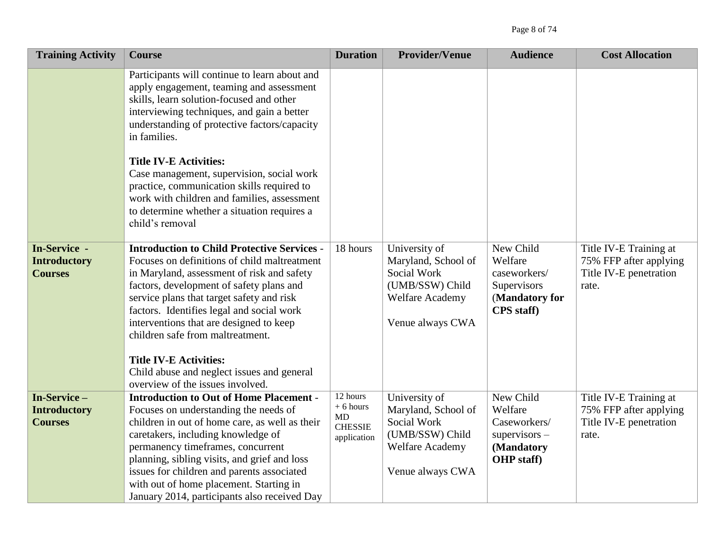| <b>Training Activity</b>                              | <b>Course</b>                                                                                                                                                                                                                                                                                                                                                                                                 | <b>Duration</b>                                               | <b>Provider/Venue</b>                                                                                                | <b>Audience</b>                                                                            | <b>Cost Allocation</b>                                                              |
|-------------------------------------------------------|---------------------------------------------------------------------------------------------------------------------------------------------------------------------------------------------------------------------------------------------------------------------------------------------------------------------------------------------------------------------------------------------------------------|---------------------------------------------------------------|----------------------------------------------------------------------------------------------------------------------|--------------------------------------------------------------------------------------------|-------------------------------------------------------------------------------------|
|                                                       | Participants will continue to learn about and<br>apply engagement, teaming and assessment<br>skills, learn solution-focused and other<br>interviewing techniques, and gain a better<br>understanding of protective factors/capacity<br>in families.                                                                                                                                                           |                                                               |                                                                                                                      |                                                                                            |                                                                                     |
|                                                       | <b>Title IV-E Activities:</b><br>Case management, supervision, social work<br>practice, communication skills required to<br>work with children and families, assessment<br>to determine whether a situation requires a<br>child's removal                                                                                                                                                                     |                                                               |                                                                                                                      |                                                                                            |                                                                                     |
| In-Service -<br><b>Introductory</b><br><b>Courses</b> | <b>Introduction to Child Protective Services -</b><br>Focuses on definitions of child maltreatment<br>in Maryland, assessment of risk and safety<br>factors, development of safety plans and<br>service plans that target safety and risk<br>factors. Identifies legal and social work<br>interventions that are designed to keep<br>children safe from maltreatment.<br><b>Title IV-E Activities:</b>        | 18 hours                                                      | University of<br>Maryland, School of<br>Social Work<br>(UMB/SSW) Child<br><b>Welfare Academy</b><br>Venue always CWA | New Child<br>Welfare<br>caseworkers/<br>Supervisors<br>(Mandatory for<br><b>CPS</b> staff) | Title IV-E Training at<br>75% FFP after applying<br>Title IV-E penetration<br>rate. |
|                                                       | Child abuse and neglect issues and general<br>overview of the issues involved.                                                                                                                                                                                                                                                                                                                                |                                                               |                                                                                                                      |                                                                                            |                                                                                     |
| In-Service-<br><b>Introductory</b><br><b>Courses</b>  | <b>Introduction to Out of Home Placement -</b><br>Focuses on understanding the needs of<br>children in out of home care, as well as their<br>caretakers, including knowledge of<br>permanency timeframes, concurrent<br>planning, sibling visits, and grief and loss<br>issues for children and parents associated<br>with out of home placement. Starting in<br>January 2014, participants also received Day | 12 hours<br>$+6$ hours<br>MD<br><b>CHESSIE</b><br>application | University of<br>Maryland, School of<br>Social Work<br>(UMB/SSW) Child<br><b>Welfare Academy</b><br>Venue always CWA | New Child<br>Welfare<br>Caseworkers/<br>$supervisors -$<br>(Mandatory<br>OHP staff)        | Title IV-E Training at<br>75% FFP after applying<br>Title IV-E penetration<br>rate. |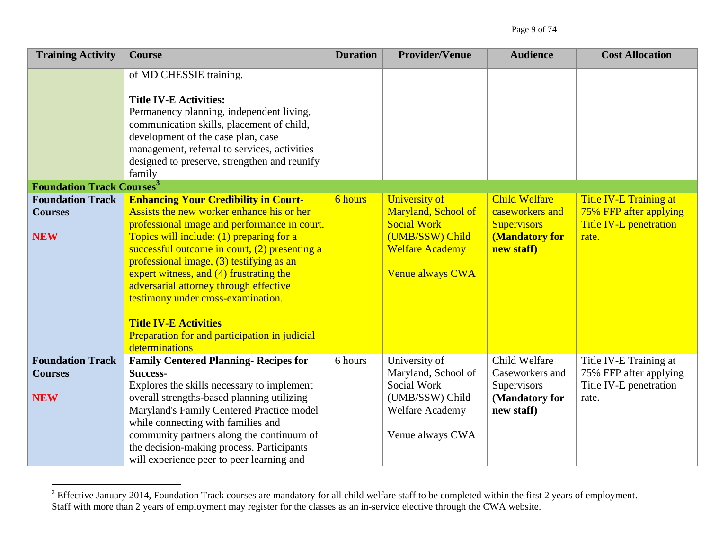| <b>Training Activity</b>                                | <b>Course</b>                                                                                                                                                                                                                                                                                                                                                                         | <b>Duration</b> | <b>Provider/Venue</b>                                                                                                | <b>Audience</b>                                                                 | <b>Cost Allocation</b>                                                                   |
|---------------------------------------------------------|---------------------------------------------------------------------------------------------------------------------------------------------------------------------------------------------------------------------------------------------------------------------------------------------------------------------------------------------------------------------------------------|-----------------|----------------------------------------------------------------------------------------------------------------------|---------------------------------------------------------------------------------|------------------------------------------------------------------------------------------|
|                                                         | of MD CHESSIE training.<br><b>Title IV-E Activities:</b><br>Permanency planning, independent living,<br>communication skills, placement of child,<br>development of the case plan, case<br>management, referral to services, activities<br>designed to preserve, strengthen and reunify<br>family                                                                                     |                 |                                                                                                                      |                                                                                 |                                                                                          |
| <b>Foundation Track Courses<sup>3</sup></b>             |                                                                                                                                                                                                                                                                                                                                                                                       |                 |                                                                                                                      |                                                                                 |                                                                                          |
| <b>Foundation Track</b><br><b>Courses</b>               | <b>Enhancing Your Credibility in Court-</b><br>Assists the new worker enhance his or her<br>professional image and performance in court.                                                                                                                                                                                                                                              | 6 hours         | <b>University of</b><br>Maryland, School of<br><b>Social Work</b>                                                    | <b>Child Welfare</b><br>caseworkers and<br><b>Supervisors</b>                   | <b>Title IV-E Training at</b><br>75% FFP after applying<br><b>Title IV-E penetration</b> |
| <b>NEW</b>                                              | Topics will include: (1) preparing for a<br>successful outcome in court, (2) presenting a<br>professional image, (3) testifying as an<br>expert witness, and (4) frustrating the<br>adversarial attorney through effective<br>testimony under cross-examination.<br><b>Title IV-E Activities</b><br>Preparation for and participation in judicial<br>determinations                   |                 | (UMB/SSW) Child<br><b>Welfare Academy</b><br>Venue always CWA                                                        | <b>(Mandatory for</b><br>new staff)                                             | rate.                                                                                    |
| <b>Foundation Track</b><br><b>Courses</b><br><b>NEW</b> | <b>Family Centered Planning- Recipes for</b><br><b>Success-</b><br>Explores the skills necessary to implement<br>overall strengths-based planning utilizing<br>Maryland's Family Centered Practice model<br>while connecting with families and<br>community partners along the continuum of<br>the decision-making process. Participants<br>will experience peer to peer learning and | 6 hours         | University of<br>Maryland, School of<br>Social Work<br>(UMB/SSW) Child<br><b>Welfare Academy</b><br>Venue always CWA | Child Welfare<br>Caseworkers and<br>Supervisors<br>(Mandatory for<br>new staff) | Title IV-E Training at<br>75% FFP after applying<br>Title IV-E penetration<br>rate.      |

 $3$  Effective January 2014, Foundation Track courses are mandatory for all child welfare staff to be completed within the first 2 years of employment. Staff with more than 2 years of employment may register for the classes as an in-service elective through the CWA website.

 $\overline{a}$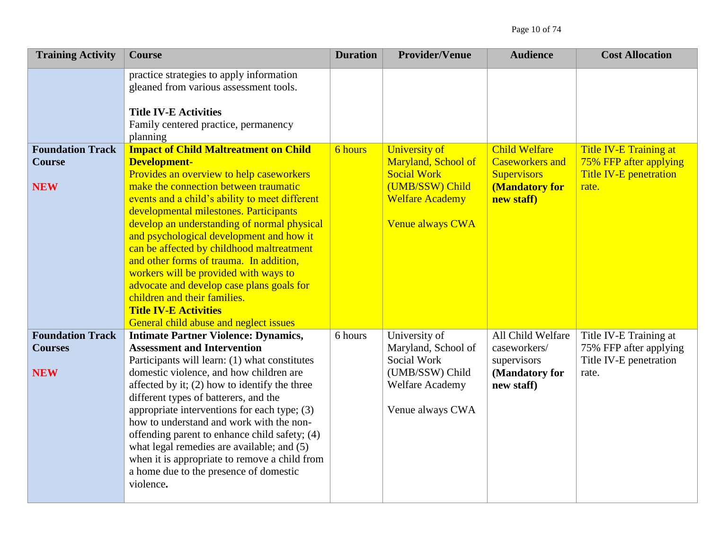| <b>Training Activity</b>                                | <b>Course</b>                                                                                                                                                                                                                                                                                                                                                                                                                                                                                                                                                                                                                           | <b>Duration</b> | <b>Provider/Venue</b>                                                                                                              | <b>Audience</b>                                                                                      | <b>Cost Allocation</b>                                                              |
|---------------------------------------------------------|-----------------------------------------------------------------------------------------------------------------------------------------------------------------------------------------------------------------------------------------------------------------------------------------------------------------------------------------------------------------------------------------------------------------------------------------------------------------------------------------------------------------------------------------------------------------------------------------------------------------------------------------|-----------------|------------------------------------------------------------------------------------------------------------------------------------|------------------------------------------------------------------------------------------------------|-------------------------------------------------------------------------------------|
|                                                         | practice strategies to apply information<br>gleaned from various assessment tools.<br><b>Title IV-E Activities</b><br>Family centered practice, permanency<br>planning                                                                                                                                                                                                                                                                                                                                                                                                                                                                  |                 |                                                                                                                                    |                                                                                                      |                                                                                     |
| <b>Foundation Track</b><br><b>Course</b><br><b>NEW</b>  | <b>Impact of Child Maltreatment on Child</b><br><b>Development-</b><br>Provides an overview to help caseworkers<br>make the connection between traumatic<br>events and a child's ability to meet different<br>developmental milestones. Participants<br>develop an understanding of normal physical<br>and psychological development and how it<br>can be affected by childhood maltreatment<br>and other forms of trauma. In addition,<br>workers will be provided with ways to<br>advocate and develop case plans goals for<br>children and their families.<br><b>Title IV-E Activities</b><br>General child abuse and neglect issues | 6 hours         | <b>University of</b><br>Maryland, School of<br><b>Social Work</b><br>(UMB/SSW) Child<br><b>Welfare Academy</b><br>Venue always CWA | <b>Child Welfare</b><br><b>Caseworkers and</b><br><b>Supervisors</b><br>(Mandatory for<br>new staff) | Title IV-E Training at<br>75% FFP after applying<br>Title IV-E penetration<br>rate. |
| <b>Foundation Track</b><br><b>Courses</b><br><b>NEW</b> | <b>Intimate Partner Violence: Dynamics,</b><br><b>Assessment and Intervention</b><br>Participants will learn: (1) what constitutes<br>domestic violence, and how children are<br>affected by it; (2) how to identify the three<br>different types of batterers, and the<br>appropriate interventions for each type; (3)<br>how to understand and work with the non-<br>offending parent to enhance child safety; (4)<br>what legal remedies are available; and (5)<br>when it is appropriate to remove a child from<br>a home due to the presence of domestic<br>violence.                                                              | 6 hours         | University of<br>Maryland, School of<br>Social Work<br>(UMB/SSW) Child<br><b>Welfare Academy</b><br>Venue always CWA               | All Child Welfare<br>caseworkers/<br>supervisors<br>(Mandatory for<br>new staff)                     | Title IV-E Training at<br>75% FFP after applying<br>Title IV-E penetration<br>rate. |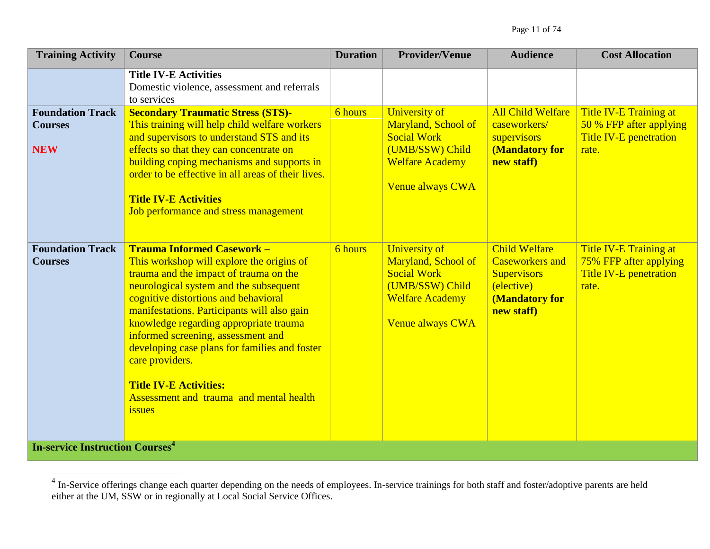|                                                                                                |                                                                                                                                                                                                                                                                                                                                                                                                                                                                                                            | <b>Duration</b> | <b>Provider/Venue</b>                                                                                                              | <b>Audience</b>                                                                                                    | <b>Cost Allocation</b>                                                               |
|------------------------------------------------------------------------------------------------|------------------------------------------------------------------------------------------------------------------------------------------------------------------------------------------------------------------------------------------------------------------------------------------------------------------------------------------------------------------------------------------------------------------------------------------------------------------------------------------------------------|-----------------|------------------------------------------------------------------------------------------------------------------------------------|--------------------------------------------------------------------------------------------------------------------|--------------------------------------------------------------------------------------|
|                                                                                                | <b>Title IV-E Activities</b><br>Domestic violence, assessment and referrals<br>to services                                                                                                                                                                                                                                                                                                                                                                                                                 |                 |                                                                                                                                    |                                                                                                                    |                                                                                      |
| <b>Foundation Track</b><br><b>Courses</b><br><b>NEW</b>                                        | <b>Secondary Traumatic Stress (STS)-</b><br>This training will help child welfare workers<br>and supervisors to understand STS and its<br>effects so that they can concentrate on<br>building coping mechanisms and supports in<br>order to be effective in all areas of their lives.<br><b>Title IV-E Activities</b><br>Job performance and stress management                                                                                                                                             | 6 hours         | <b>University of</b><br>Maryland, School of<br><b>Social Work</b><br>(UMB/SSW) Child<br><b>Welfare Academy</b><br>Venue always CWA | <b>All Child Welfare</b><br>caseworkers/<br>supervisors<br>(Mandatory for<br>new staff)                            | Title IV-E Training at<br>50 % FFP after applying<br>Title IV-E penetration<br>rate. |
| <b>Foundation Track</b><br><b>Courses</b><br><b>In-service Instruction Courses<sup>4</sup></b> | <b>Trauma Informed Casework -</b><br>This workshop will explore the origins of<br>trauma and the impact of trauma on the<br>neurological system and the subsequent<br>cognitive distortions and behavioral<br>manifestations. Participants will also gain<br>knowledge regarding appropriate trauma<br>informed screening, assessment and<br>developing case plans for families and foster<br>care providers.<br><b>Title IV-E Activities:</b><br>Assessment and trauma and mental health<br><i>issues</i> | 6 hours         | <b>University of</b><br>Maryland, School of<br><b>Social Work</b><br>(UMB/SSW) Child<br><b>Welfare Academy</b><br>Venue always CWA | <b>Child Welfare</b><br><b>Caseworkers and</b><br><b>Supervisors</b><br>(elective)<br>(Mandatory for<br>new staff) | Title IV-E Training at<br>75% FFP after applying<br>Title IV-E penetration<br>rate.  |

<sup>&</sup>lt;sup>4</sup> In-Service offerings change each quarter depending on the needs of employees. In-service trainings for both staff and foster/adoptive parents are held  $\frac{1}{2}$ either at the UM, SSW or in regionally at Local Social Service Offices.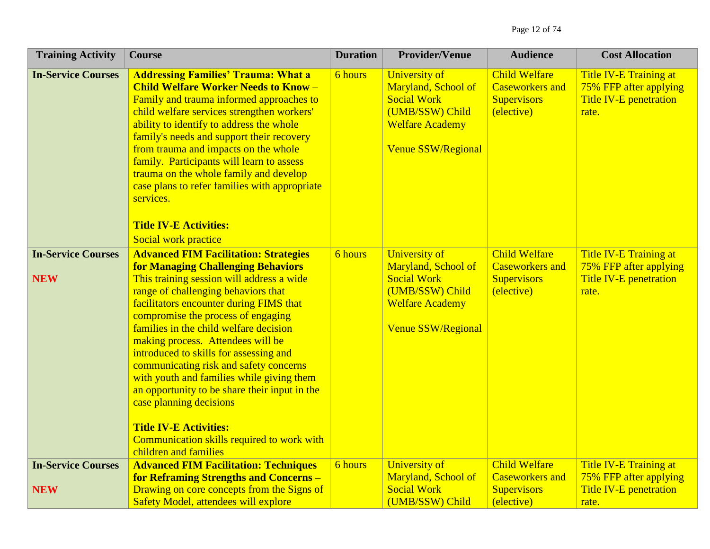| <b>Training Activity</b>                | <b>Course</b>                                                                                                                                                                                                                                                                                                                                                                                                                                                                                                                                                                                                                                                      | <b>Duration</b> | <b>Provider/Venue</b>                                                                                                                       | <b>Audience</b>                                                                    | <b>Cost Allocation</b>                                                                     |
|-----------------------------------------|--------------------------------------------------------------------------------------------------------------------------------------------------------------------------------------------------------------------------------------------------------------------------------------------------------------------------------------------------------------------------------------------------------------------------------------------------------------------------------------------------------------------------------------------------------------------------------------------------------------------------------------------------------------------|-----------------|---------------------------------------------------------------------------------------------------------------------------------------------|------------------------------------------------------------------------------------|--------------------------------------------------------------------------------------------|
| <b>In-Service Courses</b>               | <b>Addressing Families' Trauma: What a</b><br><b>Child Welfare Worker Needs to Know -</b><br>Family and trauma informed approaches to<br>child welfare services strengthen workers'<br>ability to identify to address the whole<br>family's needs and support their recovery<br>from trauma and impacts on the whole<br>family. Participants will learn to assess<br>trauma on the whole family and develop<br>case plans to refer families with appropriate<br>services.<br><b>Title IV-E Activities:</b><br>Social work practice                                                                                                                                 | 6 hours         | <b>University of</b><br>Maryland, School of<br><b>Social Work</b><br>(UMB/SSW) Child<br><b>Welfare Academy</b><br><b>Venue SSW/Regional</b> | <b>Child Welfare</b><br><b>Caseworkers and</b><br><b>Supervisors</b><br>(elective) | <b>Title IV-E Training at</b><br>75% FFP after applying<br>Title IV-E penetration<br>rate. |
| <b>In-Service Courses</b><br><b>NEW</b> | <b>Advanced FIM Facilitation: Strategies</b><br><b>for Managing Challenging Behaviors</b><br>This training session will address a wide<br>range of challenging behaviors that<br>facilitators encounter during FIMS that<br>compromise the process of engaging<br>families in the child welfare decision<br>making process. Attendees will be<br>introduced to skills for assessing and<br>communicating risk and safety concerns<br>with youth and families while giving them<br>an opportunity to be share their input in the<br>case planning decisions<br><b>Title IV-E Activities:</b><br>Communication skills required to work with<br>children and families | 6 hours         | <b>University of</b><br>Maryland, School of<br><b>Social Work</b><br>(UMB/SSW) Child<br><b>Welfare Academy</b><br><b>Venue SSW/Regional</b> | <b>Child Welfare</b><br><b>Caseworkers and</b><br><b>Supervisors</b><br>(elective) | Title IV-E Training at<br>75% FFP after applying<br><b>Title IV-E penetration</b><br>rate. |
| <b>In-Service Courses</b><br><b>NEW</b> | <b>Advanced FIM Facilitation: Techniques</b><br><b>for Reframing Strengths and Concerns-</b><br>Drawing on core concepts from the Signs of<br><b>Safety Model, attendees will explore</b>                                                                                                                                                                                                                                                                                                                                                                                                                                                                          | 6 hours         | <b>University of</b><br>Maryland, School of<br><b>Social Work</b><br>(UMB/SSW) Child                                                        | <b>Child Welfare</b><br><b>Caseworkers and</b><br><b>Supervisors</b><br>(elective) | Title IV-E Training at<br>75% FFP after applying<br><b>Title IV-E penetration</b><br>rate. |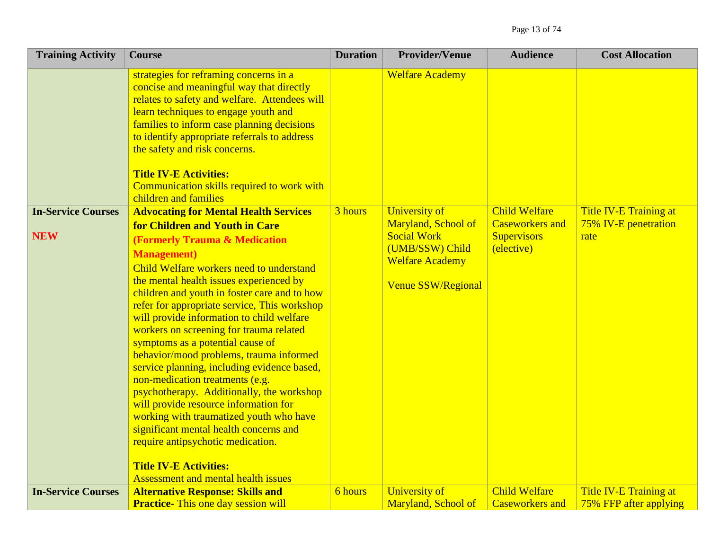| <b>Training Activity</b>  | <b>Course</b>                                                                                                                                                                                                                                                                                                                                                                                                                                                                                                                                                                                                                                                                                                                                                                                                                                    | <b>Duration</b> | <b>Provider/Venue</b>                                                                                               | <b>Audience</b>                                            | <b>Cost Allocation</b>                           |
|---------------------------|--------------------------------------------------------------------------------------------------------------------------------------------------------------------------------------------------------------------------------------------------------------------------------------------------------------------------------------------------------------------------------------------------------------------------------------------------------------------------------------------------------------------------------------------------------------------------------------------------------------------------------------------------------------------------------------------------------------------------------------------------------------------------------------------------------------------------------------------------|-----------------|---------------------------------------------------------------------------------------------------------------------|------------------------------------------------------------|--------------------------------------------------|
| <b>In-Service Courses</b> | strategies for reframing concerns in a<br>concise and meaningful way that directly<br>relates to safety and welfare. Attendees will<br>learn techniques to engage youth and<br>families to inform case planning decisions<br>to identify appropriate referrals to address<br>the safety and risk concerns.<br><b>Title IV-E Activities:</b><br>Communication skills required to work with<br>children and families<br><b>Advocating for Mental Health Services</b>                                                                                                                                                                                                                                                                                                                                                                               | 3 hours         | <b>Welfare Academy</b><br><b>University of</b>                                                                      | <b>Child Welfare</b>                                       | Title IV-E Training at                           |
| <b>NEW</b>                | for Children and Youth in Care<br><b>(Formerly Trauma &amp; Medication</b><br><b>Management</b> )<br>Child Welfare workers need to understand<br>the mental health issues experienced by<br>children and youth in foster care and to how<br>refer for appropriate service, This workshop<br>will provide information to child welfare<br>workers on screening for trauma related<br>symptoms as a potential cause of<br>behavior/mood problems, trauma informed<br>service planning, including evidence based,<br>non-medication treatments (e.g.<br>psychotherapy. Additionally, the workshop<br>will provide resource information for<br>working with traumatized youth who have<br>significant mental health concerns and<br>require antipsychotic medication.<br><b>Title IV-E Activities:</b><br><b>Assessment and mental health issues</b> |                 | Maryland, School of<br><b>Social Work</b><br>(UMB/SSW) Child<br><b>Welfare Academy</b><br><b>Venue SSW/Regional</b> | <b>Caseworkers and</b><br><b>Supervisors</b><br>(elective) | 75% IV-E penetration<br>rate                     |
| <b>In-Service Courses</b> | <b>Alternative Response: Skills and</b><br><b>Practice-</b> This one day session will                                                                                                                                                                                                                                                                                                                                                                                                                                                                                                                                                                                                                                                                                                                                                            | 6 hours         | <b>University of</b><br>Maryland, School of                                                                         | <b>Child Welfare</b><br><b>Caseworkers and</b>             | Title IV-E Training at<br>75% FFP after applying |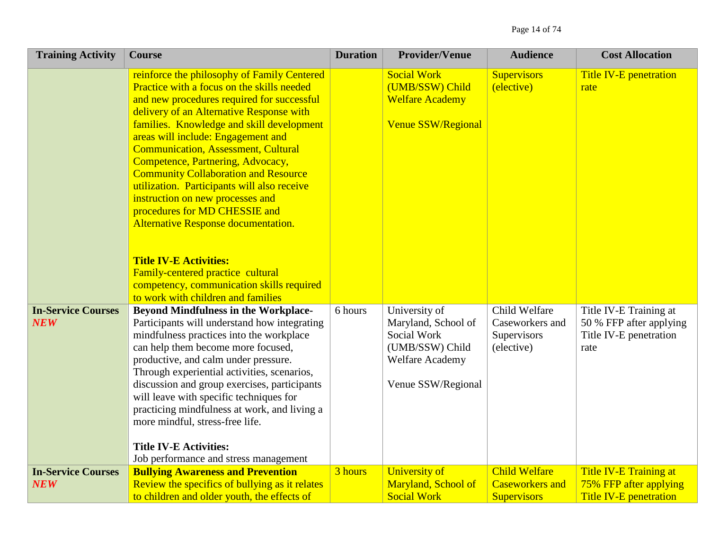| <b>Training Activity</b>                | <b>Course</b>                                                                                                                                                                                                                                                                                                                                                                                                                                                                                                                                                                                                                                                                                                                | <b>Duration</b> | <b>Provider/Venue</b>                                                                                                  | <b>Audience</b>                                                      | <b>Cost Allocation</b>                                                              |
|-----------------------------------------|------------------------------------------------------------------------------------------------------------------------------------------------------------------------------------------------------------------------------------------------------------------------------------------------------------------------------------------------------------------------------------------------------------------------------------------------------------------------------------------------------------------------------------------------------------------------------------------------------------------------------------------------------------------------------------------------------------------------------|-----------------|------------------------------------------------------------------------------------------------------------------------|----------------------------------------------------------------------|-------------------------------------------------------------------------------------|
|                                         | reinforce the philosophy of Family Centered<br>Practice with a focus on the skills needed<br>and new procedures required for successful<br>delivery of an Alternative Response with<br>families. Knowledge and skill development<br>areas will include: Engagement and<br><b>Communication, Assessment, Cultural</b><br>Competence, Partnering, Advocacy,<br><b>Community Collaboration and Resource</b><br>utilization. Participants will also receive<br>instruction on new processes and<br>procedures for MD CHESSIE and<br>Alternative Response documentation.<br><b>Title IV-E Activities:</b><br>Family-centered practice cultural<br>competency, communication skills required<br>to work with children and families |                 | <b>Social Work</b><br>(UMB/SSW) Child<br><b>Welfare Academy</b><br>Venue SSW/Regional                                  | <b>Supervisors</b><br>(elective)                                     | Title IV-E penetration<br>rate                                                      |
| <b>In-Service Courses</b><br><b>NEW</b> | <b>Beyond Mindfulness in the Workplace-</b><br>Participants will understand how integrating<br>mindfulness practices into the workplace<br>can help them become more focused,<br>productive, and calm under pressure.<br>Through experiential activities, scenarios,<br>discussion and group exercises, participants<br>will leave with specific techniques for<br>practicing mindfulness at work, and living a<br>more mindful, stress-free life.<br><b>Title IV-E Activities:</b><br>Job performance and stress management                                                                                                                                                                                                 | 6 hours         | University of<br>Maryland, School of<br>Social Work<br>(UMB/SSW) Child<br><b>Welfare Academy</b><br>Venue SSW/Regional | Child Welfare<br>Caseworkers and<br>Supervisors<br>(elective)        | Title IV-E Training at<br>50 % FFP after applying<br>Title IV-E penetration<br>rate |
| <b>In-Service Courses</b><br><b>NEW</b> | <b>Bullying Awareness and Prevention</b><br>Review the specifics of bullying as it relates<br>to children and older youth, the effects of                                                                                                                                                                                                                                                                                                                                                                                                                                                                                                                                                                                    | 3 hours         | <b>University of</b><br>Maryland, School of<br><b>Social Work</b>                                                      | <b>Child Welfare</b><br><b>Caseworkers and</b><br><b>Supervisors</b> | Title IV-E Training at<br>75% FFP after applying<br><b>Title IV-E penetration</b>   |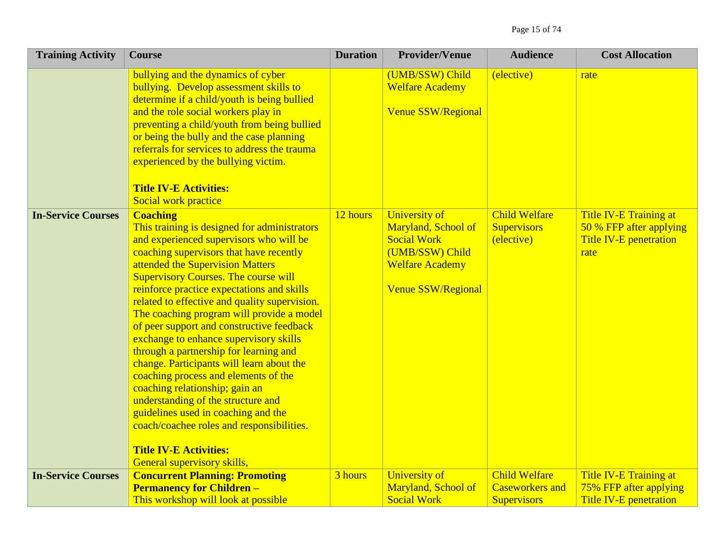| <b>Training Activity</b>  | <b>Course</b>                                                                                                                                                                                                                                                                                                                                                                                                                                                                                                                                                                                                                                                                                                                                                                                                                          | <b>Duration</b> | <b>Provider/Venue</b>                                                                                                                       | <b>Audience</b>                                                      | <b>Cost Allocation</b>                                                              |
|---------------------------|----------------------------------------------------------------------------------------------------------------------------------------------------------------------------------------------------------------------------------------------------------------------------------------------------------------------------------------------------------------------------------------------------------------------------------------------------------------------------------------------------------------------------------------------------------------------------------------------------------------------------------------------------------------------------------------------------------------------------------------------------------------------------------------------------------------------------------------|-----------------|---------------------------------------------------------------------------------------------------------------------------------------------|----------------------------------------------------------------------|-------------------------------------------------------------------------------------|
|                           | bullying and the dynamics of cyber<br>bullying. Develop assessment skills to<br>determine if a child/youth is being bullied<br>and the role social workers play in<br>preventing a child/youth from being bullied<br>or being the bully and the case planning<br>referrals for services to address the trauma<br>experienced by the bullying victim.<br><b>Title IV-E Activities:</b><br>Social work practice                                                                                                                                                                                                                                                                                                                                                                                                                          |                 | (UMB/SSW) Child<br><b>Welfare Academy</b><br><b>Venue SSW/Regional</b>                                                                      | (elective)                                                           | rate                                                                                |
| <b>In-Service Courses</b> | <b>Coaching</b><br>This training is designed for administrators<br>and experienced supervisors who will be<br>coaching supervisors that have recently<br>attended the Supervision Matters<br><b>Supervisory Courses. The course will</b><br>reinforce practice expectations and skills<br>related to effective and quality supervision.<br>The coaching program will provide a model<br>of peer support and constructive feedback<br>exchange to enhance supervisory skills<br>through a partnership for learning and<br>change. Participants will learn about the<br>coaching process and elements of the<br>coaching relationship; gain an<br>understanding of the structure and<br>guidelines used in coaching and the<br>coach/coachee roles and responsibilities.<br><b>Title IV-E Activities:</b><br>General supervisory skills, | 12 hours        | <b>University of</b><br>Maryland, School of<br><b>Social Work</b><br>(UMB/SSW) Child<br><b>Welfare Academy</b><br><b>Venue SSW/Regional</b> | <b>Child Welfare</b><br><b>Supervisors</b><br>(elective)             | Title IV-E Training at<br>50 % FFP after applying<br>Title IV-E penetration<br>rate |
| <b>In-Service Courses</b> | <b>Concurrent Planning: Promoting</b><br><b>Permanency for Children -</b><br>This workshop will look at possible                                                                                                                                                                                                                                                                                                                                                                                                                                                                                                                                                                                                                                                                                                                       | 3 hours         | <b>University of</b><br>Maryland, School of<br><b>Social Work</b>                                                                           | <b>Child Welfare</b><br><b>Caseworkers and</b><br><b>Supervisors</b> | Title IV-E Training at<br>75% FFP after applying<br><b>Title IV-E penetration</b>   |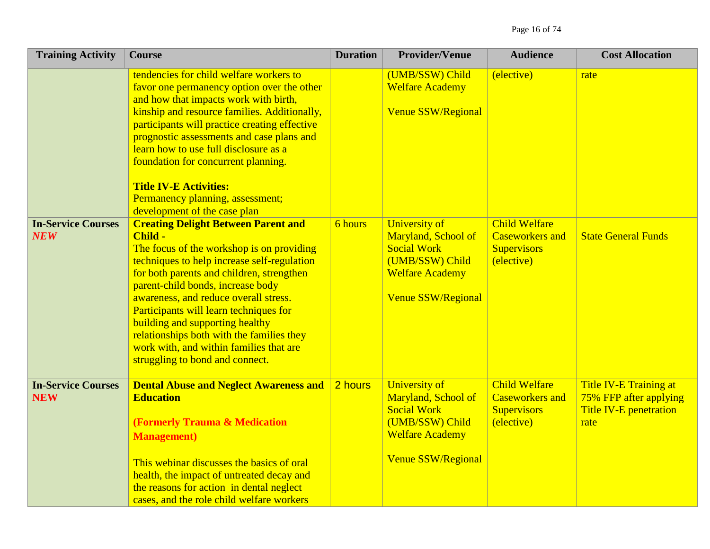| <b>Training Activity</b>                | <b>Course</b>                                                                                                                                                                                                                                                                                                                                                                                                                                                                        | <b>Duration</b> | <b>Provider/Venue</b>                                                                                                                       | <b>Audience</b>                                                                    | <b>Cost Allocation</b>                                                             |
|-----------------------------------------|--------------------------------------------------------------------------------------------------------------------------------------------------------------------------------------------------------------------------------------------------------------------------------------------------------------------------------------------------------------------------------------------------------------------------------------------------------------------------------------|-----------------|---------------------------------------------------------------------------------------------------------------------------------------------|------------------------------------------------------------------------------------|------------------------------------------------------------------------------------|
|                                         | tendencies for child welfare workers to<br>favor one permanency option over the other<br>and how that impacts work with birth,<br>kinship and resource families. Additionally,<br>participants will practice creating effective<br>prognostic assessments and case plans and<br>learn how to use full disclosure as a<br>foundation for concurrent planning.<br><b>Title IV-E Activities:</b><br>Permanency planning, assessment;<br>development of the case plan                    |                 | (UMB/SSW) Child<br><b>Welfare Academy</b><br><b>Venue SSW/Regional</b>                                                                      | (elective)                                                                         | rate                                                                               |
| <b>In-Service Courses</b><br><b>NEW</b> | <b>Creating Delight Between Parent and</b><br>Child -<br>The focus of the workshop is on providing<br>techniques to help increase self-regulation<br>for both parents and children, strengthen<br>parent-child bonds, increase body<br>awareness, and reduce overall stress.<br>Participants will learn techniques for<br>building and supporting healthy<br>relationships both with the families they<br>work with, and within families that are<br>struggling to bond and connect. | 6 hours         | University of<br>Maryland, School of<br><b>Social Work</b><br>(UMB/SSW) Child<br><b>Welfare Academy</b><br><b>Venue SSW/Regional</b>        | <b>Child Welfare</b><br><b>Caseworkers and</b><br><b>Supervisors</b><br>(elective) | <b>State General Funds</b>                                                         |
| <b>In-Service Courses</b><br><b>NEW</b> | <b>Dental Abuse and Neglect Awareness and</b><br><b>Education</b><br><b>(Formerly Trauma &amp; Medication</b><br><b>Management</b> )<br>This webinar discusses the basics of oral<br>health, the impact of untreated decay and<br>the reasons for action in dental neglect<br>cases, and the role child welfare workers                                                                                                                                                              | 2 hours         | <b>University of</b><br>Maryland, School of<br><b>Social Work</b><br>(UMB/SSW) Child<br><b>Welfare Academy</b><br><b>Venue SSW/Regional</b> | <b>Child Welfare</b><br><b>Caseworkers and</b><br><b>Supervisors</b><br>(elective) | Title IV-E Training at<br>75% FFP after applying<br>Title IV-E penetration<br>rate |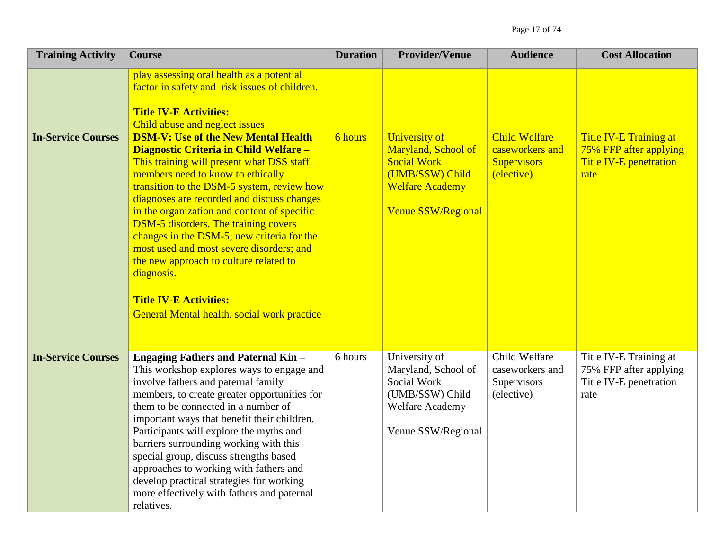| <b>Training Activity</b>  | <b>Course</b>                                                                                                                                                                                                                                                                                                                                                                                                                                                                                                                                                                                      | <b>Duration</b> | <b>Provider/Venue</b>                                                                                                                       | <b>Audience</b>                                                             | <b>Cost Allocation</b>                                                                    |
|---------------------------|----------------------------------------------------------------------------------------------------------------------------------------------------------------------------------------------------------------------------------------------------------------------------------------------------------------------------------------------------------------------------------------------------------------------------------------------------------------------------------------------------------------------------------------------------------------------------------------------------|-----------------|---------------------------------------------------------------------------------------------------------------------------------------------|-----------------------------------------------------------------------------|-------------------------------------------------------------------------------------------|
|                           | play assessing oral health as a potential<br>factor in safety and risk issues of children.<br><b>Title IV-E Activities:</b><br>Child abuse and neglect issues                                                                                                                                                                                                                                                                                                                                                                                                                                      |                 |                                                                                                                                             |                                                                             |                                                                                           |
| <b>In-Service Courses</b> | <b>DSM-V: Use of the New Mental Health</b><br>Diagnostic Criteria in Child Welfare -<br>This training will present what DSS staff<br>members need to know to ethically<br>transition to the DSM-5 system, review how<br>diagnoses are recorded and discuss changes<br>in the organization and content of specific<br><b>DSM-5</b> disorders. The training covers<br>changes in the DSM-5; new criteria for the<br>most used and most severe disorders; and<br>the new approach to culture related to<br>diagnosis.<br><b>Title IV-E Activities:</b><br>General Mental health, social work practice | 6 hours         | <b>University of</b><br>Maryland, School of<br><b>Social Work</b><br>(UMB/SSW) Child<br><b>Welfare Academy</b><br><b>Venue SSW/Regional</b> | <b>Child Welfare</b><br>caseworkers and<br><b>Supervisors</b><br>(elective) | Title IV-E Training at<br>75% FFP after applying<br><b>Title IV-E penetration</b><br>rate |
| <b>In-Service Courses</b> | <b>Engaging Fathers and Paternal Kin -</b><br>This workshop explores ways to engage and<br>involve fathers and paternal family<br>members, to create greater opportunities for<br>them to be connected in a number of<br>important ways that benefit their children.<br>Participants will explore the myths and<br>barriers surrounding working with this<br>special group, discuss strengths based<br>approaches to working with fathers and<br>develop practical strategies for working<br>more effectively with fathers and paternal<br>relatives.                                              | 6 hours         | University of<br>Maryland, School of<br>Social Work<br>(UMB/SSW) Child<br><b>Welfare Academy</b><br>Venue SSW/Regional                      | Child Welfare<br>caseworkers and<br>Supervisors<br>(elective)               | Title IV-E Training at<br>75% FFP after applying<br>Title IV-E penetration<br>rate        |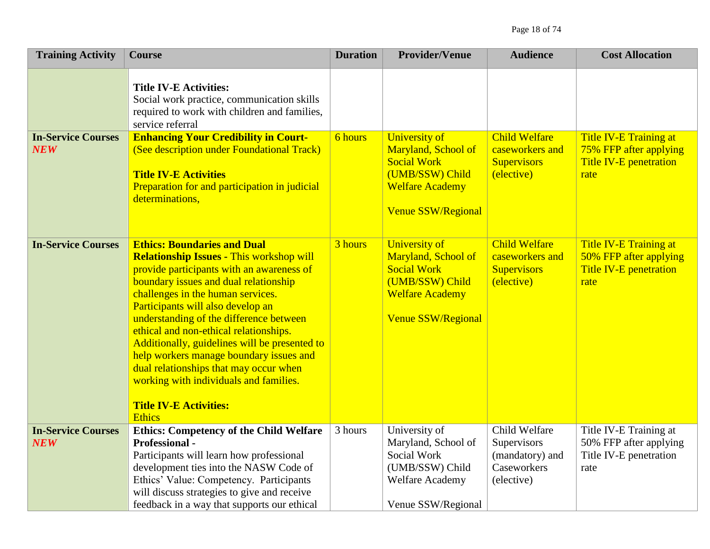| <b>Training Activity</b>                | <b>Course</b>                                                                                                                                                                                                                                                                                                                                                                                                                                                                                                                                                                | <b>Duration</b> | <b>Provider/Venue</b>                                                                                                                       | <b>Audience</b>                                                              | <b>Cost Allocation</b>                                                                    |
|-----------------------------------------|------------------------------------------------------------------------------------------------------------------------------------------------------------------------------------------------------------------------------------------------------------------------------------------------------------------------------------------------------------------------------------------------------------------------------------------------------------------------------------------------------------------------------------------------------------------------------|-----------------|---------------------------------------------------------------------------------------------------------------------------------------------|------------------------------------------------------------------------------|-------------------------------------------------------------------------------------------|
|                                         | <b>Title IV-E Activities:</b><br>Social work practice, communication skills<br>required to work with children and families,<br>service referral                                                                                                                                                                                                                                                                                                                                                                                                                              |                 |                                                                                                                                             |                                                                              |                                                                                           |
| <b>In-Service Courses</b><br><b>NEW</b> | <b>Enhancing Your Credibility in Court-</b><br>(See description under Foundational Track)<br><b>Title IV-E Activities</b><br>Preparation for and participation in judicial<br>determinations,                                                                                                                                                                                                                                                                                                                                                                                | 6 hours         | <b>University of</b><br>Maryland, School of<br><b>Social Work</b><br>(UMB/SSW) Child<br><b>Welfare Academy</b><br><b>Venue SSW/Regional</b> | <b>Child Welfare</b><br>caseworkers and<br><b>Supervisors</b><br>(elective)  | Title IV-E Training at<br>75% FFP after applying<br>Title IV-E penetration<br>rate        |
| <b>In-Service Courses</b>               | <b>Ethics: Boundaries and Dual</b><br><b>Relationship Issues - This workshop will</b><br>provide participants with an awareness of<br>boundary issues and dual relationship<br>challenges in the human services.<br>Participants will also develop an<br>understanding of the difference between<br>ethical and non-ethical relationships.<br>Additionally, guidelines will be presented to<br>help workers manage boundary issues and<br>dual relationships that may occur when<br>working with individuals and families.<br><b>Title IV-E Activities:</b><br><b>Ethics</b> | 3 hours         | <b>University of</b><br>Maryland, School of<br><b>Social Work</b><br>(UMB/SSW) Child<br><b>Welfare Academy</b><br><b>Venue SSW/Regional</b> | <b>Child Welfare</b><br>caseworkers and<br><b>Supervisors</b><br>(elective)  | Title IV-E Training at<br>50% FFP after applying<br><b>Title IV-E penetration</b><br>rate |
| <b>In-Service Courses</b><br><b>NEW</b> | <b>Ethics: Competency of the Child Welfare</b><br><b>Professional -</b><br>Participants will learn how professional<br>development ties into the NASW Code of<br>Ethics' Value: Competency. Participants<br>will discuss strategies to give and receive<br>feedback in a way that supports our ethical                                                                                                                                                                                                                                                                       | 3 hours         | University of<br>Maryland, School of<br>Social Work<br>(UMB/SSW) Child<br><b>Welfare Academy</b><br>Venue SSW/Regional                      | Child Welfare<br>Supervisors<br>(mandatory) and<br>Caseworkers<br>(elective) | Title IV-E Training at<br>50% FFP after applying<br>Title IV-E penetration<br>rate        |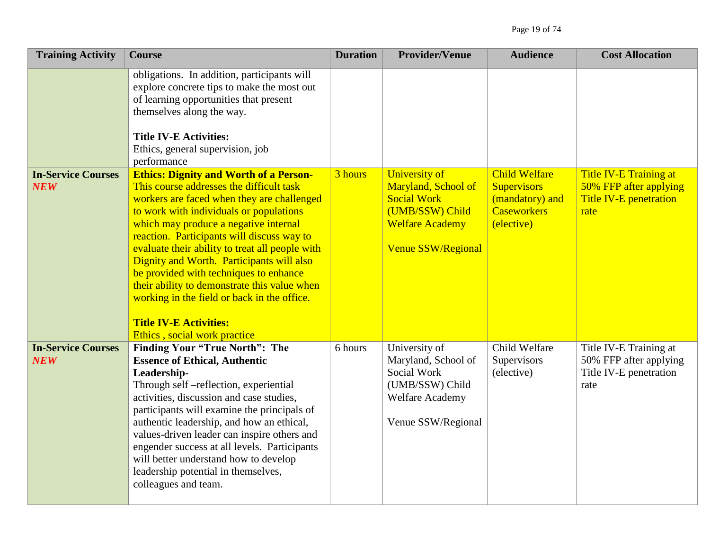| <b>Training Activity</b>                | <b>Course</b>                                                                                                                                                                                                                                                                                                                                                                                                                                                                                                                                                                       | <b>Duration</b> | <b>Provider/Venue</b>                                                                                                                       | <b>Audience</b>                                                                                   | <b>Cost Allocation</b>                                                                    |
|-----------------------------------------|-------------------------------------------------------------------------------------------------------------------------------------------------------------------------------------------------------------------------------------------------------------------------------------------------------------------------------------------------------------------------------------------------------------------------------------------------------------------------------------------------------------------------------------------------------------------------------------|-----------------|---------------------------------------------------------------------------------------------------------------------------------------------|---------------------------------------------------------------------------------------------------|-------------------------------------------------------------------------------------------|
|                                         | obligations. In addition, participants will<br>explore concrete tips to make the most out<br>of learning opportunities that present<br>themselves along the way.<br><b>Title IV-E Activities:</b><br>Ethics, general supervision, job<br>performance                                                                                                                                                                                                                                                                                                                                |                 |                                                                                                                                             |                                                                                                   |                                                                                           |
| <b>In-Service Courses</b><br><b>NEW</b> | <b>Ethics: Dignity and Worth of a Person-</b><br>This course addresses the difficult task<br>workers are faced when they are challenged<br>to work with individuals or populations<br>which may produce a negative internal<br>reaction. Participants will discuss way to<br>evaluate their ability to treat all people with<br>Dignity and Worth. Participants will also<br>be provided with techniques to enhance<br>their ability to demonstrate this value when<br>working in the field or back in the office.<br><b>Title IV-E Activities:</b><br>Ethics, social work practice | 3 hours         | <b>University of</b><br>Maryland, School of<br><b>Social Work</b><br>(UMB/SSW) Child<br><b>Welfare Academy</b><br><b>Venue SSW/Regional</b> | <b>Child Welfare</b><br><b>Supervisors</b><br>(mandatory) and<br><b>Caseworkers</b><br>(elective) | Title IV-E Training at<br>50% FFP after applying<br><b>Title IV-E penetration</b><br>rate |
| <b>In-Service Courses</b><br><b>NEW</b> | <b>Finding Your "True North": The</b><br><b>Essence of Ethical, Authentic</b><br>Leadership-<br>Through self -reflection, experiential<br>activities, discussion and case studies,<br>participants will examine the principals of<br>authentic leadership, and how an ethical,<br>values-driven leader can inspire others and<br>engender success at all levels. Participants<br>will better understand how to develop<br>leadership potential in themselves,<br>colleagues and team.                                                                                               | 6 hours         | University of<br>Maryland, School of<br>Social Work<br>(UMB/SSW) Child<br>Welfare Academy<br>Venue SSW/Regional                             | Child Welfare<br>Supervisors<br>(elective)                                                        | Title IV-E Training at<br>50% FFP after applying<br>Title IV-E penetration<br>rate        |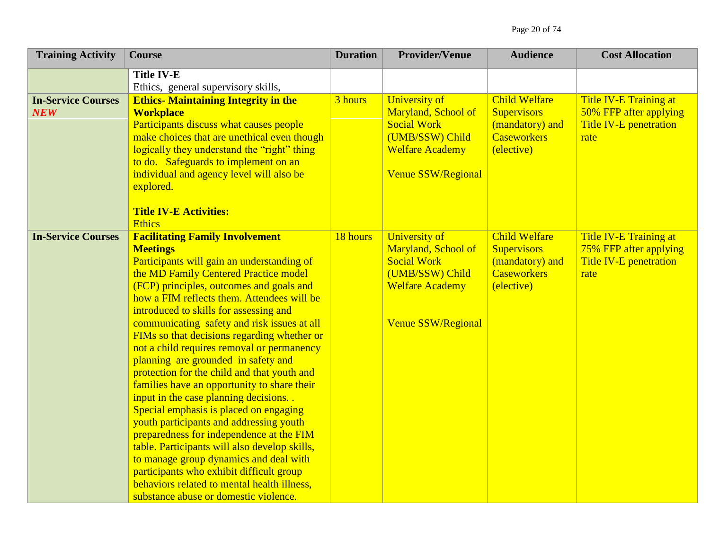| <b>Training Activity</b>                | <b>Course</b>                                                                                                                                                                                                                                                                                                                                                                                                                                                                                                                                                                                                                                                                                                                                                                                                                                                                                                                                                                 | <b>Duration</b> | <b>Provider/Venue</b>                                                                                                                | <b>Audience</b>                                                                                   | <b>Cost Allocation</b>                                                                           |
|-----------------------------------------|-------------------------------------------------------------------------------------------------------------------------------------------------------------------------------------------------------------------------------------------------------------------------------------------------------------------------------------------------------------------------------------------------------------------------------------------------------------------------------------------------------------------------------------------------------------------------------------------------------------------------------------------------------------------------------------------------------------------------------------------------------------------------------------------------------------------------------------------------------------------------------------------------------------------------------------------------------------------------------|-----------------|--------------------------------------------------------------------------------------------------------------------------------------|---------------------------------------------------------------------------------------------------|--------------------------------------------------------------------------------------------------|
|                                         | <b>Title IV-E</b><br>Ethics, general supervisory skills,                                                                                                                                                                                                                                                                                                                                                                                                                                                                                                                                                                                                                                                                                                                                                                                                                                                                                                                      |                 |                                                                                                                                      |                                                                                                   |                                                                                                  |
| <b>In-Service Courses</b><br><b>NEW</b> | <b>Ethics- Maintaining Integrity in the</b><br><b>Workplace</b><br>Participants discuss what causes people<br>make choices that are unethical even though<br>logically they understand the "right" thing<br>to do. Safeguards to implement on an<br>individual and agency level will also be<br>explored.<br><b>Title IV-E Activities:</b><br><b>Ethics</b>                                                                                                                                                                                                                                                                                                                                                                                                                                                                                                                                                                                                                   | 3 hours         | University of<br>Maryland, School of<br><b>Social Work</b><br>(UMB/SSW) Child<br><b>Welfare Academy</b><br><b>Venue SSW/Regional</b> | <b>Child Welfare</b><br><b>Supervisors</b><br>(mandatory) and<br><b>Caseworkers</b><br>(elective) | Title IV-E Training at<br>50% FFP after applying<br><b>Title IV-E penetration</b><br>rate        |
| <b>In-Service Courses</b>               | <b>Facilitating Family Involvement</b><br><b>Meetings</b><br>Participants will gain an understanding of<br>the MD Family Centered Practice model<br>(FCP) principles, outcomes and goals and<br>how a FIM reflects them. Attendees will be<br>introduced to skills for assessing and<br>communicating safety and risk issues at all<br>FIMs so that decisions regarding whether or<br>not a child requires removal or permanency<br>planning are grounded in safety and<br>protection for the child and that youth and<br>families have an opportunity to share their<br>input in the case planning decisions<br>Special emphasis is placed on engaging<br>youth participants and addressing youth<br>preparedness for independence at the FIM<br>table. Participants will also develop skills,<br>to manage group dynamics and deal with<br>participants who exhibit difficult group<br>behaviors related to mental health illness,<br>substance abuse or domestic violence. | 18 hours        | University of<br>Maryland, School of<br><b>Social Work</b><br>(UMB/SSW) Child<br><b>Welfare Academy</b><br><b>Venue SSW/Regional</b> | <b>Child Welfare</b><br><b>Supervisors</b><br>(mandatory) and<br><b>Caseworkers</b><br>(elective) | <b>Title IV-E Training at</b><br>75% FFP after applying<br><b>Title IV-E penetration</b><br>rate |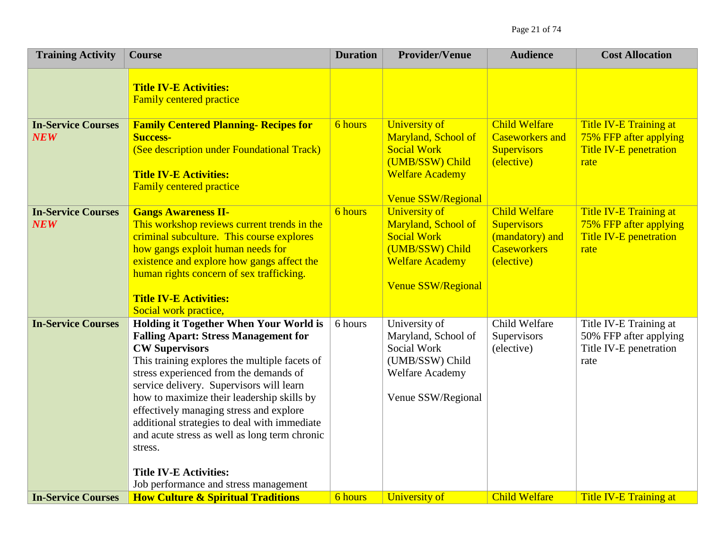| <b>Training Activity</b>                | <b>Course</b>                                                                                                                                                                                                                                                                                                                                                                                                                                                                                      | <b>Duration</b> | <b>Provider/Venue</b>                                                                                                                       | <b>Audience</b>                                                                                   | <b>Cost Allocation</b>                                                                    |
|-----------------------------------------|----------------------------------------------------------------------------------------------------------------------------------------------------------------------------------------------------------------------------------------------------------------------------------------------------------------------------------------------------------------------------------------------------------------------------------------------------------------------------------------------------|-----------------|---------------------------------------------------------------------------------------------------------------------------------------------|---------------------------------------------------------------------------------------------------|-------------------------------------------------------------------------------------------|
|                                         | <b>Title IV-E Activities:</b><br><b>Family centered practice</b>                                                                                                                                                                                                                                                                                                                                                                                                                                   |                 |                                                                                                                                             |                                                                                                   |                                                                                           |
| <b>In-Service Courses</b><br><b>NEW</b> | <b>Family Centered Planning- Recipes for</b><br><b>Success-</b><br>(See description under Foundational Track)<br><b>Title IV-E Activities:</b><br><b>Family centered practice</b>                                                                                                                                                                                                                                                                                                                  | 6 hours         | <b>University of</b><br>Maryland, School of<br><b>Social Work</b><br>(UMB/SSW) Child<br><b>Welfare Academy</b><br>Venue SSW/Regional        | <b>Child Welfare</b><br><b>Caseworkers and</b><br><b>Supervisors</b><br>(elective)                | Title IV-E Training at<br>75% FFP after applying<br><b>Title IV-E penetration</b><br>rate |
| <b>In-Service Courses</b><br><b>NEW</b> | <b>Gangs Awareness II-</b><br>This workshop reviews current trends in the<br>criminal subculture. This course explores<br>how gangs exploit human needs for<br>existence and explore how gangs affect the<br>human rights concern of sex trafficking.<br><b>Title IV-E Activities:</b><br>Social work practice,                                                                                                                                                                                    | 6 hours         | <b>University of</b><br>Maryland, School of<br><b>Social Work</b><br>(UMB/SSW) Child<br><b>Welfare Academy</b><br><b>Venue SSW/Regional</b> | <b>Child Welfare</b><br><b>Supervisors</b><br>(mandatory) and<br><b>Caseworkers</b><br>(elective) | Title IV-E Training at<br>75% FFP after applying<br>Title IV-E penetration<br>rate        |
| <b>In-Service Courses</b>               | <b>Holding it Together When Your World is</b><br><b>Falling Apart: Stress Management for</b><br><b>CW Supervisors</b><br>This training explores the multiple facets of<br>stress experienced from the demands of<br>service delivery. Supervisors will learn<br>how to maximize their leadership skills by<br>effectively managing stress and explore<br>additional strategies to deal with immediate<br>and acute stress as well as long term chronic<br>stress.<br><b>Title IV-E Activities:</b> | 6 hours         | University of<br>Maryland, School of<br>Social Work<br>(UMB/SSW) Child<br>Welfare Academy<br>Venue SSW/Regional                             | Child Welfare<br>Supervisors<br>(elective)                                                        | Title IV-E Training at<br>50% FFP after applying<br>Title IV-E penetration<br>rate        |
|                                         | Job performance and stress management                                                                                                                                                                                                                                                                                                                                                                                                                                                              |                 |                                                                                                                                             |                                                                                                   |                                                                                           |
| <b>In-Service Courses</b>               | <b>How Culture &amp; Spiritual Traditions</b>                                                                                                                                                                                                                                                                                                                                                                                                                                                      | 6 hours         | University of                                                                                                                               | <b>Child Welfare</b>                                                                              | <b>Title IV-E Training at</b>                                                             |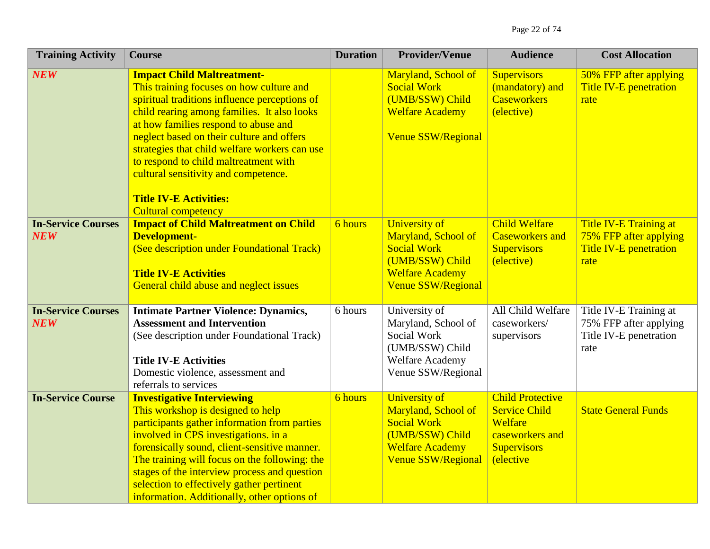| <b>Training Activity</b>                | <b>Course</b>                                                                                                                                                                                                                                                                                                                                                                                                                                                       | <b>Duration</b> | <b>Provider/Venue</b>                                                                                                                       | <b>Audience</b>                                                                                                                 | <b>Cost Allocation</b>                                                                           |
|-----------------------------------------|---------------------------------------------------------------------------------------------------------------------------------------------------------------------------------------------------------------------------------------------------------------------------------------------------------------------------------------------------------------------------------------------------------------------------------------------------------------------|-----------------|---------------------------------------------------------------------------------------------------------------------------------------------|---------------------------------------------------------------------------------------------------------------------------------|--------------------------------------------------------------------------------------------------|
| <b>NEW</b>                              | <b>Impact Child Maltreatment-</b><br>This training focuses on how culture and<br>spiritual traditions influence perceptions of<br>child rearing among families. It also looks<br>at how families respond to abuse and<br>neglect based on their culture and offers<br>strategies that child welfare workers can use<br>to respond to child maltreatment with<br>cultural sensitivity and competence.<br><b>Title IV-E Activities:</b><br><b>Cultural competency</b> |                 | Maryland, School of<br><b>Social Work</b><br>(UMB/SSW) Child<br><b>Welfare Academy</b><br><b>Venue SSW/Regional</b>                         | <b>Supervisors</b><br>(mandatory) and<br><b>Caseworkers</b><br>(elective)                                                       | 50% FFP after applying<br><b>Title IV-E penetration</b><br>rate                                  |
| <b>In-Service Courses</b><br><b>NEW</b> | <b>Impact of Child Maltreatment on Child</b><br><b>Development-</b><br>(See description under Foundational Track)<br><b>Title IV-E Activities</b><br>General child abuse and neglect issues                                                                                                                                                                                                                                                                         | 6 hours         | <b>University of</b><br>Maryland, School of<br><b>Social Work</b><br>(UMB/SSW) Child<br><b>Welfare Academy</b><br><b>Venue SSW/Regional</b> | <b>Child Welfare</b><br><b>Caseworkers and</b><br><b>Supervisors</b><br>(elective)                                              | <b>Title IV-E Training at</b><br>75% FFP after applying<br><b>Title IV-E penetration</b><br>rate |
| <b>In-Service Courses</b><br><b>NEW</b> | <b>Intimate Partner Violence: Dynamics,</b><br><b>Assessment and Intervention</b><br>(See description under Foundational Track)<br><b>Title IV-E Activities</b><br>Domestic violence, assessment and<br>referrals to services                                                                                                                                                                                                                                       | 6 hours         | University of<br>Maryland, School of<br>Social Work<br>(UMB/SSW) Child<br>Welfare Academy<br>Venue SSW/Regional                             | All Child Welfare<br>caseworkers/<br>supervisors                                                                                | Title IV-E Training at<br>75% FFP after applying<br>Title IV-E penetration<br>rate               |
| <b>In-Service Course</b>                | <b>Investigative Interviewing</b><br>This workshop is designed to help<br>participants gather information from parties<br>involved in CPS investigations. in a<br>forensically sound, client-sensitive manner.<br>The training will focus on the following: the<br>stages of the interview process and question<br>selection to effectively gather pertinent<br>information. Additionally, other options of                                                         | <b>6</b> hours  | <b>University of</b><br>Maryland, School of<br><b>Social Work</b><br>(UMB/SSW) Child<br><b>Welfare Academy</b><br><b>Venue SSW/Regional</b> | <b>Child Protective</b><br><b>Service Child</b><br>Welfare<br>caseworkers and<br><b>Supervisors</b><br><i><b>(elective)</b></i> | <b>State General Funds</b>                                                                       |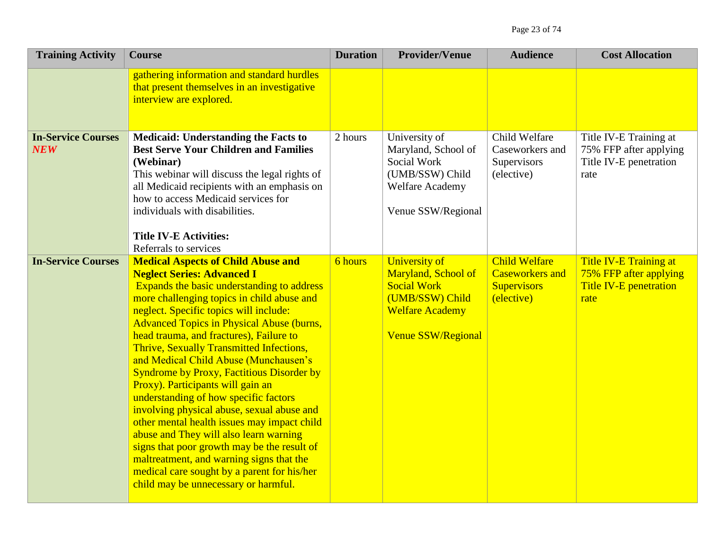| <b>Training Activity</b>                | <b>Course</b>                                                                                                                                                                                                                                                                                                                                                                                                                                                                                                                                                                                                                                                                                                                                                                                                                                                       | <b>Duration</b> | <b>Provider/Venue</b>                                                                                                                       | <b>Audience</b>                                                                    | <b>Cost Allocation</b>                                                             |
|-----------------------------------------|---------------------------------------------------------------------------------------------------------------------------------------------------------------------------------------------------------------------------------------------------------------------------------------------------------------------------------------------------------------------------------------------------------------------------------------------------------------------------------------------------------------------------------------------------------------------------------------------------------------------------------------------------------------------------------------------------------------------------------------------------------------------------------------------------------------------------------------------------------------------|-----------------|---------------------------------------------------------------------------------------------------------------------------------------------|------------------------------------------------------------------------------------|------------------------------------------------------------------------------------|
|                                         | gathering information and standard hurdles<br>that present themselves in an investigative<br>interview are explored.                                                                                                                                                                                                                                                                                                                                                                                                                                                                                                                                                                                                                                                                                                                                                |                 |                                                                                                                                             |                                                                                    |                                                                                    |
| <b>In-Service Courses</b><br><b>NEW</b> | <b>Medicaid: Understanding the Facts to</b><br><b>Best Serve Your Children and Families</b><br>(Webinar)<br>This webinar will discuss the legal rights of<br>all Medicaid recipients with an emphasis on<br>how to access Medicaid services for<br>individuals with disabilities.<br><b>Title IV-E Activities:</b><br>Referrals to services                                                                                                                                                                                                                                                                                                                                                                                                                                                                                                                         | 2 hours         | University of<br>Maryland, School of<br>Social Work<br>(UMB/SSW) Child<br><b>Welfare Academy</b><br>Venue SSW/Regional                      | Child Welfare<br>Caseworkers and<br>Supervisors<br>(elective)                      | Title IV-E Training at<br>75% FFP after applying<br>Title IV-E penetration<br>rate |
| <b>In-Service Courses</b>               | <b>Medical Aspects of Child Abuse and</b><br><b>Neglect Series: Advanced I</b><br>Expands the basic understanding to address<br>more challenging topics in child abuse and<br>neglect. Specific topics will include:<br><b>Advanced Topics in Physical Abuse (burns,</b><br>head trauma, and fractures), Failure to<br>Thrive, Sexually Transmitted Infections,<br>and Medical Child Abuse (Munchausen's<br><b>Syndrome by Proxy, Factitious Disorder by</b><br>Proxy). Participants will gain an<br>understanding of how specific factors<br>involving physical abuse, sexual abuse and<br>other mental health issues may impact child<br>abuse and They will also learn warning<br>signs that poor growth may be the result of<br>maltreatment, and warning signs that the<br>medical care sought by a parent for his/her<br>child may be unnecessary or harmful. | 6 hours         | <b>University of</b><br>Maryland, School of<br><b>Social Work</b><br>(UMB/SSW) Child<br><b>Welfare Academy</b><br><b>Venue SSW/Regional</b> | <b>Child Welfare</b><br><b>Caseworkers</b> and<br><b>Supervisors</b><br>(elective) | Title IV-E Training at<br>75% FFP after applying<br>Title IV-E penetration<br>rate |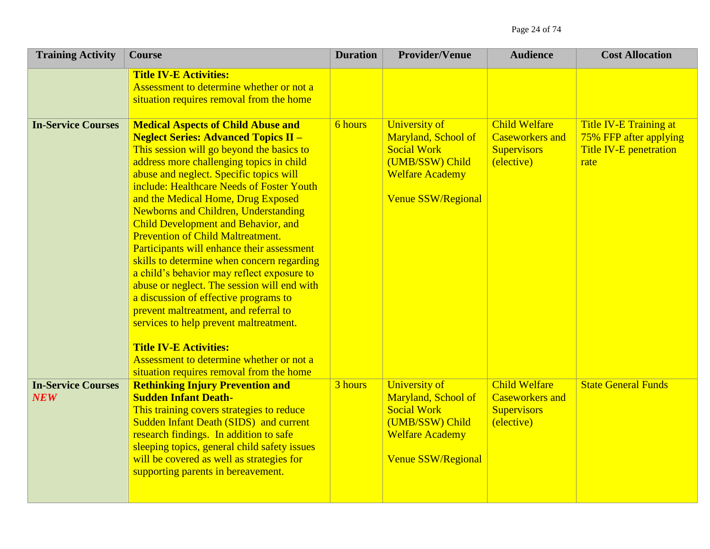| <b>Training Activity</b>                | <b>Course</b>                                                                                                                                                                                                                                                                                                                                                                                                                                                                                                                                                                                                                                                                                                                                                                                                                                              | <b>Duration</b> | <b>Provider/Venue</b>                                                                                                                | <b>Audience</b>                                                                    | <b>Cost Allocation</b>                                                             |
|-----------------------------------------|------------------------------------------------------------------------------------------------------------------------------------------------------------------------------------------------------------------------------------------------------------------------------------------------------------------------------------------------------------------------------------------------------------------------------------------------------------------------------------------------------------------------------------------------------------------------------------------------------------------------------------------------------------------------------------------------------------------------------------------------------------------------------------------------------------------------------------------------------------|-----------------|--------------------------------------------------------------------------------------------------------------------------------------|------------------------------------------------------------------------------------|------------------------------------------------------------------------------------|
|                                         | <b>Title IV-E Activities:</b><br>Assessment to determine whether or not a<br>situation requires removal from the home                                                                                                                                                                                                                                                                                                                                                                                                                                                                                                                                                                                                                                                                                                                                      |                 |                                                                                                                                      |                                                                                    |                                                                                    |
| <b>In-Service Courses</b>               | <b>Medical Aspects of Child Abuse and</b><br><b>Neglect Series: Advanced Topics II -</b><br>This session will go beyond the basics to<br>address more challenging topics in child<br>abuse and neglect. Specific topics will<br>include: Healthcare Needs of Foster Youth<br>and the Medical Home, Drug Exposed<br><b>Newborns and Children, Understanding</b><br><b>Child Development and Behavior, and</b><br><b>Prevention of Child Maltreatment.</b><br>Participants will enhance their assessment<br>skills to determine when concern regarding<br>a child's behavior may reflect exposure to<br>abuse or neglect. The session will end with<br>a discussion of effective programs to<br>prevent maltreatment, and referral to<br>services to help prevent maltreatment.<br><b>Title IV-E Activities:</b><br>Assessment to determine whether or not a | <b>6</b> hours  | University of<br>Maryland, School of<br><b>Social Work</b><br>(UMB/SSW) Child<br><b>Welfare Academy</b><br><b>Venue SSW/Regional</b> | <b>Child Welfare</b><br><b>Caseworkers and</b><br><b>Supervisors</b><br>(elective) | Title IV-E Training at<br>75% FFP after applying<br>Title IV-E penetration<br>rate |
| <b>In-Service Courses</b><br><b>NEW</b> | situation requires removal from the home<br><b>Rethinking Injury Prevention and</b><br><b>Sudden Infant Death-</b><br>This training covers strategies to reduce<br><b>Sudden Infant Death (SIDS) and current</b><br>research findings. In addition to safe<br>sleeping topics, general child safety issues<br>will be covered as well as strategies for<br>supporting parents in bereavement.                                                                                                                                                                                                                                                                                                                                                                                                                                                              | 3 hours         | <b>University of</b><br>Maryland, School of<br><b>Social Work</b><br>(UMB/SSW) Child<br><b>Welfare Academy</b><br>Venue SSW/Regional | <b>Child Welfare</b><br><b>Caseworkers and</b><br><b>Supervisors</b><br>(elective) | <b>State General Funds</b>                                                         |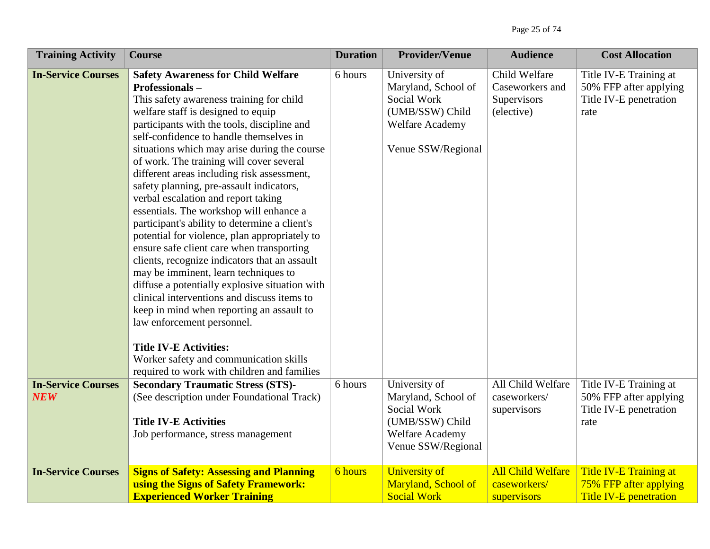| <b>Training Activity</b>                | <b>Course</b>                                                                                                                                                                                                                                                                                                                                                                                                                                                                                                                                                                                                                                                                                                                                                                                                                                                                                                                                                                                                                                                 | <b>Duration</b> | <b>Provider/Venue</b>                                                                                                  | <b>Audience</b>                                               | <b>Cost Allocation</b>                                                             |
|-----------------------------------------|---------------------------------------------------------------------------------------------------------------------------------------------------------------------------------------------------------------------------------------------------------------------------------------------------------------------------------------------------------------------------------------------------------------------------------------------------------------------------------------------------------------------------------------------------------------------------------------------------------------------------------------------------------------------------------------------------------------------------------------------------------------------------------------------------------------------------------------------------------------------------------------------------------------------------------------------------------------------------------------------------------------------------------------------------------------|-----------------|------------------------------------------------------------------------------------------------------------------------|---------------------------------------------------------------|------------------------------------------------------------------------------------|
| <b>In-Service Courses</b>               | <b>Safety Awareness for Child Welfare</b><br>Professionals-<br>This safety awareness training for child<br>welfare staff is designed to equip<br>participants with the tools, discipline and<br>self-confidence to handle themselves in<br>situations which may arise during the course<br>of work. The training will cover several<br>different areas including risk assessment,<br>safety planning, pre-assault indicators,<br>verbal escalation and report taking<br>essentials. The workshop will enhance a<br>participant's ability to determine a client's<br>potential for violence, plan appropriately to<br>ensure safe client care when transporting<br>clients, recognize indicators that an assault<br>may be imminent, learn techniques to<br>diffuse a potentially explosive situation with<br>clinical interventions and discuss items to<br>keep in mind when reporting an assault to<br>law enforcement personnel.<br><b>Title IV-E Activities:</b><br>Worker safety and communication skills<br>required to work with children and families | 6 hours         | University of<br>Maryland, School of<br>Social Work<br>(UMB/SSW) Child<br><b>Welfare Academy</b><br>Venue SSW/Regional | Child Welfare<br>Caseworkers and<br>Supervisors<br>(elective) | Title IV-E Training at<br>50% FFP after applying<br>Title IV-E penetration<br>rate |
| <b>In-Service Courses</b><br><b>NEW</b> | <b>Secondary Traumatic Stress (STS)-</b><br>(See description under Foundational Track)<br><b>Title IV-E Activities</b><br>Job performance, stress management                                                                                                                                                                                                                                                                                                                                                                                                                                                                                                                                                                                                                                                                                                                                                                                                                                                                                                  | 6 hours         | University of<br>Maryland, School of<br>Social Work<br>(UMB/SSW) Child<br>Welfare Academy<br>Venue SSW/Regional        | All Child Welfare<br>caseworkers/<br>supervisors              | Title IV-E Training at<br>50% FFP after applying<br>Title IV-E penetration<br>rate |
| <b>In-Service Courses</b>               | <b>Signs of Safety: Assessing and Planning</b><br>using the Signs of Safety Framework:<br><b>Experienced Worker Training</b>                                                                                                                                                                                                                                                                                                                                                                                                                                                                                                                                                                                                                                                                                                                                                                                                                                                                                                                                  | <b>6</b> hours  | <b>University of</b><br><b>Maryland, School of</b><br><b>Social Work</b>                                               | <b>All Child Welfare</b><br>caseworkers/<br>supervisors       | Title IV-E Training at<br>75% FFP after applying<br><b>Title IV-E penetration</b>  |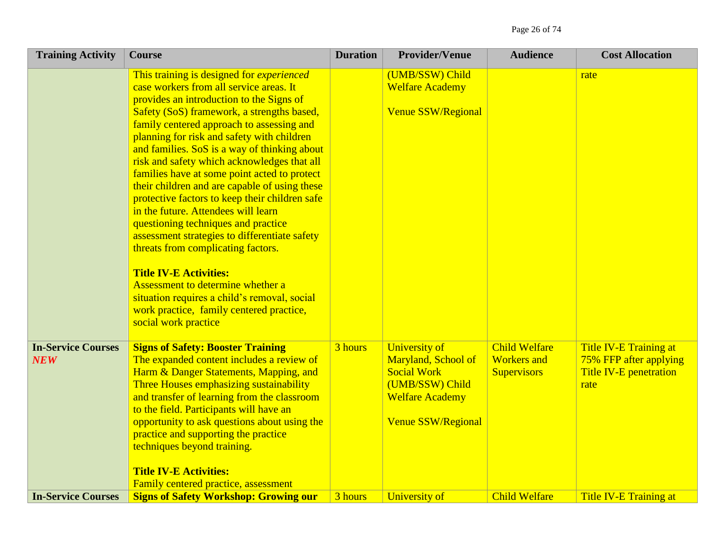Page 26 of 74

| <b>Training Activity</b>                | <b>Course</b>                                                                                                                                                                                                                                                                                                                                                                                                                                                                                                                                                                                                                                                                                                                                                                                                                                                                                     | <b>Duration</b> | <b>Provider/Venue</b>                                                                                                                       | <b>Audience</b>                                                  | <b>Cost Allocation</b>                                                                    |
|-----------------------------------------|---------------------------------------------------------------------------------------------------------------------------------------------------------------------------------------------------------------------------------------------------------------------------------------------------------------------------------------------------------------------------------------------------------------------------------------------------------------------------------------------------------------------------------------------------------------------------------------------------------------------------------------------------------------------------------------------------------------------------------------------------------------------------------------------------------------------------------------------------------------------------------------------------|-----------------|---------------------------------------------------------------------------------------------------------------------------------------------|------------------------------------------------------------------|-------------------------------------------------------------------------------------------|
|                                         | This training is designed for <i>experienced</i><br>case workers from all service areas. It<br>provides an introduction to the Signs of<br>Safety (SoS) framework, a strengths based,<br>family centered approach to assessing and<br>planning for risk and safety with children<br>and families. SoS is a way of thinking about<br>risk and safety which acknowledges that all<br>families have at some point acted to protect<br>their children and are capable of using these<br>protective factors to keep their children safe<br>in the future. Attendees will learn<br>questioning techniques and practice<br>assessment strategies to differentiate safety<br>threats from complicating factors.<br><b>Title IV-E Activities:</b><br>Assessment to determine whether a<br>situation requires a child's removal, social<br>work practice, family centered practice,<br>social work practice |                 | (UMB/SSW) Child<br><b>Welfare Academy</b><br>Venue SSW/Regional                                                                             |                                                                  | rate                                                                                      |
| <b>In-Service Courses</b><br><b>NEW</b> | <b>Signs of Safety: Booster Training</b><br>The expanded content includes a review of<br>Harm & Danger Statements, Mapping, and<br>Three Houses emphasizing sustainability<br>and transfer of learning from the classroom<br>to the field. Participants will have an<br>opportunity to ask questions about using the<br>practice and supporting the practice<br>techniques beyond training.<br><b>Title IV-E Activities:</b><br>Family centered practice, assessment                                                                                                                                                                                                                                                                                                                                                                                                                              | 3 hours         | <b>University of</b><br>Maryland, School of<br><b>Social Work</b><br>(UMB/SSW) Child<br><b>Welfare Academy</b><br><b>Venue SSW/Regional</b> | <b>Child Welfare</b><br><b>Workers</b> and<br><b>Supervisors</b> | Title IV-E Training at<br>75% FFP after applying<br><b>Title IV-E penetration</b><br>rate |
| <b>In-Service Courses</b>               | <b>Signs of Safety Workshop: Growing our</b>                                                                                                                                                                                                                                                                                                                                                                                                                                                                                                                                                                                                                                                                                                                                                                                                                                                      | 3 hours         | University of                                                                                                                               | <b>Child Welfare</b>                                             | <b>Title IV-E Training at</b>                                                             |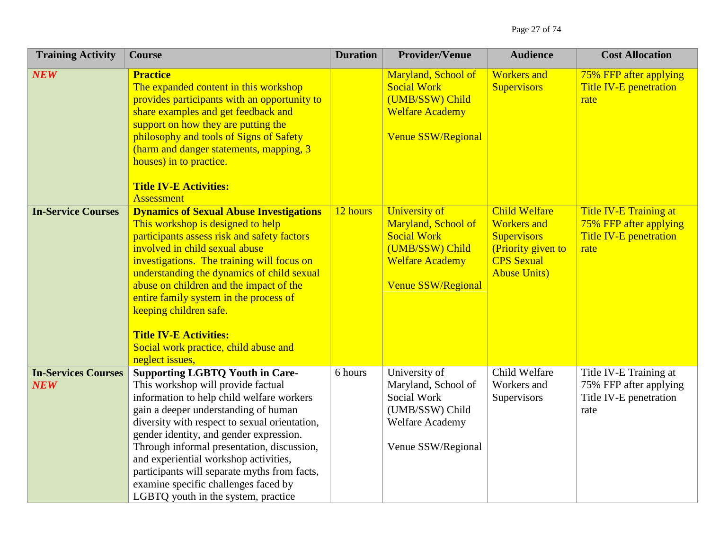| <b>Training Activity</b>                 | <b>Course</b>                                                                                                                                                                                                                                                                                                                                                                                                                                                                       | <b>Duration</b> | <b>Provider/Venue</b>                                                                                                                | <b>Audience</b>                                                                                                                     | <b>Cost Allocation</b>                                                                    |
|------------------------------------------|-------------------------------------------------------------------------------------------------------------------------------------------------------------------------------------------------------------------------------------------------------------------------------------------------------------------------------------------------------------------------------------------------------------------------------------------------------------------------------------|-----------------|--------------------------------------------------------------------------------------------------------------------------------------|-------------------------------------------------------------------------------------------------------------------------------------|-------------------------------------------------------------------------------------------|
| <b>NEW</b>                               | <b>Practice</b><br>The expanded content in this workshop<br>provides participants with an opportunity to<br>share examples and get feedback and<br>support on how they are putting the<br>philosophy and tools of Signs of Safety<br>(harm and danger statements, mapping, 3<br>houses) in to practice.<br><b>Title IV-E Activities:</b><br><b>Assessment</b>                                                                                                                       |                 | Maryland, School of<br><b>Social Work</b><br>(UMB/SSW) Child<br><b>Welfare Academy</b><br><b>Venue SSW/Regional</b>                  | <b>Workers</b> and<br><b>Supervisors</b>                                                                                            | 75% FFP after applying<br><b>Title IV-E penetration</b><br>rate                           |
| <b>In-Service Courses</b>                | <b>Dynamics of Sexual Abuse Investigations</b><br>This workshop is designed to help<br>participants assess risk and safety factors<br>involved in child sexual abuse<br>investigations. The training will focus on<br>understanding the dynamics of child sexual<br>abuse on children and the impact of the<br>entire family system in the process of<br>keeping children safe.<br><b>Title IV-E Activities:</b><br>Social work practice, child abuse and<br>neglect issues,        | 12 hours        | University of<br>Maryland, School of<br><b>Social Work</b><br>(UMB/SSW) Child<br><b>Welfare Academy</b><br><b>Venue SSW/Regional</b> | <b>Child Welfare</b><br><b>Workers</b> and<br><b>Supervisors</b><br>(Priority given to<br><b>CPS</b> Sexual<br><b>Abuse Units</b> ) | Title IV-E Training at<br>75% FFP after applying<br><b>Title IV-E penetration</b><br>rate |
| <b>In-Services Courses</b><br><b>NEW</b> | <b>Supporting LGBTQ Youth in Care-</b><br>This workshop will provide factual<br>information to help child welfare workers<br>gain a deeper understanding of human<br>diversity with respect to sexual orientation,<br>gender identity, and gender expression.<br>Through informal presentation, discussion,<br>and experiential workshop activities,<br>participants will separate myths from facts,<br>examine specific challenges faced by<br>LGBTQ youth in the system, practice | 6 hours         | University of<br>Maryland, School of<br>Social Work<br>(UMB/SSW) Child<br>Welfare Academy<br>Venue SSW/Regional                      | Child Welfare<br>Workers and<br>Supervisors                                                                                         | Title IV-E Training at<br>75% FFP after applying<br>Title IV-E penetration<br>rate        |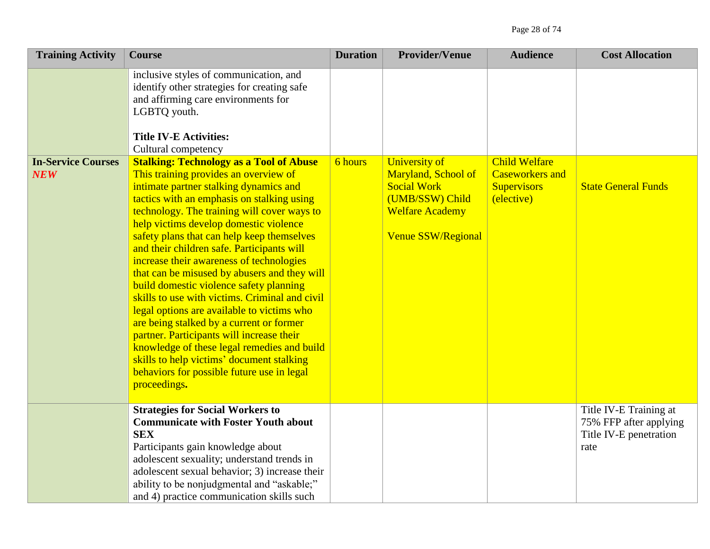| <b>Training Activity</b>                | <b>Course</b>                                                                                                                                                                                                                                                                                                                                                                                                                                                                                                                                                                                                                                                                                                                                                                                                                                                  | <b>Duration</b> | <b>Provider/Venue</b>                                                                                                                       | <b>Audience</b>                                                                    | <b>Cost Allocation</b>                                                             |
|-----------------------------------------|----------------------------------------------------------------------------------------------------------------------------------------------------------------------------------------------------------------------------------------------------------------------------------------------------------------------------------------------------------------------------------------------------------------------------------------------------------------------------------------------------------------------------------------------------------------------------------------------------------------------------------------------------------------------------------------------------------------------------------------------------------------------------------------------------------------------------------------------------------------|-----------------|---------------------------------------------------------------------------------------------------------------------------------------------|------------------------------------------------------------------------------------|------------------------------------------------------------------------------------|
|                                         | inclusive styles of communication, and<br>identify other strategies for creating safe<br>and affirming care environments for<br>LGBTQ youth.<br><b>Title IV-E Activities:</b><br>Cultural competency                                                                                                                                                                                                                                                                                                                                                                                                                                                                                                                                                                                                                                                           |                 |                                                                                                                                             |                                                                                    |                                                                                    |
| <b>In-Service Courses</b><br><b>NEW</b> | <b>Stalking: Technology as a Tool of Abuse</b><br>This training provides an overview of<br>intimate partner stalking dynamics and<br>tactics with an emphasis on stalking using<br>technology. The training will cover ways to<br>help victims develop domestic violence<br>safety plans that can help keep themselves<br>and their children safe. Participants will<br>increase their awareness of technologies<br>that can be misused by abusers and they will<br>build domestic violence safety planning<br>skills to use with victims. Criminal and civil<br>legal options are available to victims who<br>are being stalked by a current or former<br>partner. Participants will increase their<br>knowledge of these legal remedies and build<br>skills to help victims' document stalking<br>behaviors for possible future use in legal<br>proceedings. | 6 hours         | <b>University of</b><br>Maryland, School of<br><b>Social Work</b><br>(UMB/SSW) Child<br><b>Welfare Academy</b><br><b>Venue SSW/Regional</b> | <b>Child Welfare</b><br><b>Caseworkers and</b><br><b>Supervisors</b><br>(elective) | <b>State General Funds</b>                                                         |
|                                         | <b>Strategies for Social Workers to</b><br><b>Communicate with Foster Youth about</b><br><b>SEX</b><br>Participants gain knowledge about<br>adolescent sexuality; understand trends in<br>adolescent sexual behavior; 3) increase their<br>ability to be nonjudgmental and "askable;"<br>and 4) practice communication skills such                                                                                                                                                                                                                                                                                                                                                                                                                                                                                                                             |                 |                                                                                                                                             |                                                                                    | Title IV-E Training at<br>75% FFP after applying<br>Title IV-E penetration<br>rate |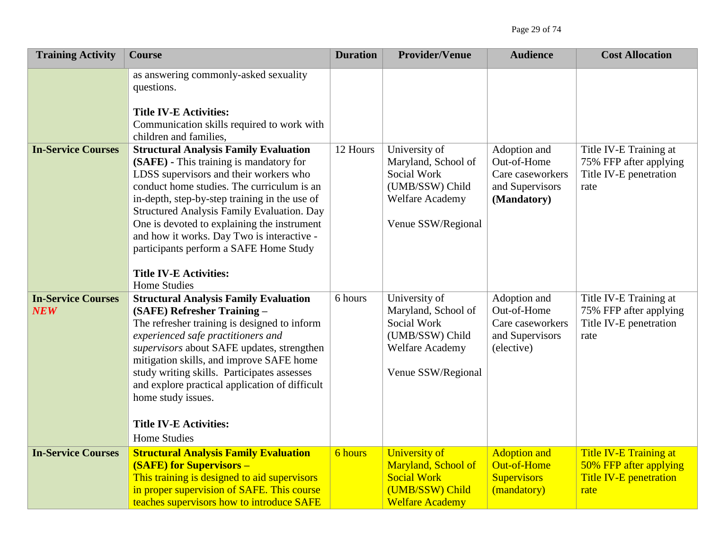| <b>Training Activity</b>         | <b>Course</b>                                                                                                                                                                                                                                                                                                                                                                                                                                                                        | <b>Duration</b> | <b>Provider/Venue</b>                                                                                                  | <b>Audience</b>                                                                   | <b>Cost Allocation</b>                                                             |
|----------------------------------|--------------------------------------------------------------------------------------------------------------------------------------------------------------------------------------------------------------------------------------------------------------------------------------------------------------------------------------------------------------------------------------------------------------------------------------------------------------------------------------|-----------------|------------------------------------------------------------------------------------------------------------------------|-----------------------------------------------------------------------------------|------------------------------------------------------------------------------------|
|                                  | as answering commonly-asked sexuality<br>questions.<br><b>Title IV-E Activities:</b><br>Communication skills required to work with<br>children and families,                                                                                                                                                                                                                                                                                                                         |                 |                                                                                                                        |                                                                                   |                                                                                    |
| <b>In-Service Courses</b>        | <b>Structural Analysis Family Evaluation</b><br>(SAFE) - This training is mandatory for<br>LDSS supervisors and their workers who<br>conduct home studies. The curriculum is an<br>in-depth, step-by-step training in the use of<br><b>Structured Analysis Family Evaluation. Day</b><br>One is devoted to explaining the instrument<br>and how it works. Day Two is interactive -<br>participants perform a SAFE Home Study<br><b>Title IV-E Activities:</b><br><b>Home Studies</b> | 12 Hours        | University of<br>Maryland, School of<br>Social Work<br>(UMB/SSW) Child<br><b>Welfare Academy</b><br>Venue SSW/Regional | Adoption and<br>Out-of-Home<br>Care caseworkers<br>and Supervisors<br>(Mandatory) | Title IV-E Training at<br>75% FFP after applying<br>Title IV-E penetration<br>rate |
| <b>In-Service Courses</b><br>NEW | <b>Structural Analysis Family Evaluation</b><br>(SAFE) Refresher Training -<br>The refresher training is designed to inform<br>experienced safe practitioners and<br>supervisors about SAFE updates, strengthen<br>mitigation skills, and improve SAFE home<br>study writing skills. Participates assesses<br>and explore practical application of difficult<br>home study issues.<br><b>Title IV-E Activities:</b><br><b>Home Studies</b>                                           | 6 hours         | University of<br>Maryland, School of<br>Social Work<br>(UMB/SSW) Child<br><b>Welfare Academy</b><br>Venue SSW/Regional | Adoption and<br>Out-of-Home<br>Care caseworkers<br>and Supervisors<br>(elective)  | Title IV-E Training at<br>75% FFP after applying<br>Title IV-E penetration<br>rate |
| <b>In-Service Courses</b>        | <b>Structural Analysis Family Evaluation</b><br><b>(SAFE) for Supervisors -</b><br>This training is designed to aid supervisors<br>in proper supervision of SAFE. This course<br>teaches supervisors how to introduce SAFE                                                                                                                                                                                                                                                           | <b>6</b> hours  | <b>University of</b><br>Maryland, School of<br><b>Social Work</b><br>(UMB/SSW) Child<br><b>Welfare Academy</b>         | <b>Adoption and</b><br><b>Out-of-Home</b><br><b>Supervisors</b><br>(mandatory)    | Title IV-E Training at<br>50% FFP after applying<br>Title IV-E penetration<br>rate |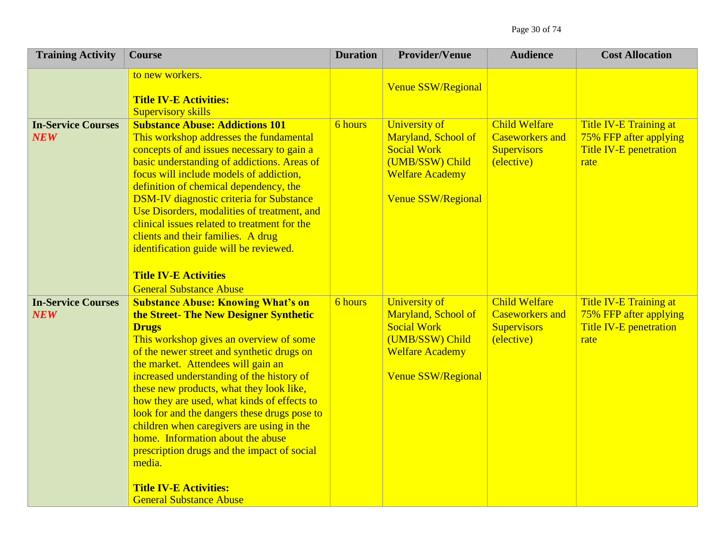| <b>Training Activity</b>                | <b>Course</b>                                                                                                                                                                                                                                                                                                                                                                                                                                                                                                                                                                                                                           | <b>Duration</b> | <b>Provider/Venue</b>                                                                                                                       | <b>Audience</b>                                                                    | <b>Cost Allocation</b>                                                             |
|-----------------------------------------|-----------------------------------------------------------------------------------------------------------------------------------------------------------------------------------------------------------------------------------------------------------------------------------------------------------------------------------------------------------------------------------------------------------------------------------------------------------------------------------------------------------------------------------------------------------------------------------------------------------------------------------------|-----------------|---------------------------------------------------------------------------------------------------------------------------------------------|------------------------------------------------------------------------------------|------------------------------------------------------------------------------------|
|                                         | to new workers.<br><b>Title IV-E Activities:</b><br><b>Supervisory skills</b>                                                                                                                                                                                                                                                                                                                                                                                                                                                                                                                                                           |                 | Venue SSW/Regional                                                                                                                          |                                                                                    |                                                                                    |
| <b>In-Service Courses</b><br><b>NEW</b> | <b>Substance Abuse: Addictions 101</b><br>This workshop addresses the fundamental<br>concepts of and issues necessary to gain a<br>basic understanding of addictions. Areas of<br>focus will include models of addiction,<br>definition of chemical dependency, the<br><b>DSM-IV diagnostic criteria for Substance</b><br>Use Disorders, modalities of treatment, and<br>clinical issues related to treatment for the<br>clients and their families. A drug<br>identification guide will be reviewed.<br><b>Title IV-E Activities</b><br><b>General Substance Abuse</b>                                                                 | <b>6</b> hours  | <b>University of</b><br>Maryland, School of<br><b>Social Work</b><br>(UMB/SSW) Child<br><b>Welfare Academy</b><br><b>Venue SSW/Regional</b> | <b>Child Welfare</b><br><b>Caseworkers and</b><br><b>Supervisors</b><br>(elective) | Title IV-E Training at<br>75% FFP after applying<br>Title IV-E penetration<br>rate |
| <b>In-Service Courses</b><br>NEW        | <b>Substance Abuse: Knowing What's on</b><br>the Street-The New Designer Synthetic<br><b>Drugs</b><br>This workshop gives an overview of some<br>of the newer street and synthetic drugs on<br>the market. Attendees will gain an<br>increased understanding of the history of<br>these new products, what they look like,<br>how they are used, what kinds of effects to<br>look for and the dangers these drugs pose to<br>children when caregivers are using in the<br>home. Information about the abuse<br>prescription drugs and the impact of social<br>media.<br><b>Title IV-E Activities:</b><br><b>General Substance Abuse</b> | <b>6</b> hours  | <b>University of</b><br>Maryland, School of<br><b>Social Work</b><br>(UMB/SSW) Child<br><b>Welfare Academy</b><br>Venue SSW/Regional        | <b>Child Welfare</b><br><b>Caseworkers and</b><br><b>Supervisors</b><br>(elective) | Title IV-E Training at<br>75% FFP after applying<br>Title IV-E penetration<br>rate |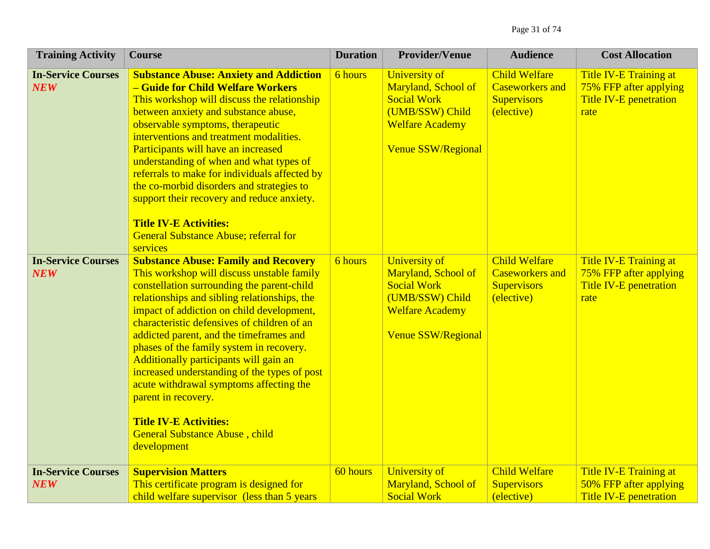| <b>Training Activity</b>                | <b>Course</b>                                                                                                                                                                                                                                                                                                                                                                                                                                                                                                                                                                                                            | <b>Duration</b> | <b>Provider/Venue</b>                                                                                                                       | <b>Audience</b>                                                                    | <b>Cost Allocation</b>                                                                           |
|-----------------------------------------|--------------------------------------------------------------------------------------------------------------------------------------------------------------------------------------------------------------------------------------------------------------------------------------------------------------------------------------------------------------------------------------------------------------------------------------------------------------------------------------------------------------------------------------------------------------------------------------------------------------------------|-----------------|---------------------------------------------------------------------------------------------------------------------------------------------|------------------------------------------------------------------------------------|--------------------------------------------------------------------------------------------------|
| <b>In-Service Courses</b><br><b>NEW</b> | <b>Substance Abuse: Anxiety and Addiction</b><br>- Guide for Child Welfare Workers<br>This workshop will discuss the relationship<br>between anxiety and substance abuse,<br>observable symptoms, therapeutic<br>interventions and treatment modalities.<br>Participants will have an increased<br>understanding of when and what types of<br>referrals to make for individuals affected by<br>the co-morbid disorders and strategies to<br>support their recovery and reduce anxiety.<br><b>Title IV-E Activities:</b><br><b>General Substance Abuse; referral for</b><br>services                                      | 6 hours         | <b>University of</b><br>Maryland, School of<br><b>Social Work</b><br>(UMB/SSW) Child<br><b>Welfare Academy</b><br><b>Venue SSW/Regional</b> | <b>Child Welfare</b><br><b>Caseworkers and</b><br><b>Supervisors</b><br>(elective) | <b>Title IV-E Training at</b><br>75% FFP after applying<br><b>Title IV-E penetration</b><br>rate |
| <b>In-Service Courses</b><br><b>NEW</b> | <b>Substance Abuse: Family and Recovery</b><br>This workshop will discuss unstable family<br>constellation surrounding the parent-child<br>relationships and sibling relationships, the<br>impact of addiction on child development,<br>characteristic defensives of children of an<br>addicted parent, and the timeframes and<br>phases of the family system in recovery.<br>Additionally participants will gain an<br>increased understanding of the types of post<br>acute withdrawal symptoms affecting the<br>parent in recovery.<br><b>Title IV-E Activities:</b><br>General Substance Abuse, child<br>development | 6 hours         | <b>University of</b><br>Maryland, School of<br><b>Social Work</b><br>(UMB/SSW) Child<br><b>Welfare Academy</b><br><b>Venue SSW/Regional</b> | <b>Child Welfare</b><br><b>Caseworkers and</b><br><b>Supervisors</b><br>(elective) | <b>Title IV-E Training at</b><br>75% FFP after applying<br><b>Title IV-E penetration</b><br>rate |
| <b>In-Service Courses</b><br><b>NEW</b> | <b>Supervision Matters</b><br>This certificate program is designed for<br>child welfare supervisor (less than 5 years                                                                                                                                                                                                                                                                                                                                                                                                                                                                                                    | 60 hours        | <b>University of</b><br>Maryland, School of<br><b>Social Work</b>                                                                           | <b>Child Welfare</b><br><b>Supervisors</b><br>(elective)                           | Title IV-E Training at<br>50% FFP after applying<br><b>Title IV-E penetration</b>                |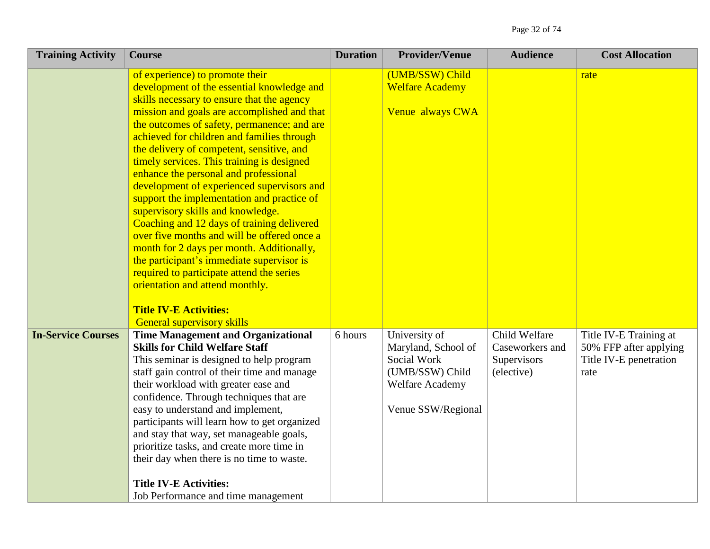| <b>Training Activity</b>  | <b>Course</b>                                                                                                                                                                                                                                                                                                                                                                                                                                                                                                                                                                                                                                                                                                                                                                                                                                                                             | <b>Duration</b> | <b>Provider/Venue</b>                                                                                                  | <b>Audience</b>                                               | <b>Cost Allocation</b>                                                             |
|---------------------------|-------------------------------------------------------------------------------------------------------------------------------------------------------------------------------------------------------------------------------------------------------------------------------------------------------------------------------------------------------------------------------------------------------------------------------------------------------------------------------------------------------------------------------------------------------------------------------------------------------------------------------------------------------------------------------------------------------------------------------------------------------------------------------------------------------------------------------------------------------------------------------------------|-----------------|------------------------------------------------------------------------------------------------------------------------|---------------------------------------------------------------|------------------------------------------------------------------------------------|
|                           | of experience) to promote their<br>development of the essential knowledge and<br>skills necessary to ensure that the agency<br>mission and goals are accomplished and that<br>the outcomes of safety, permanence; and are<br>achieved for children and families through<br>the delivery of competent, sensitive, and<br>timely services. This training is designed<br>enhance the personal and professional<br>development of experienced supervisors and<br>support the implementation and practice of<br>supervisory skills and knowledge.<br>Coaching and 12 days of training delivered<br>over five months and will be offered once a<br>month for 2 days per month. Additionally,<br>the participant's immediate supervisor is<br>required to participate attend the series<br>orientation and attend monthly.<br><b>Title IV-E Activities:</b><br><b>General supervisory skills</b> |                 | (UMB/SSW) Child<br><b>Welfare Academy</b><br>Venue always CWA                                                          |                                                               | rate                                                                               |
| <b>In-Service Courses</b> | <b>Time Management and Organizational</b><br><b>Skills for Child Welfare Staff</b><br>This seminar is designed to help program<br>staff gain control of their time and manage<br>their workload with greater ease and<br>confidence. Through techniques that are<br>easy to understand and implement,<br>participants will learn how to get organized<br>and stay that way, set manageable goals,<br>prioritize tasks, and create more time in<br>their day when there is no time to waste.<br><b>Title IV-E Activities:</b><br>Job Performance and time management                                                                                                                                                                                                                                                                                                                       | 6 hours         | University of<br>Maryland, School of<br>Social Work<br>(UMB/SSW) Child<br><b>Welfare Academy</b><br>Venue SSW/Regional | Child Welfare<br>Caseworkers and<br>Supervisors<br>(elective) | Title IV-E Training at<br>50% FFP after applying<br>Title IV-E penetration<br>rate |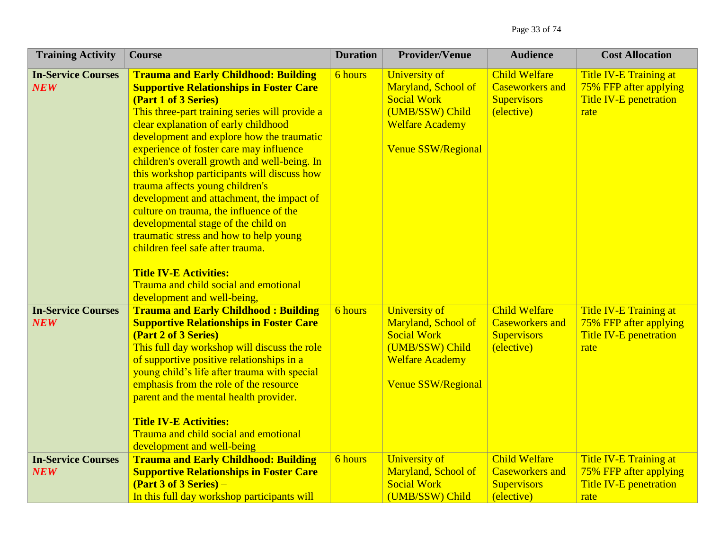| <b>Training Activity</b>                | <b>Course</b>                                                                                                                                                                                                                                                                                                                                                                                                                                                                                                                                                                                                                                                                                                                                                   | <b>Duration</b> | <b>Provider/Venue</b>                                                                                                                              | <b>Audience</b>                                                                    | <b>Cost Allocation</b>                                                             |
|-----------------------------------------|-----------------------------------------------------------------------------------------------------------------------------------------------------------------------------------------------------------------------------------------------------------------------------------------------------------------------------------------------------------------------------------------------------------------------------------------------------------------------------------------------------------------------------------------------------------------------------------------------------------------------------------------------------------------------------------------------------------------------------------------------------------------|-----------------|----------------------------------------------------------------------------------------------------------------------------------------------------|------------------------------------------------------------------------------------|------------------------------------------------------------------------------------|
| <b>In-Service Courses</b><br><b>NEW</b> | <b>Trauma and Early Childhood: Building</b><br><b>Supportive Relationships in Foster Care</b><br>(Part 1 of 3 Series)<br>This three-part training series will provide a<br>clear explanation of early childhood<br>development and explore how the traumatic<br>experience of foster care may influence<br>children's overall growth and well-being. In<br>this workshop participants will discuss how<br>trauma affects young children's<br>development and attachment, the impact of<br>culture on trauma, the influence of the<br>developmental stage of the child on<br>traumatic stress and how to help young<br>children feel safe after trauma.<br><b>Title IV-E Activities:</b><br>Trauma and child social and emotional<br>development and well-being, | <b>6</b> hours  | University of<br>Maryland, School of<br><b>Social Work</b><br>(UMB/SSW) Child<br><b>Welfare Academy</b><br><b>Venue SSW/Regional</b>               | <b>Child Welfare</b><br><b>Caseworkers and</b><br><b>Supervisors</b><br>(elective) | Title IV-E Training at<br>75% FFP after applying<br>Title IV-E penetration<br>rate |
| <b>In-Service Courses</b><br><b>NEW</b> | <b>Trauma and Early Childhood: Building</b><br><b>Supportive Relationships in Foster Care</b><br>(Part 2 of 3 Series)<br>This full day workshop will discuss the role<br>of supportive positive relationships in a<br>young child's life after trauma with special<br>emphasis from the role of the resource<br>parent and the mental health provider.<br><b>Title IV-E Activities:</b><br>Trauma and child social and emotional<br>development and well-being                                                                                                                                                                                                                                                                                                  | <b>6</b> hours  | <b>University of</b><br><b>Maryland, School of</b><br><b>Social Work</b><br>(UMB/SSW) Child<br><b>Welfare Academy</b><br><b>Venue SSW/Regional</b> | <b>Child Welfare</b><br><b>Caseworkers and</b><br><b>Supervisors</b><br>(elective) | Title IV-E Training at<br>75% FFP after applying<br>Title IV-E penetration<br>rate |
| <b>In-Service Courses</b><br><b>NEW</b> | <b>Trauma and Early Childhood: Building</b><br><b>Supportive Relationships in Foster Care</b><br>$(Part 3 of 3 Series) -$<br>In this full day workshop participants will                                                                                                                                                                                                                                                                                                                                                                                                                                                                                                                                                                                        | <b>6</b> hours  | <b>University of</b><br>Maryland, School of<br><b>Social Work</b><br>(UMB/SSW) Child                                                               | <b>Child Welfare</b><br><b>Caseworkers</b> and<br><b>Supervisors</b><br>(elective) | Title IV-E Training at<br>75% FFP after applying<br>Title IV-E penetration<br>rate |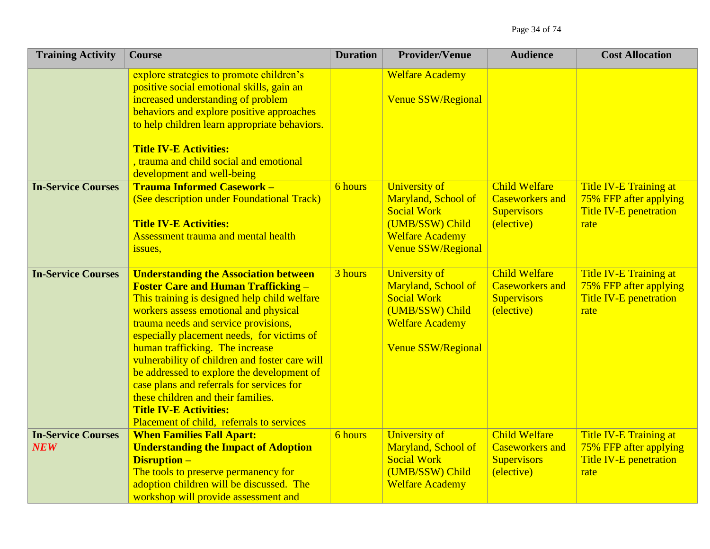| <b>Training Activity</b>                | <b>Course</b>                                                                                                                                                                                                                                                                                                                                                                                                                                                                                                                                                                 | <b>Duration</b> | <b>Provider/Venue</b>                                                                                                                       | <b>Audience</b>                                                                    | <b>Cost Allocation</b>                                                             |
|-----------------------------------------|-------------------------------------------------------------------------------------------------------------------------------------------------------------------------------------------------------------------------------------------------------------------------------------------------------------------------------------------------------------------------------------------------------------------------------------------------------------------------------------------------------------------------------------------------------------------------------|-----------------|---------------------------------------------------------------------------------------------------------------------------------------------|------------------------------------------------------------------------------------|------------------------------------------------------------------------------------|
|                                         | explore strategies to promote children's<br>positive social emotional skills, gain an<br>increased understanding of problem<br>behaviors and explore positive approaches<br>to help children learn appropriate behaviors.<br><b>Title IV-E Activities:</b><br>, trauma and child social and emotional                                                                                                                                                                                                                                                                         |                 | <b>Welfare Academy</b><br><b>Venue SSW/Regional</b>                                                                                         |                                                                                    |                                                                                    |
| <b>In-Service Courses</b>               | development and well-being<br><b>Trauma Informed Casework -</b><br>(See description under Foundational Track)<br><b>Title IV-E Activities:</b><br><b>Assessment trauma and mental health</b><br>issues,                                                                                                                                                                                                                                                                                                                                                                       | 6 hours         | <b>University of</b><br>Maryland, School of<br><b>Social Work</b><br>(UMB/SSW) Child<br><b>Welfare Academy</b><br><b>Venue SSW/Regional</b> | <b>Child Welfare</b><br><b>Caseworkers and</b><br><b>Supervisors</b><br>(elective) | Title IV-E Training at<br>75% FFP after applying<br>Title IV-E penetration<br>rate |
| <b>In-Service Courses</b>               | <b>Understanding the Association between</b><br><b>Foster Care and Human Trafficking -</b><br>This training is designed help child welfare<br>workers assess emotional and physical<br>trauma needs and service provisions,<br>especially placement needs, for victims of<br>human trafficking. The increase<br>vulnerability of children and foster care will<br>be addressed to explore the development of<br>case plans and referrals for services for<br>these children and their families.<br><b>Title IV-E Activities:</b><br>Placement of child, referrals to services | 3 hours         | University of<br>Maryland, School of<br><b>Social Work</b><br>(UMB/SSW) Child<br><b>Welfare Academy</b><br><b>Venue SSW/Regional</b>        | <b>Child Welfare</b><br><b>Caseworkers and</b><br><b>Supervisors</b><br>(elective) | Title IV-E Training at<br>75% FFP after applying<br>Title IV-E penetration<br>rate |
| <b>In-Service Courses</b><br><b>NEW</b> | <b>When Families Fall Apart:</b><br><b>Understanding the Impact of Adoption</b><br><b>Disruption -</b><br>The tools to preserve permanency for<br>adoption children will be discussed. The<br>workshop will provide assessment and                                                                                                                                                                                                                                                                                                                                            | <b>6</b> hours  | <b>University of</b><br>Maryland, School of<br><b>Social Work</b><br>(UMB/SSW) Child<br><b>Welfare Academy</b>                              | <b>Child Welfare</b><br><b>Caseworkers and</b><br><b>Supervisors</b><br>(elective) | Title IV-E Training at<br>75% FFP after applying<br>Title IV-E penetration<br>rate |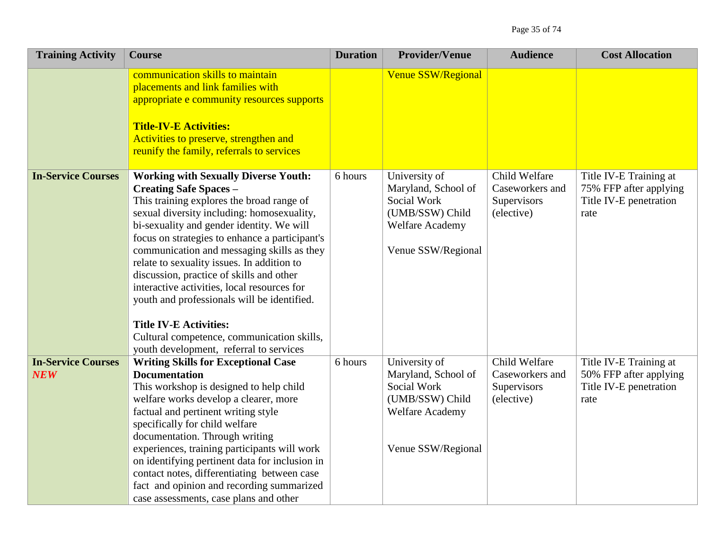| <b>Training Activity</b>         | <b>Course</b>                                                                                                                                                                                                                                                                                                                                                                                                                                                                                                                                                                                                                          | <b>Duration</b> | <b>Provider/Venue</b>                                                                                                  | <b>Audience</b>                                               | <b>Cost Allocation</b>                                                             |
|----------------------------------|----------------------------------------------------------------------------------------------------------------------------------------------------------------------------------------------------------------------------------------------------------------------------------------------------------------------------------------------------------------------------------------------------------------------------------------------------------------------------------------------------------------------------------------------------------------------------------------------------------------------------------------|-----------------|------------------------------------------------------------------------------------------------------------------------|---------------------------------------------------------------|------------------------------------------------------------------------------------|
|                                  | communication skills to maintain<br>placements and link families with<br>appropriate e community resources supports<br><b>Title-IV-E Activities:</b><br>Activities to preserve, strengthen and<br>reunify the family, referrals to services                                                                                                                                                                                                                                                                                                                                                                                            |                 | <b>Venue SSW/Regional</b>                                                                                              |                                                               |                                                                                    |
| <b>In-Service Courses</b>        | <b>Working with Sexually Diverse Youth:</b><br><b>Creating Safe Spaces -</b><br>This training explores the broad range of<br>sexual diversity including: homosexuality,<br>bi-sexuality and gender identity. We will<br>focus on strategies to enhance a participant's<br>communication and messaging skills as they<br>relate to sexuality issues. In addition to<br>discussion, practice of skills and other<br>interactive activities, local resources for<br>youth and professionals will be identified.<br><b>Title IV-E Activities:</b><br>Cultural competence, communication skills,<br>youth development, referral to services | 6 hours         | University of<br>Maryland, School of<br>Social Work<br>(UMB/SSW) Child<br><b>Welfare Academy</b><br>Venue SSW/Regional | Child Welfare<br>Caseworkers and<br>Supervisors<br>(elective) | Title IV-E Training at<br>75% FFP after applying<br>Title IV-E penetration<br>rate |
| <b>In-Service Courses</b><br>NEW | <b>Writing Skills for Exceptional Case</b><br><b>Documentation</b><br>This workshop is designed to help child<br>welfare works develop a clearer, more<br>factual and pertinent writing style<br>specifically for child welfare<br>documentation. Through writing<br>experiences, training participants will work<br>on identifying pertinent data for inclusion in<br>contact notes, differentiating between case<br>fact and opinion and recording summarized<br>case assessments, case plans and other                                                                                                                              | 6 hours         | University of<br>Maryland, School of<br>Social Work<br>(UMB/SSW) Child<br><b>Welfare Academy</b><br>Venue SSW/Regional | Child Welfare<br>Caseworkers and<br>Supervisors<br>(elective) | Title IV-E Training at<br>50% FFP after applying<br>Title IV-E penetration<br>rate |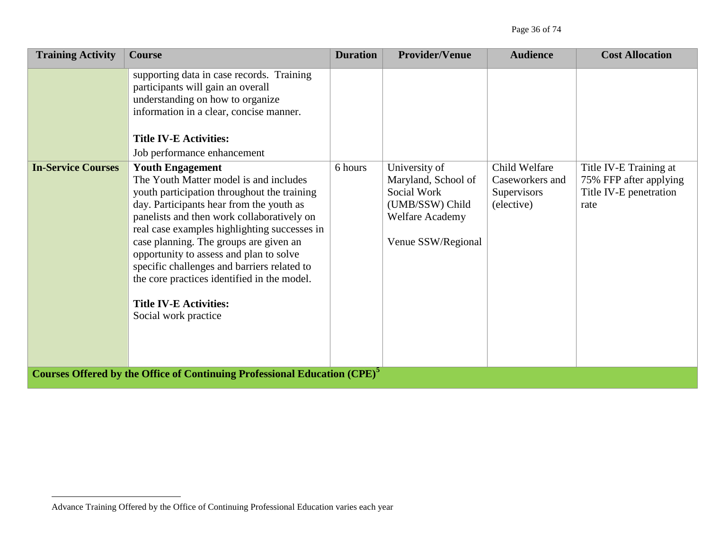| <b>Training Activity</b>  | <b>Course</b>                                                                                                                                                                                                                                                                                                                                                                                                                                                                                          | <b>Duration</b> | <b>Provider/Venue</b>                                                                                                  | <b>Audience</b>                                               | <b>Cost Allocation</b>                                                             |
|---------------------------|--------------------------------------------------------------------------------------------------------------------------------------------------------------------------------------------------------------------------------------------------------------------------------------------------------------------------------------------------------------------------------------------------------------------------------------------------------------------------------------------------------|-----------------|------------------------------------------------------------------------------------------------------------------------|---------------------------------------------------------------|------------------------------------------------------------------------------------|
|                           | supporting data in case records. Training<br>participants will gain an overall<br>understanding on how to organize<br>information in a clear, concise manner.<br><b>Title IV-E Activities:</b><br>Job performance enhancement                                                                                                                                                                                                                                                                          |                 |                                                                                                                        |                                                               |                                                                                    |
| <b>In-Service Courses</b> | <b>Youth Engagement</b><br>The Youth Matter model is and includes<br>youth participation throughout the training<br>day. Participants hear from the youth as<br>panelists and then work collaboratively on<br>real case examples highlighting successes in<br>case planning. The groups are given an<br>opportunity to assess and plan to solve<br>specific challenges and barriers related to<br>the core practices identified in the model.<br><b>Title IV-E Activities:</b><br>Social work practice | 6 hours         | University of<br>Maryland, School of<br>Social Work<br>(UMB/SSW) Child<br><b>Welfare Academy</b><br>Venue SSW/Regional | Child Welfare<br>Caseworkers and<br>Supervisors<br>(elective) | Title IV-E Training at<br>75% FFP after applying<br>Title IV-E penetration<br>rate |
|                           | Courses Offered by the Office of Continuing Professional Education (CPE) <sup>5</sup>                                                                                                                                                                                                                                                                                                                                                                                                                  |                 |                                                                                                                        |                                                               |                                                                                    |

 $\overline{a}$ 

Advance Training Offered by the Office of Continuing Professional Education varies each year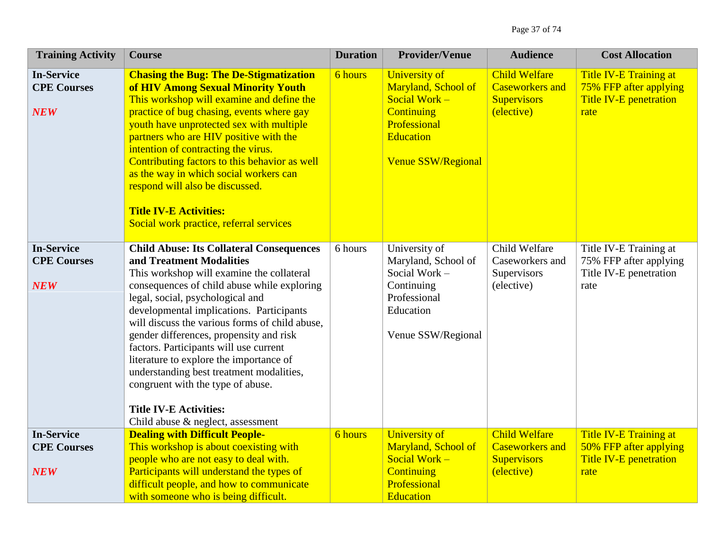| <b>Training Activity</b>                              | <b>Course</b>                                                                                                                                                                                                                                                                                                                                                                                                                                                                                                                                                                                    | <b>Duration</b> | <b>Provider/Venue</b>                                                                                                                              | <b>Audience</b>                                                                    | <b>Cost Allocation</b>                                                                    |
|-------------------------------------------------------|--------------------------------------------------------------------------------------------------------------------------------------------------------------------------------------------------------------------------------------------------------------------------------------------------------------------------------------------------------------------------------------------------------------------------------------------------------------------------------------------------------------------------------------------------------------------------------------------------|-----------------|----------------------------------------------------------------------------------------------------------------------------------------------------|------------------------------------------------------------------------------------|-------------------------------------------------------------------------------------------|
| <b>In-Service</b><br><b>CPE Courses</b><br><b>NEW</b> | <b>Chasing the Bug: The De-Stigmatization</b><br>of HIV Among Sexual Minority Youth<br>This workshop will examine and define the<br>practice of bug chasing, events where gay<br>youth have unprotected sex with multiple<br>partners who are HIV positive with the<br>intention of contracting the virus.<br>Contributing factors to this behavior as well<br>as the way in which social workers can<br>respond will also be discussed.<br><b>Title IV-E Activities:</b><br>Social work practice, referral services                                                                             | <b>6</b> hours  | <b>University of</b><br>Maryland, School of<br>Social Work -<br><b>Continuing</b><br>Professional<br><b>Education</b><br><b>Venue SSW/Regional</b> | <b>Child Welfare</b><br><b>Caseworkers and</b><br><b>Supervisors</b><br>(elective) | <b>Title IV-E Training at</b><br>75% FFP after applying<br>Title IV-E penetration<br>rate |
| <b>In-Service</b><br><b>CPE Courses</b><br><b>NEW</b> | <b>Child Abuse: Its Collateral Consequences</b><br>and Treatment Modalities<br>This workshop will examine the collateral<br>consequences of child abuse while exploring<br>legal, social, psychological and<br>developmental implications. Participants<br>will discuss the various forms of child abuse,<br>gender differences, propensity and risk<br>factors. Participants will use current<br>literature to explore the importance of<br>understanding best treatment modalities,<br>congruent with the type of abuse.<br><b>Title IV-E Activities:</b><br>Child abuse & neglect, assessment | 6 hours         | University of<br>Maryland, School of<br>Social Work -<br>Continuing<br>Professional<br>Education<br>Venue SSW/Regional                             | Child Welfare<br>Caseworkers and<br>Supervisors<br>(elective)                      | Title IV-E Training at<br>75% FFP after applying<br>Title IV-E penetration<br>rate        |
| <b>In-Service</b><br><b>CPE Courses</b><br><b>NEW</b> | <b>Dealing with Difficult People-</b><br>This workshop is about coexisting with<br>people who are not easy to deal with.<br>Participants will understand the types of<br>difficult people, and how to communicate<br>with someone who is being difficult.                                                                                                                                                                                                                                                                                                                                        | 6 hours         | <b>University of</b><br>Maryland, School of<br>Social Work $-$<br><b>Continuing</b><br>Professional<br><b>Education</b>                            | <b>Child Welfare</b><br><b>Caseworkers and</b><br><b>Supervisors</b><br>(elective) | Title IV-E Training at<br>50% FFP after applying<br>Title IV-E penetration<br>rate        |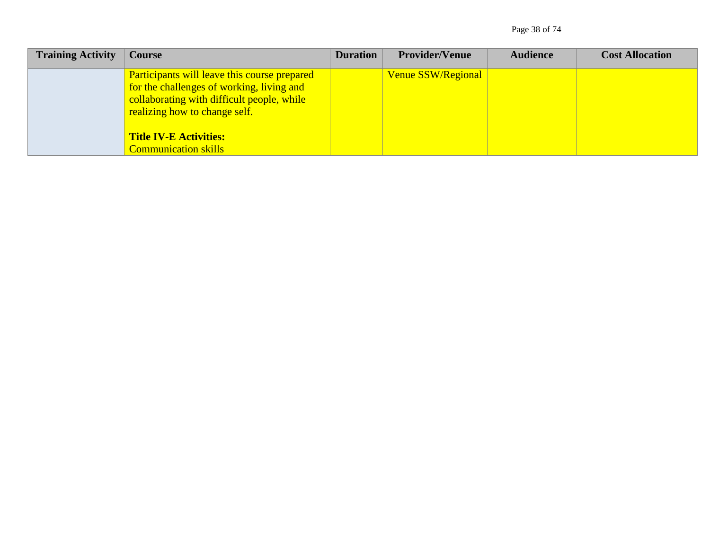Page 38 of 74

| <b>Training Activity</b> | <b>Course</b>                                                                                                                                                                                                    | <b>Duration</b> | <b>Provider/Venue</b> | <b>Audience</b> | <b>Cost Allocation</b> |
|--------------------------|------------------------------------------------------------------------------------------------------------------------------------------------------------------------------------------------------------------|-----------------|-----------------------|-----------------|------------------------|
|                          | <b>Participants will leave this course prepared</b><br>for the challenges of working, living and<br>collaborating with difficult people, while<br>realizing how to change self.<br><b>Title IV-E Activities:</b> |                 | Venue SSW/Regional    |                 |                        |
|                          | <b>Communication skills</b>                                                                                                                                                                                      |                 |                       |                 |                        |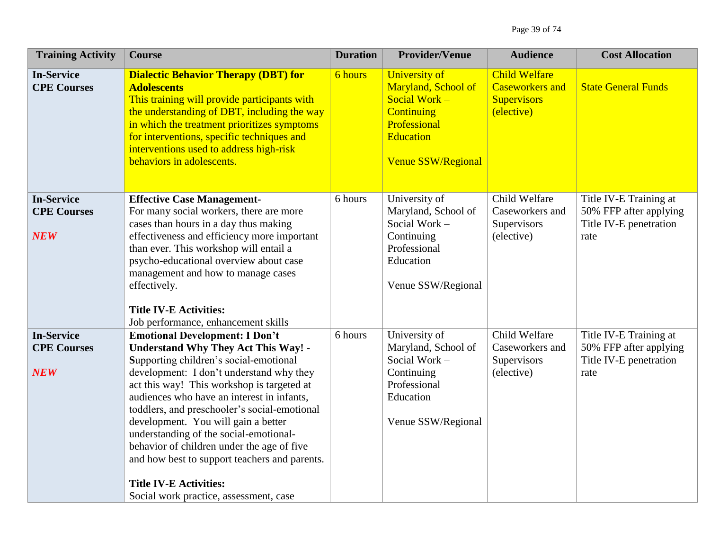| <b>Training Activity</b>                              | <b>Course</b>                                                                                                                                                                                                                                                                                                                                                                                                                                                                                                                                                                                                           | <b>Duration</b> | <b>Provider/Venue</b>                                                                                                                              | <b>Audience</b>                                                                    | <b>Cost Allocation</b>                                                             |
|-------------------------------------------------------|-------------------------------------------------------------------------------------------------------------------------------------------------------------------------------------------------------------------------------------------------------------------------------------------------------------------------------------------------------------------------------------------------------------------------------------------------------------------------------------------------------------------------------------------------------------------------------------------------------------------------|-----------------|----------------------------------------------------------------------------------------------------------------------------------------------------|------------------------------------------------------------------------------------|------------------------------------------------------------------------------------|
| <b>In-Service</b><br><b>CPE Courses</b>               | <b>Dialectic Behavior Therapy (DBT) for</b><br><b>Adolescents</b><br>This training will provide participants with<br>the understanding of DBT, including the way<br>in which the treatment prioritizes symptoms<br>for interventions, specific techniques and<br>interventions used to address high-risk<br>behaviors in adolescents.                                                                                                                                                                                                                                                                                   | 6 hours         | <b>University of</b><br>Maryland, School of<br>Social Work -<br><b>Continuing</b><br>Professional<br><b>Education</b><br><b>Venue SSW/Regional</b> | <b>Child Welfare</b><br><b>Caseworkers and</b><br><b>Supervisors</b><br>(elective) | <b>State General Funds</b>                                                         |
| <b>In-Service</b><br><b>CPE Courses</b><br><b>NEW</b> | <b>Effective Case Management-</b><br>For many social workers, there are more<br>cases than hours in a day thus making<br>effectiveness and efficiency more important<br>than ever. This workshop will entail a<br>psycho-educational overview about case<br>management and how to manage cases<br>effectively.<br><b>Title IV-E Activities:</b>                                                                                                                                                                                                                                                                         | 6 hours         | University of<br>Maryland, School of<br>Social Work -<br>Continuing<br>Professional<br>Education<br>Venue SSW/Regional                             | Child Welfare<br>Caseworkers and<br>Supervisors<br>(elective)                      | Title IV-E Training at<br>50% FFP after applying<br>Title IV-E penetration<br>rate |
| <b>In-Service</b><br><b>CPE Courses</b><br><b>NEW</b> | Job performance, enhancement skills<br><b>Emotional Development: I Don't</b><br><b>Understand Why They Act This Way! -</b><br>Supporting children's social-emotional<br>development: I don't understand why they<br>act this way! This workshop is targeted at<br>audiences who have an interest in infants,<br>toddlers, and preschooler's social-emotional<br>development. You will gain a better<br>understanding of the social-emotional-<br>behavior of children under the age of five<br>and how best to support teachers and parents.<br><b>Title IV-E Activities:</b><br>Social work practice, assessment, case | 6 hours         | University of<br>Maryland, School of<br>Social Work -<br>Continuing<br>Professional<br>Education<br>Venue SSW/Regional                             | Child Welfare<br>Caseworkers and<br>Supervisors<br>(elective)                      | Title IV-E Training at<br>50% FFP after applying<br>Title IV-E penetration<br>rate |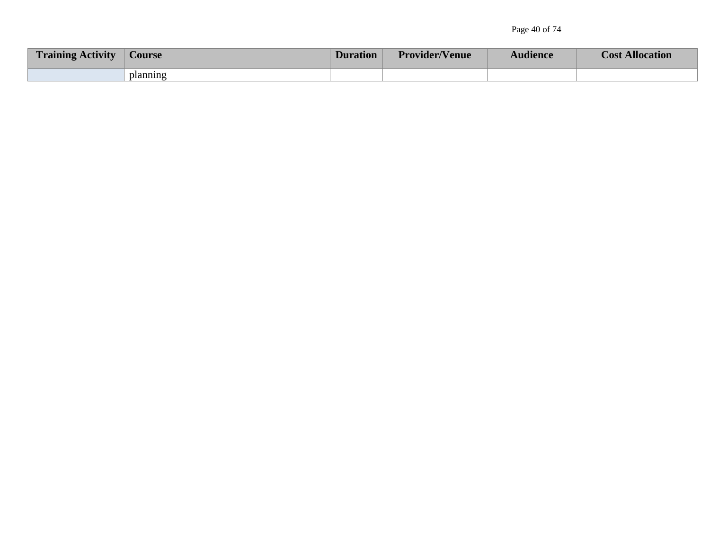| <b>Training Activity</b> | <b>Course</b> | <b>Duration</b> | <b>Provider/Venue</b> | <b>Audience</b> | <b>Cost Allocation</b> |
|--------------------------|---------------|-----------------|-----------------------|-----------------|------------------------|
|                          | planning      |                 |                       |                 |                        |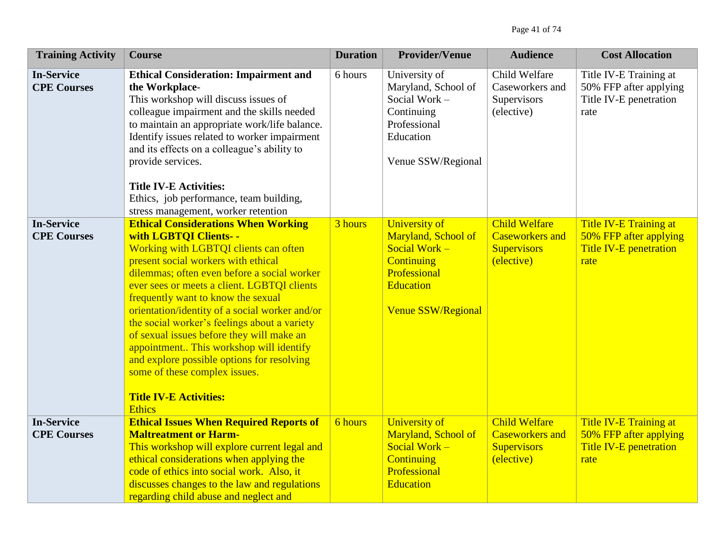| <b>Training Activity</b>                | <b>Course</b>                                                                                                                                                                                                                                                                                                                                                                                                                                                                                                                                                                                                       | <b>Duration</b> | <b>Provider/Venue</b>                                                                                                                         | <b>Audience</b>                                                                    | <b>Cost Allocation</b>                                                             |
|-----------------------------------------|---------------------------------------------------------------------------------------------------------------------------------------------------------------------------------------------------------------------------------------------------------------------------------------------------------------------------------------------------------------------------------------------------------------------------------------------------------------------------------------------------------------------------------------------------------------------------------------------------------------------|-----------------|-----------------------------------------------------------------------------------------------------------------------------------------------|------------------------------------------------------------------------------------|------------------------------------------------------------------------------------|
| <b>In-Service</b><br><b>CPE Courses</b> | <b>Ethical Consideration: Impairment and</b><br>the Workplace-<br>This workshop will discuss issues of<br>colleague impairment and the skills needed<br>to maintain an appropriate work/life balance.<br>Identify issues related to worker impairment<br>and its effects on a colleague's ability to<br>provide services.<br><b>Title IV-E Activities:</b><br>Ethics, job performance, team building,<br>stress management, worker retention                                                                                                                                                                        | 6 hours         | University of<br>Maryland, School of<br>Social Work -<br>Continuing<br>Professional<br>Education<br>Venue SSW/Regional                        | Child Welfare<br>Caseworkers and<br>Supervisors<br>(elective)                      | Title IV-E Training at<br>50% FFP after applying<br>Title IV-E penetration<br>rate |
| <b>In-Service</b><br><b>CPE Courses</b> | <b>Ethical Considerations When Working</b><br>with LGBTQI Clients- -<br>Working with LGBTQI clients can often<br>present social workers with ethical<br>dilemmas; often even before a social worker<br>ever sees or meets a client. LGBTQI clients<br>frequently want to know the sexual<br>orientation/identity of a social worker and/or<br>the social worker's feelings about a variety<br>of sexual issues before they will make an<br>appointment This workshop will identify<br>and explore possible options for resolving<br>some of these complex issues.<br><b>Title IV-E Activities:</b><br><b>Ethics</b> | 3 hours         | <b>University of</b><br>Maryland, School of<br>Social Work $-$<br><b>Continuing</b><br>Professional<br>Education<br><b>Venue SSW/Regional</b> | <b>Child Welfare</b><br><b>Caseworkers and</b><br><b>Supervisors</b><br>(elective) | Title IV-E Training at<br>50% FFP after applying<br>Title IV-E penetration<br>rate |
| <b>In-Service</b><br><b>CPE Courses</b> | <b>Ethical Issues When Required Reports of</b><br><b>Maltreatment or Harm-</b><br>This workshop will explore current legal and<br>ethical considerations when applying the<br>code of ethics into social work. Also, it<br>discusses changes to the law and regulations<br>regarding child abuse and neglect and                                                                                                                                                                                                                                                                                                    | 6 hours         | <b>University of</b><br>Maryland, School of<br>Social Work -<br><b>Continuing</b><br>Professional<br><b>Education</b>                         | <b>Child Welfare</b><br><b>Caseworkers</b> and<br><b>Supervisors</b><br>(elective) | Title IV-E Training at<br>50% FFP after applying<br>Title IV-E penetration<br>rate |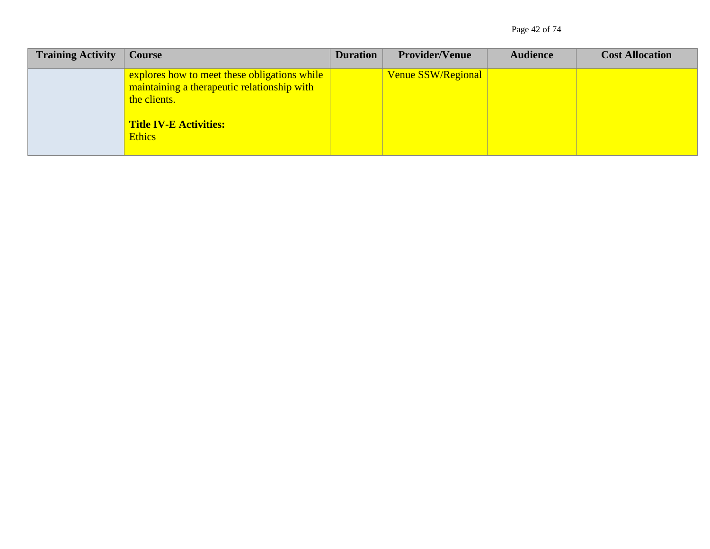Page 42 of 74

| <b>Training Activity</b> | <b>Course</b>                                                                                                                                                 | <b>Duration</b> | <b>Provider/Venue</b> | <b>Audience</b> | <b>Cost Allocation</b> |
|--------------------------|---------------------------------------------------------------------------------------------------------------------------------------------------------------|-----------------|-----------------------|-----------------|------------------------|
|                          | explores how to meet these obligations while<br>maintaining a therapeutic relationship with<br>the clients.<br><b>Title IV-E Activities:</b><br><b>Ethics</b> |                 | Venue SSW/Regional    |                 |                        |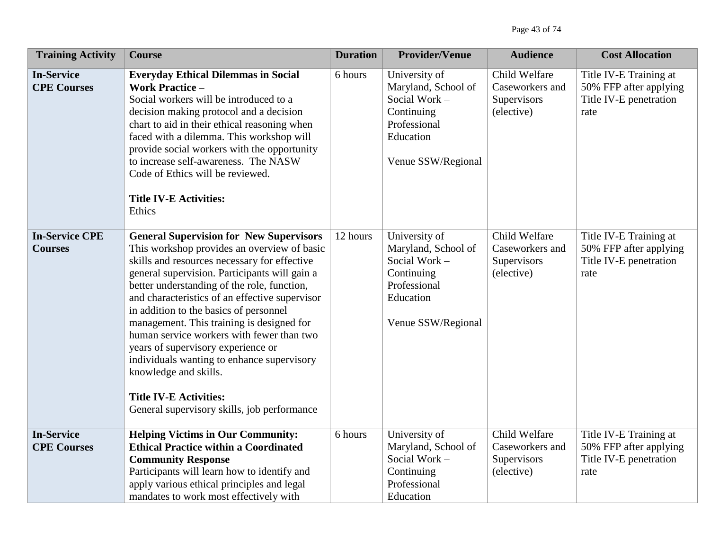| <b>Training Activity</b>                | <b>Course</b>                                                                                                                                                                                                                                                                                                                                                                                                                                                                                                                                                                                                                    | <b>Duration</b> | <b>Provider/Venue</b>                                                                                                  | <b>Audience</b>                                               | <b>Cost Allocation</b>                                                             |
|-----------------------------------------|----------------------------------------------------------------------------------------------------------------------------------------------------------------------------------------------------------------------------------------------------------------------------------------------------------------------------------------------------------------------------------------------------------------------------------------------------------------------------------------------------------------------------------------------------------------------------------------------------------------------------------|-----------------|------------------------------------------------------------------------------------------------------------------------|---------------------------------------------------------------|------------------------------------------------------------------------------------|
| <b>In-Service</b><br><b>CPE Courses</b> | <b>Everyday Ethical Dilemmas in Social</b><br><b>Work Practice -</b><br>Social workers will be introduced to a<br>decision making protocol and a decision<br>chart to aid in their ethical reasoning when<br>faced with a dilemma. This workshop will<br>provide social workers with the opportunity<br>to increase self-awareness. The NASW<br>Code of Ethics will be reviewed.<br><b>Title IV-E Activities:</b><br>Ethics                                                                                                                                                                                                      | 6 hours         | University of<br>Maryland, School of<br>Social Work -<br>Continuing<br>Professional<br>Education<br>Venue SSW/Regional | Child Welfare<br>Caseworkers and<br>Supervisors<br>(elective) | Title IV-E Training at<br>50% FFP after applying<br>Title IV-E penetration<br>rate |
| <b>In-Service CPE</b><br><b>Courses</b> | <b>General Supervision for New Supervisors</b><br>This workshop provides an overview of basic<br>skills and resources necessary for effective<br>general supervision. Participants will gain a<br>better understanding of the role, function,<br>and characteristics of an effective supervisor<br>in addition to the basics of personnel<br>management. This training is designed for<br>human service workers with fewer than two<br>years of supervisory experience or<br>individuals wanting to enhance supervisory<br>knowledge and skills.<br><b>Title IV-E Activities:</b><br>General supervisory skills, job performance | 12 hours        | University of<br>Maryland, School of<br>Social Work -<br>Continuing<br>Professional<br>Education<br>Venue SSW/Regional | Child Welfare<br>Caseworkers and<br>Supervisors<br>(elective) | Title IV-E Training at<br>50% FFP after applying<br>Title IV-E penetration<br>rate |
| <b>In-Service</b><br><b>CPE Courses</b> | <b>Helping Victims in Our Community:</b><br><b>Ethical Practice within a Coordinated</b><br><b>Community Response</b><br>Participants will learn how to identify and<br>apply various ethical principles and legal<br>mandates to work most effectively with                                                                                                                                                                                                                                                                                                                                                                     | 6 hours         | University of<br>Maryland, School of<br>Social Work -<br>Continuing<br>Professional<br>Education                       | Child Welfare<br>Caseworkers and<br>Supervisors<br>(elective) | Title IV-E Training at<br>50% FFP after applying<br>Title IV-E penetration<br>rate |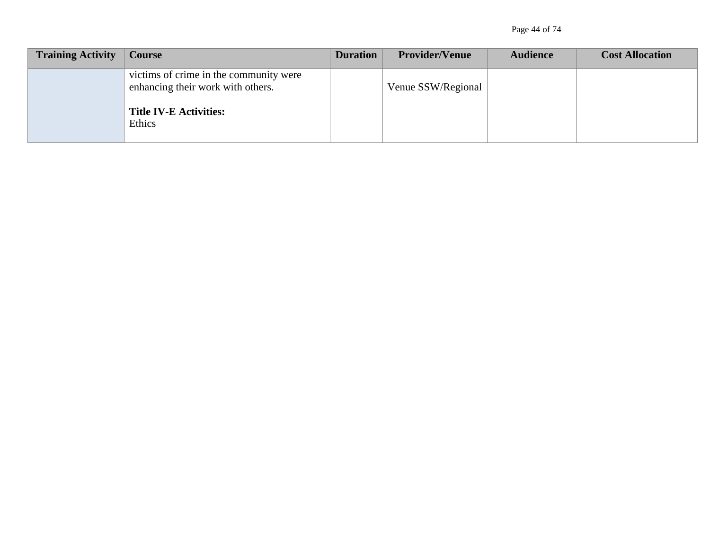Page 44 of 74

| <b>Training Activity</b> | <b>Course</b>                                                               | <b>Duration</b> | <b>Provider/Venue</b> | <b>Audience</b> | <b>Cost Allocation</b> |
|--------------------------|-----------------------------------------------------------------------------|-----------------|-----------------------|-----------------|------------------------|
|                          | victims of crime in the community were<br>enhancing their work with others. |                 | Venue SSW/Regional    |                 |                        |
|                          | <b>Title IV-E Activities:</b><br>Ethics                                     |                 |                       |                 |                        |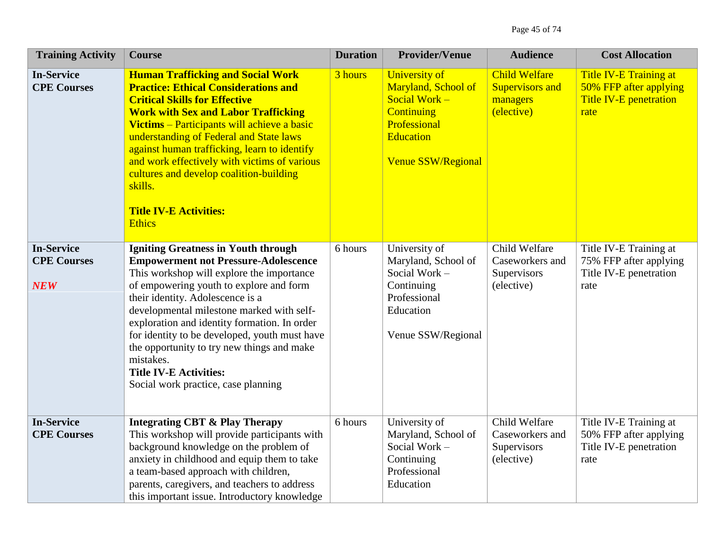| <b>Training Activity</b>                              | <b>Course</b>                                                                                                                                                                                                                                                                                                                                                                                                                                                                                          | <b>Duration</b> | <b>Provider/Venue</b>                                                                                                                                | <b>Audience</b>                                                          | <b>Cost Allocation</b>                                                                           |
|-------------------------------------------------------|--------------------------------------------------------------------------------------------------------------------------------------------------------------------------------------------------------------------------------------------------------------------------------------------------------------------------------------------------------------------------------------------------------------------------------------------------------------------------------------------------------|-----------------|------------------------------------------------------------------------------------------------------------------------------------------------------|--------------------------------------------------------------------------|--------------------------------------------------------------------------------------------------|
| <b>In-Service</b><br><b>CPE Courses</b>               | <b>Human Trafficking and Social Work</b><br><b>Practice: Ethical Considerations and</b><br><b>Critical Skills for Effective</b><br><b>Work with Sex and Labor Trafficking</b><br>Victims – Participants will achieve a basic<br>understanding of Federal and State laws<br>against human trafficking, learn to identify<br>and work effectively with victims of various<br>cultures and develop coalition-building<br>skills.<br><b>Title IV-E Activities:</b><br><b>Ethics</b>                        | 3 hours         | <b>University of</b><br>Maryland, School of<br>Social Work $-$<br><b>Continuing</b><br>Professional<br><b>Education</b><br><b>Venue SSW/Regional</b> | <b>Child Welfare</b><br><b>Supervisors and</b><br>managers<br>(elective) | <b>Title IV-E Training at</b><br>50% FFP after applying<br><b>Title IV-E penetration</b><br>rate |
| <b>In-Service</b><br><b>CPE Courses</b><br><b>NEW</b> | <b>Igniting Greatness in Youth through</b><br><b>Empowerment not Pressure-Adolescence</b><br>This workshop will explore the importance<br>of empowering youth to explore and form<br>their identity. Adolescence is a<br>developmental milestone marked with self-<br>exploration and identity formation. In order<br>for identity to be developed, youth must have<br>the opportunity to try new things and make<br>mistakes.<br><b>Title IV-E Activities:</b><br>Social work practice, case planning | 6 hours         | University of<br>Maryland, School of<br>Social Work -<br>Continuing<br>Professional<br>Education<br>Venue SSW/Regional                               | Child Welfare<br>Caseworkers and<br>Supervisors<br>(elective)            | Title IV-E Training at<br>75% FFP after applying<br>Title IV-E penetration<br>rate               |
| <b>In-Service</b><br><b>CPE Courses</b>               | <b>Integrating CBT &amp; Play Therapy</b><br>This workshop will provide participants with<br>background knowledge on the problem of<br>anxiety in childhood and equip them to take<br>a team-based approach with children,<br>parents, caregivers, and teachers to address<br>this important issue. Introductory knowledge                                                                                                                                                                             | 6 hours         | University of<br>Maryland, School of<br>Social Work -<br>Continuing<br>Professional<br>Education                                                     | Child Welfare<br>Caseworkers and<br>Supervisors<br>(elective)            | Title IV-E Training at<br>50% FFP after applying<br>Title IV-E penetration<br>rate               |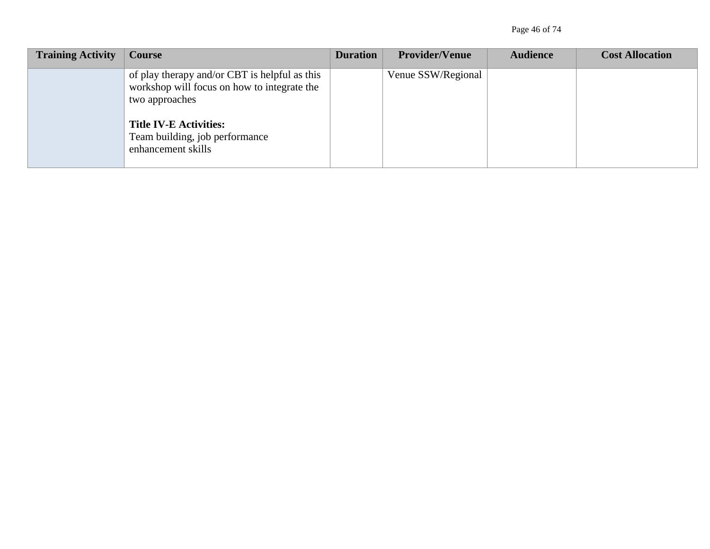Page 46 of 74

| <b>Training Activity</b> | Course                                                                                                         | <b>Duration</b> | <b>Provider/Venue</b> | <b>Audience</b> | <b>Cost Allocation</b> |
|--------------------------|----------------------------------------------------------------------------------------------------------------|-----------------|-----------------------|-----------------|------------------------|
|                          | of play therapy and/or CBT is helpful as this<br>workshop will focus on how to integrate the<br>two approaches |                 | Venue SSW/Regional    |                 |                        |
|                          | <b>Title IV-E Activities:</b><br>Team building, job performance<br>enhancement skills                          |                 |                       |                 |                        |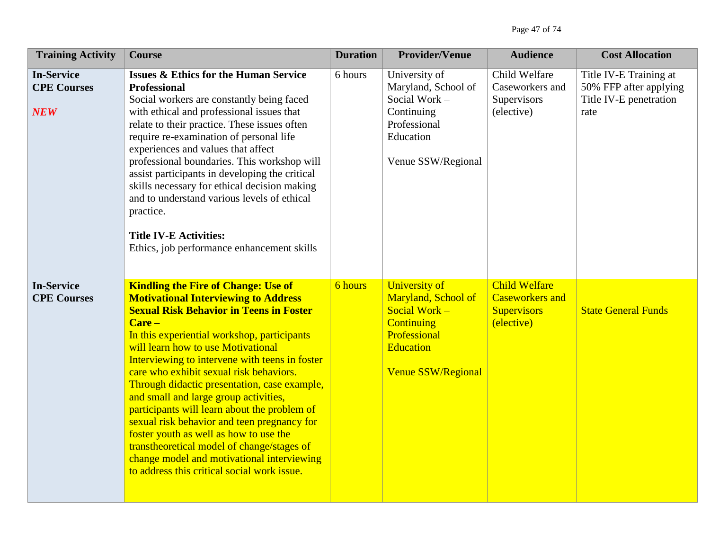| <b>Training Activity</b>                              | <b>Course</b>                                                                                                                                                                                                                                                                                                                                                                                                                                                                                                                                                                                                                                                                                                       | <b>Duration</b> | <b>Provider/Venue</b>                                                                                                                              | <b>Audience</b>                                                                    | <b>Cost Allocation</b>                                                             |
|-------------------------------------------------------|---------------------------------------------------------------------------------------------------------------------------------------------------------------------------------------------------------------------------------------------------------------------------------------------------------------------------------------------------------------------------------------------------------------------------------------------------------------------------------------------------------------------------------------------------------------------------------------------------------------------------------------------------------------------------------------------------------------------|-----------------|----------------------------------------------------------------------------------------------------------------------------------------------------|------------------------------------------------------------------------------------|------------------------------------------------------------------------------------|
| <b>In-Service</b><br><b>CPE Courses</b><br><b>NEW</b> | <b>Issues &amp; Ethics for the Human Service</b><br><b>Professional</b><br>Social workers are constantly being faced<br>with ethical and professional issues that<br>relate to their practice. These issues often<br>require re-examination of personal life<br>experiences and values that affect<br>professional boundaries. This workshop will<br>assist participants in developing the critical<br>skills necessary for ethical decision making<br>and to understand various levels of ethical<br>practice.<br><b>Title IV-E Activities:</b><br>Ethics, job performance enhancement skills                                                                                                                      | 6 hours         | University of<br>Maryland, School of<br>Social Work -<br>Continuing<br>Professional<br>Education<br>Venue SSW/Regional                             | Child Welfare<br>Caseworkers and<br>Supervisors<br>(elective)                      | Title IV-E Training at<br>50% FFP after applying<br>Title IV-E penetration<br>rate |
| <b>In-Service</b><br><b>CPE Courses</b>               | <b>Kindling the Fire of Change: Use of</b><br><b>Motivational Interviewing to Address</b><br><b>Sexual Risk Behavior in Teens in Foster</b><br>Care-<br>In this experiential workshop, participants<br>will learn how to use Motivational<br>Interviewing to intervene with teens in foster<br>care who exhibit sexual risk behaviors.<br>Through didactic presentation, case example,<br>and small and large group activities,<br>participants will learn about the problem of<br>sexual risk behavior and teen pregnancy for<br>foster youth as well as how to use the<br>transtheoretical model of change/stages of<br>change model and motivational interviewing<br>to address this critical social work issue. | 6 hours         | <b>University of</b><br>Maryland, School of<br>Social Work -<br><b>Continuing</b><br>Professional<br><b>Education</b><br><b>Venue SSW/Regional</b> | <b>Child Welfare</b><br><b>Caseworkers and</b><br><b>Supervisors</b><br>(elective) | <b>State General Funds</b>                                                         |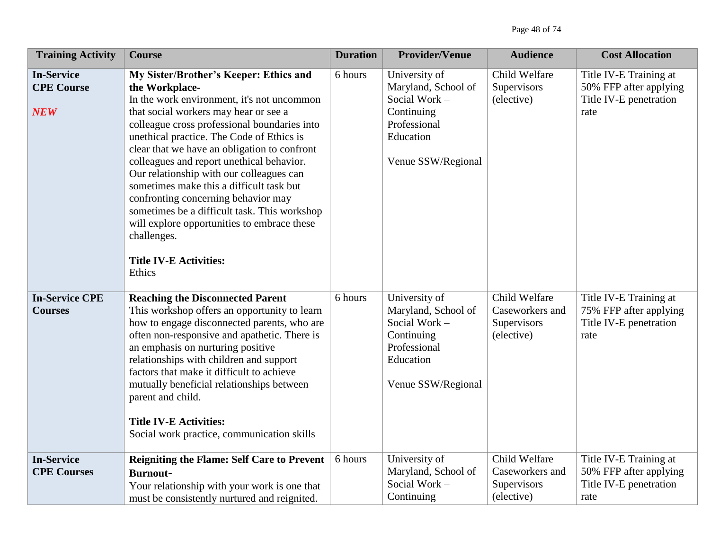| <b>Training Activity</b>                             | <b>Course</b>                                                                                                                                                                                                                                                                                                                                                                                                                                                                                                                                                                                                                     | <b>Duration</b> | <b>Provider/Venue</b>                                                                                                  | <b>Audience</b>                                               | <b>Cost Allocation</b>                                                             |
|------------------------------------------------------|-----------------------------------------------------------------------------------------------------------------------------------------------------------------------------------------------------------------------------------------------------------------------------------------------------------------------------------------------------------------------------------------------------------------------------------------------------------------------------------------------------------------------------------------------------------------------------------------------------------------------------------|-----------------|------------------------------------------------------------------------------------------------------------------------|---------------------------------------------------------------|------------------------------------------------------------------------------------|
| <b>In-Service</b><br><b>CPE Course</b><br><b>NEW</b> | My Sister/Brother's Keeper: Ethics and<br>the Workplace-<br>In the work environment, it's not uncommon<br>that social workers may hear or see a<br>colleague cross professional boundaries into<br>unethical practice. The Code of Ethics is<br>clear that we have an obligation to confront<br>colleagues and report unethical behavior.<br>Our relationship with our colleagues can<br>sometimes make this a difficult task but<br>confronting concerning behavior may<br>sometimes be a difficult task. This workshop<br>will explore opportunities to embrace these<br>challenges.<br><b>Title IV-E Activities:</b><br>Ethics | 6 hours         | University of<br>Maryland, School of<br>Social Work-<br>Continuing<br>Professional<br>Education<br>Venue SSW/Regional  | Child Welfare<br>Supervisors<br>(elective)                    | Title IV-E Training at<br>50% FFP after applying<br>Title IV-E penetration<br>rate |
| <b>In-Service CPE</b><br><b>Courses</b>              | <b>Reaching the Disconnected Parent</b><br>This workshop offers an opportunity to learn<br>how to engage disconnected parents, who are<br>often non-responsive and apathetic. There is<br>an emphasis on nurturing positive<br>relationships with children and support<br>factors that make it difficult to achieve<br>mutually beneficial relationships between<br>parent and child.<br><b>Title IV-E Activities:</b><br>Social work practice, communication skills                                                                                                                                                              | 6 hours         | University of<br>Maryland, School of<br>Social Work -<br>Continuing<br>Professional<br>Education<br>Venue SSW/Regional | Child Welfare<br>Caseworkers and<br>Supervisors<br>(elective) | Title IV-E Training at<br>75% FFP after applying<br>Title IV-E penetration<br>rate |
| <b>In-Service</b><br><b>CPE Courses</b>              | <b>Reigniting the Flame: Self Care to Prevent</b><br><b>Burnout-</b><br>Your relationship with your work is one that<br>must be consistently nurtured and reignited.                                                                                                                                                                                                                                                                                                                                                                                                                                                              | 6 hours         | University of<br>Maryland, School of<br>Social Work -<br>Continuing                                                    | Child Welfare<br>Caseworkers and<br>Supervisors<br>(elective) | Title IV-E Training at<br>50% FFP after applying<br>Title IV-E penetration<br>rate |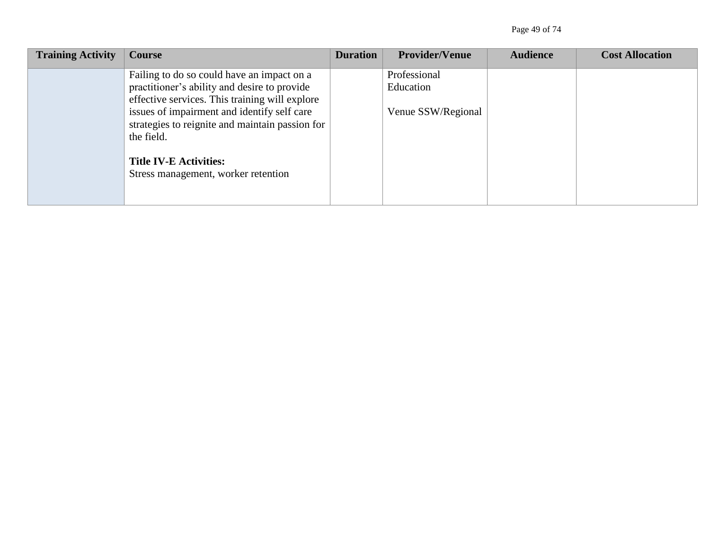Page 49 of 74

| <b>Training Activity</b> | Course                                                                                                                                                                                                                                                                                                                               | <b>Duration</b> | <b>Provider/Venue</b>                           | <b>Audience</b> | <b>Cost Allocation</b> |
|--------------------------|--------------------------------------------------------------------------------------------------------------------------------------------------------------------------------------------------------------------------------------------------------------------------------------------------------------------------------------|-----------------|-------------------------------------------------|-----------------|------------------------|
|                          | Failing to do so could have an impact on a<br>practitioner's ability and desire to provide<br>effective services. This training will explore<br>issues of impairment and identify self care<br>strategies to reignite and maintain passion for<br>the field.<br><b>Title IV-E Activities:</b><br>Stress management, worker retention |                 | Professional<br>Education<br>Venue SSW/Regional |                 |                        |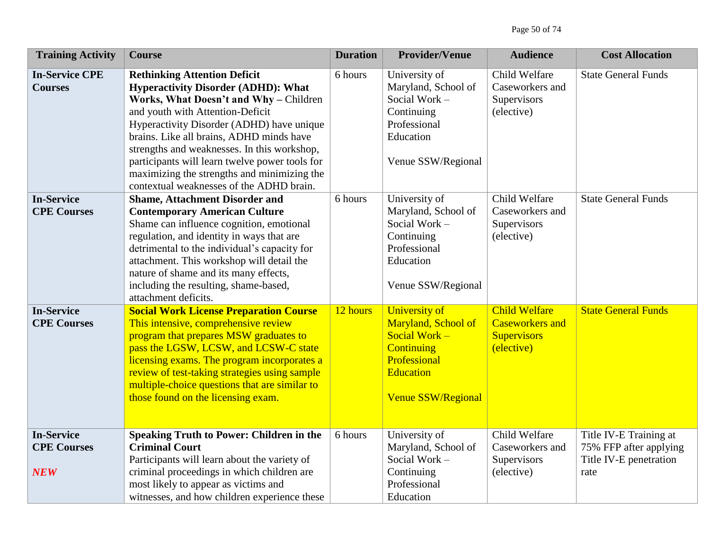| <b>Training Activity</b>                              | <b>Course</b>                                                                                                                                                                                                                                                                                                                                                                                                                                        | <b>Duration</b> | <b>Provider/Venue</b>                                                                                                                         | <b>Audience</b>                                                                    | <b>Cost Allocation</b>                                                             |
|-------------------------------------------------------|------------------------------------------------------------------------------------------------------------------------------------------------------------------------------------------------------------------------------------------------------------------------------------------------------------------------------------------------------------------------------------------------------------------------------------------------------|-----------------|-----------------------------------------------------------------------------------------------------------------------------------------------|------------------------------------------------------------------------------------|------------------------------------------------------------------------------------|
| <b>In-Service CPE</b><br><b>Courses</b>               | <b>Rethinking Attention Deficit</b><br><b>Hyperactivity Disorder (ADHD): What</b><br>Works, What Doesn't and Why - Children<br>and youth with Attention-Deficit<br>Hyperactivity Disorder (ADHD) have unique<br>brains. Like all brains, ADHD minds have<br>strengths and weaknesses. In this workshop,<br>participants will learn twelve power tools for<br>maximizing the strengths and minimizing the<br>contextual weaknesses of the ADHD brain. | 6 hours         | University of<br>Maryland, School of<br>Social Work -<br>Continuing<br>Professional<br>Education<br>Venue SSW/Regional                        | Child Welfare<br>Caseworkers and<br>Supervisors<br>(elective)                      | <b>State General Funds</b>                                                         |
| <b>In-Service</b><br><b>CPE Courses</b>               | <b>Shame, Attachment Disorder and</b><br><b>Contemporary American Culture</b><br>Shame can influence cognition, emotional<br>regulation, and identity in ways that are<br>detrimental to the individual's capacity for<br>attachment. This workshop will detail the<br>nature of shame and its many effects,<br>including the resulting, shame-based,<br>attachment deficits.                                                                        | 6 hours         | University of<br>Maryland, School of<br>Social Work -<br>Continuing<br>Professional<br>Education<br>Venue SSW/Regional                        | Child Welfare<br>Caseworkers and<br>Supervisors<br>(elective)                      | <b>State General Funds</b>                                                         |
| <b>In-Service</b><br><b>CPE Courses</b>               | <b>Social Work License Preparation Course</b><br>This intensive, comprehensive review<br>program that prepares MSW graduates to<br>pass the LGSW, LCSW, and LCSW-C state<br>licensing exams. The program incorporates a<br>review of test-taking strategies using sample<br>multiple-choice questions that are similar to<br>those found on the licensing exam.                                                                                      | 12 hours        | University of<br>Maryland, School of<br>Social Work $-$<br><b>Continuing</b><br>Professional<br><b>Education</b><br><b>Venue SSW/Regional</b> | <b>Child Welfare</b><br><b>Caseworkers and</b><br><b>Supervisors</b><br>(elective) | <b>State General Funds</b>                                                         |
| <b>In-Service</b><br><b>CPE Courses</b><br><b>NEW</b> | <b>Speaking Truth to Power: Children in the</b><br><b>Criminal Court</b><br>Participants will learn about the variety of<br>criminal proceedings in which children are<br>most likely to appear as victims and<br>witnesses, and how children experience these                                                                                                                                                                                       | 6 hours         | University of<br>Maryland, School of<br>Social Work -<br>Continuing<br>Professional<br>Education                                              | Child Welfare<br>Caseworkers and<br>Supervisors<br>(elective)                      | Title IV-E Training at<br>75% FFP after applying<br>Title IV-E penetration<br>rate |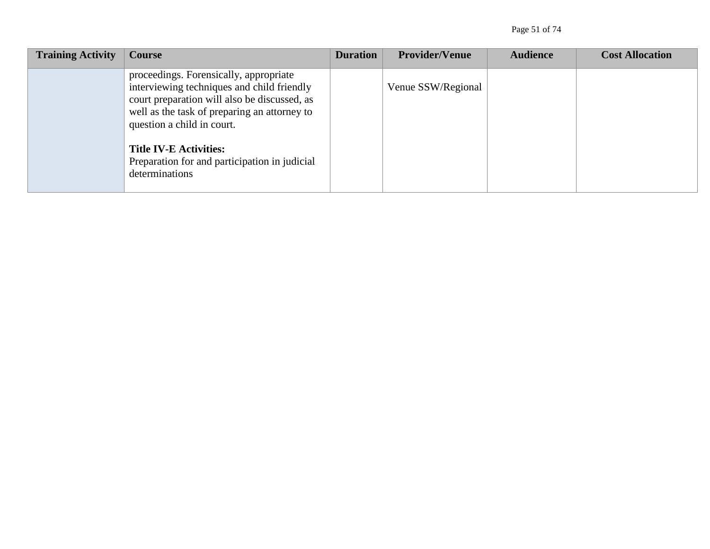| <b>Training Activity</b> | Course                                                                                                                                                                                                             | <b>Duration</b> | <b>Provider/Venue</b> | <b>Audience</b> | <b>Cost Allocation</b> |
|--------------------------|--------------------------------------------------------------------------------------------------------------------------------------------------------------------------------------------------------------------|-----------------|-----------------------|-----------------|------------------------|
|                          | proceedings. Forensically, appropriate<br>interviewing techniques and child friendly<br>court preparation will also be discussed, as<br>well as the task of preparing an attorney to<br>question a child in court. |                 | Venue SSW/Regional    |                 |                        |
|                          | <b>Title IV-E Activities:</b><br>Preparation for and participation in judicial<br>determinations                                                                                                                   |                 |                       |                 |                        |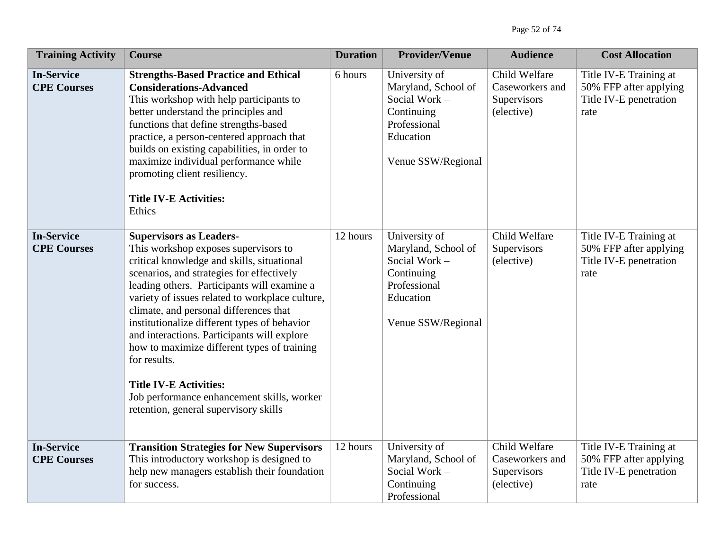| <b>Training Activity</b>                | <b>Course</b>                                                                                                                                                                                                                                                                                                                                                                                                                                                                                                                                                                                       | <b>Duration</b> | <b>Provider/Venue</b>                                                                                                  | <b>Audience</b>                                               | <b>Cost Allocation</b>                                                             |
|-----------------------------------------|-----------------------------------------------------------------------------------------------------------------------------------------------------------------------------------------------------------------------------------------------------------------------------------------------------------------------------------------------------------------------------------------------------------------------------------------------------------------------------------------------------------------------------------------------------------------------------------------------------|-----------------|------------------------------------------------------------------------------------------------------------------------|---------------------------------------------------------------|------------------------------------------------------------------------------------|
| <b>In-Service</b><br><b>CPE Courses</b> | <b>Strengths-Based Practice and Ethical</b><br><b>Considerations-Advanced</b><br>This workshop with help participants to<br>better understand the principles and<br>functions that define strengths-based<br>practice, a person-centered approach that<br>builds on existing capabilities, in order to<br>maximize individual performance while<br>promoting client resiliency.<br><b>Title IV-E Activities:</b><br>Ethics                                                                                                                                                                          | 6 hours         | University of<br>Maryland, School of<br>Social Work -<br>Continuing<br>Professional<br>Education<br>Venue SSW/Regional | Child Welfare<br>Caseworkers and<br>Supervisors<br>(elective) | Title IV-E Training at<br>50% FFP after applying<br>Title IV-E penetration<br>rate |
| <b>In-Service</b><br><b>CPE Courses</b> | <b>Supervisors as Leaders-</b><br>This workshop exposes supervisors to<br>critical knowledge and skills, situational<br>scenarios, and strategies for effectively<br>leading others. Participants will examine a<br>variety of issues related to workplace culture,<br>climate, and personal differences that<br>institutionalize different types of behavior<br>and interactions. Participants will explore<br>how to maximize different types of training<br>for results.<br><b>Title IV-E Activities:</b><br>Job performance enhancement skills, worker<br>retention, general supervisory skills | 12 hours        | University of<br>Maryland, School of<br>Social Work-<br>Continuing<br>Professional<br>Education<br>Venue SSW/Regional  | Child Welfare<br>Supervisors<br>(elective)                    | Title IV-E Training at<br>50% FFP after applying<br>Title IV-E penetration<br>rate |
| <b>In-Service</b><br><b>CPE Courses</b> | <b>Transition Strategies for New Supervisors</b><br>This introductory workshop is designed to<br>help new managers establish their foundation<br>for success.                                                                                                                                                                                                                                                                                                                                                                                                                                       | 12 hours        | University of<br>Maryland, School of<br>Social Work -<br>Continuing<br>Professional                                    | Child Welfare<br>Caseworkers and<br>Supervisors<br>(elective) | Title IV-E Training at<br>50% FFP after applying<br>Title IV-E penetration<br>rate |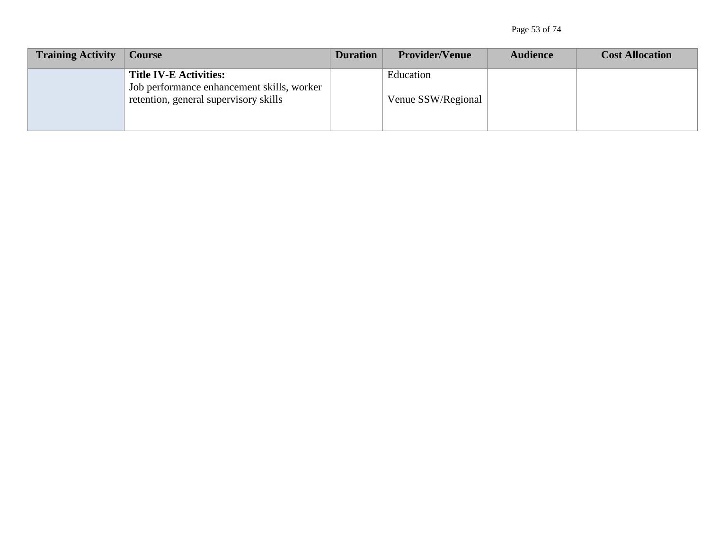Page 53 of 74

| <b>Training Activity</b> | Course                                                                      | <b>Duration</b> | <b>Provider/Venue</b> | <b>Audience</b> | <b>Cost Allocation</b> |
|--------------------------|-----------------------------------------------------------------------------|-----------------|-----------------------|-----------------|------------------------|
|                          | <b>Title IV-E Activities:</b><br>Job performance enhancement skills, worker |                 | Education             |                 |                        |
|                          | retention, general supervisory skills                                       |                 | Venue SSW/Regional    |                 |                        |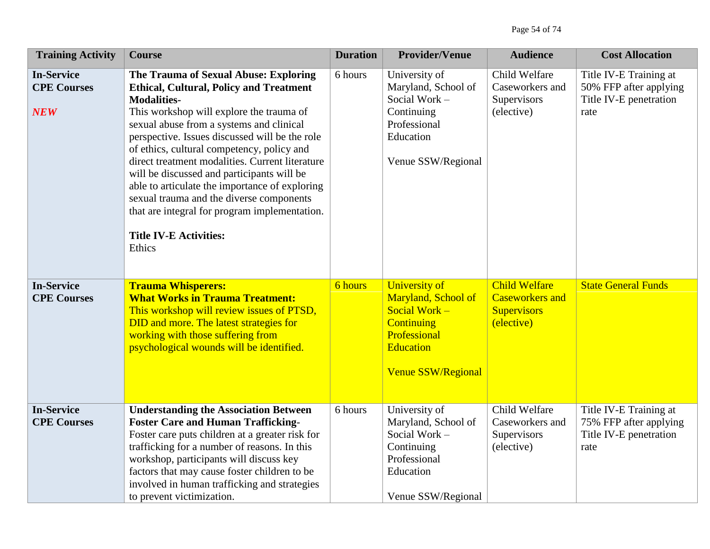| <b>Training Activity</b>                              | <b>Course</b>                                                                                                                                                                                                                                                                                                                                                                                                                                                                                                                                                                                    | <b>Duration</b> | <b>Provider/Venue</b>                                                                                                                       | <b>Audience</b>                                                                    | <b>Cost Allocation</b>                                                             |
|-------------------------------------------------------|--------------------------------------------------------------------------------------------------------------------------------------------------------------------------------------------------------------------------------------------------------------------------------------------------------------------------------------------------------------------------------------------------------------------------------------------------------------------------------------------------------------------------------------------------------------------------------------------------|-----------------|---------------------------------------------------------------------------------------------------------------------------------------------|------------------------------------------------------------------------------------|------------------------------------------------------------------------------------|
| <b>In-Service</b><br><b>CPE Courses</b><br><b>NEW</b> | The Trauma of Sexual Abuse: Exploring<br><b>Ethical, Cultural, Policy and Treatment</b><br><b>Modalities-</b><br>This workshop will explore the trauma of<br>sexual abuse from a systems and clinical<br>perspective. Issues discussed will be the role<br>of ethics, cultural competency, policy and<br>direct treatment modalities. Current literature<br>will be discussed and participants will be<br>able to articulate the importance of exploring<br>sexual trauma and the diverse components<br>that are integral for program implementation.<br><b>Title IV-E Activities:</b><br>Ethics | 6 hours         | University of<br>Maryland, School of<br>Social Work -<br>Continuing<br>Professional<br>Education<br>Venue SSW/Regional                      | Child Welfare<br>Caseworkers and<br>Supervisors<br>(elective)                      | Title IV-E Training at<br>50% FFP after applying<br>Title IV-E penetration<br>rate |
| <b>In-Service</b><br><b>CPE Courses</b>               | <b>Trauma Whisperers:</b><br><b>What Works in Trauma Treatment:</b><br>This workshop will review issues of PTSD,<br>DID and more. The latest strategies for<br>working with those suffering from<br>psychological wounds will be identified.                                                                                                                                                                                                                                                                                                                                                     | 6 hours         | University of<br>Maryland, School of<br>Social Work -<br><b>Continuing</b><br>Professional<br><b>Education</b><br><b>Venue SSW/Regional</b> | <b>Child Welfare</b><br><b>Caseworkers</b> and<br><b>Supervisors</b><br>(elective) | <b>State General Funds</b>                                                         |
| <b>In-Service</b><br><b>CPE Courses</b>               | <b>Understanding the Association Between</b><br><b>Foster Care and Human Trafficking-</b><br>Foster care puts children at a greater risk for<br>trafficking for a number of reasons. In this<br>workshop, participants will discuss key<br>factors that may cause foster children to be<br>involved in human trafficking and strategies<br>to prevent victimization.                                                                                                                                                                                                                             | 6 hours         | University of<br>Maryland, School of<br>Social Work -<br>Continuing<br>Professional<br>Education<br>Venue SSW/Regional                      | Child Welfare<br>Caseworkers and<br>Supervisors<br>(elective)                      | Title IV-E Training at<br>75% FFP after applying<br>Title IV-E penetration<br>rate |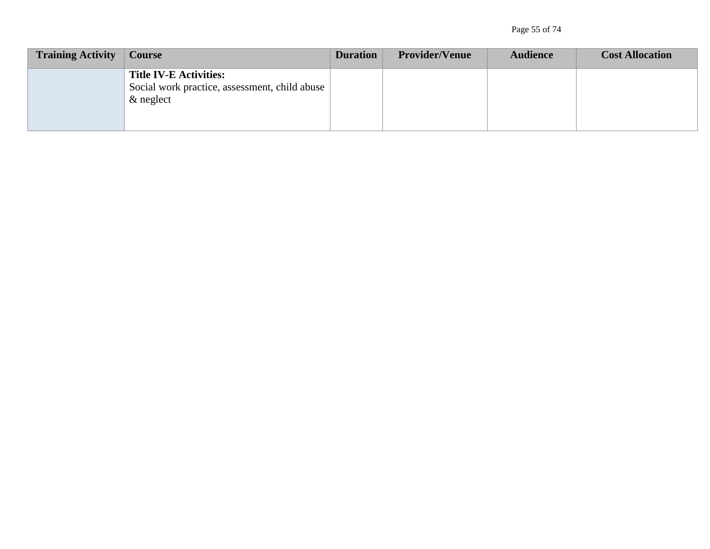| <b>Training Activity</b> | Course                                                                                         | <b>Duration</b> | <b>Provider/Venue</b> | <b>Audience</b> | <b>Cost Allocation</b> |
|--------------------------|------------------------------------------------------------------------------------------------|-----------------|-----------------------|-----------------|------------------------|
|                          | <b>Title IV-E Activities:</b><br>Social work practice, assessment, child abuse<br>$\&$ neglect |                 |                       |                 |                        |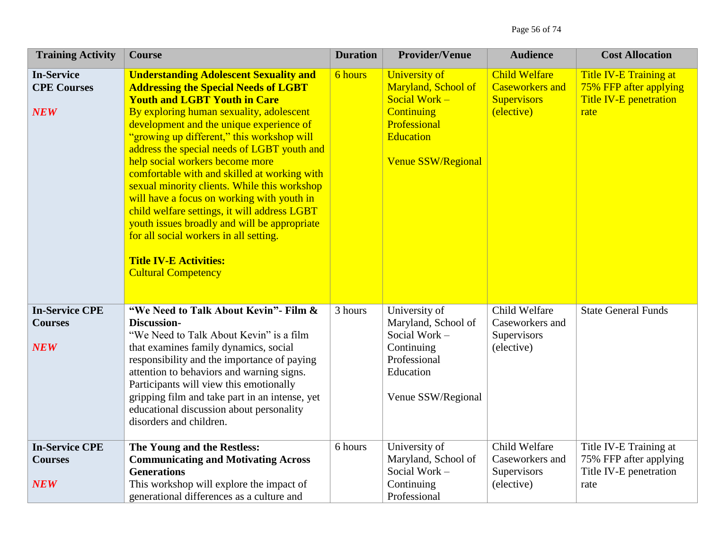| <b>Training Activity</b>                              | <b>Course</b>                                                                                                                                                                                                                                                                                                                                                                                                                                                                                                                                                                                                                                                                                                      | <b>Duration</b> | <b>Provider/Venue</b>                                                                                                                       | <b>Audience</b>                                                                    | <b>Cost Allocation</b>                                                                           |
|-------------------------------------------------------|--------------------------------------------------------------------------------------------------------------------------------------------------------------------------------------------------------------------------------------------------------------------------------------------------------------------------------------------------------------------------------------------------------------------------------------------------------------------------------------------------------------------------------------------------------------------------------------------------------------------------------------------------------------------------------------------------------------------|-----------------|---------------------------------------------------------------------------------------------------------------------------------------------|------------------------------------------------------------------------------------|--------------------------------------------------------------------------------------------------|
| <b>In-Service</b><br><b>CPE Courses</b><br><b>NEW</b> | <b>Understanding Adolescent Sexuality and</b><br><b>Addressing the Special Needs of LGBT</b><br><b>Youth and LGBT Youth in Care</b><br>By exploring human sexuality, adolescent<br>development and the unique experience of<br>"growing up different," this workshop will<br>address the special needs of LGBT youth and<br>help social workers become more<br>comfortable with and skilled at working with<br>sexual minority clients. While this workshop<br>will have a focus on working with youth in<br>child welfare settings, it will address LGBT<br>youth issues broadly and will be appropriate<br>for all social workers in all setting.<br><b>Title IV-E Activities:</b><br><b>Cultural Competency</b> | 6 hours         | <b>University of</b><br>Maryland, School of<br>Social Work -<br>Continuing<br>Professional<br><b>Education</b><br><b>Venue SSW/Regional</b> | <b>Child Welfare</b><br><b>Caseworkers and</b><br><b>Supervisors</b><br>(elective) | <b>Title IV-E Training at</b><br>75% FFP after applying<br><b>Title IV-E penetration</b><br>rate |
| <b>In-Service CPE</b><br><b>Courses</b><br><b>NEW</b> | "We Need to Talk About Kevin" - Film &<br>Discussion-<br>"We Need to Talk About Kevin" is a film<br>that examines family dynamics, social<br>responsibility and the importance of paying<br>attention to behaviors and warning signs.<br>Participants will view this emotionally<br>gripping film and take part in an intense, yet<br>educational discussion about personality<br>disorders and children.                                                                                                                                                                                                                                                                                                          | 3 hours         | University of<br>Maryland, School of<br>Social Work -<br>Continuing<br>Professional<br>Education<br>Venue SSW/Regional                      | Child Welfare<br>Caseworkers and<br>Supervisors<br>(elective)                      | <b>State General Funds</b>                                                                       |
| <b>In-Service CPE</b><br><b>Courses</b><br><b>NEW</b> | The Young and the Restless:<br><b>Communicating and Motivating Across</b><br><b>Generations</b><br>This workshop will explore the impact of<br>generational differences as a culture and                                                                                                                                                                                                                                                                                                                                                                                                                                                                                                                           | 6 hours         | University of<br>Maryland, School of<br>Social Work -<br>Continuing<br>Professional                                                         | Child Welfare<br>Caseworkers and<br>Supervisors<br>(elective)                      | Title IV-E Training at<br>75% FFP after applying<br>Title IV-E penetration<br>rate               |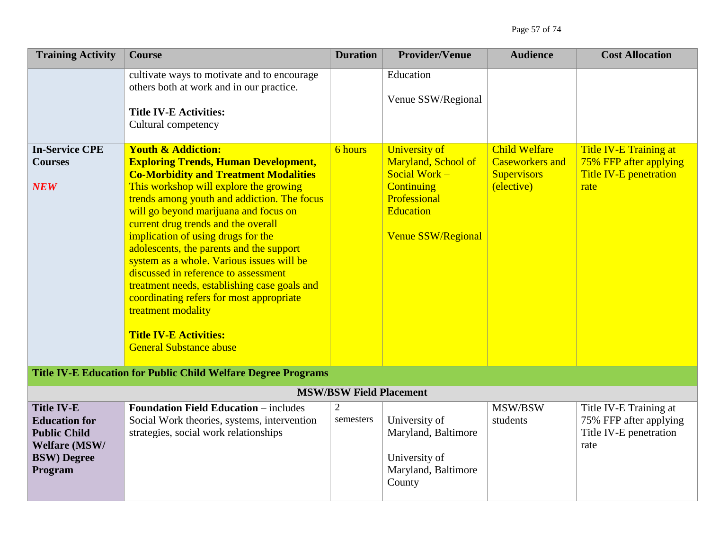| <b>Training Activity</b>                                                                                           | <b>Course</b>                                                                                                                                                                                                                                                                                                                                                                                                                                                                                                                                                                                                                                                     | <b>Duration</b>                | <b>Provider/Venue</b>                                                                                                                              | <b>Audience</b>                                                                    | <b>Cost Allocation</b>                                                             |
|--------------------------------------------------------------------------------------------------------------------|-------------------------------------------------------------------------------------------------------------------------------------------------------------------------------------------------------------------------------------------------------------------------------------------------------------------------------------------------------------------------------------------------------------------------------------------------------------------------------------------------------------------------------------------------------------------------------------------------------------------------------------------------------------------|--------------------------------|----------------------------------------------------------------------------------------------------------------------------------------------------|------------------------------------------------------------------------------------|------------------------------------------------------------------------------------|
|                                                                                                                    | cultivate ways to motivate and to encourage<br>others both at work and in our practice.<br><b>Title IV-E Activities:</b><br>Cultural competency                                                                                                                                                                                                                                                                                                                                                                                                                                                                                                                   |                                | Education<br>Venue SSW/Regional                                                                                                                    |                                                                                    |                                                                                    |
| <b>In-Service CPE</b><br><b>Courses</b><br><b>NEW</b>                                                              | <b>Youth &amp; Addiction:</b><br><b>Exploring Trends, Human Development,</b><br><b>Co-Morbidity and Treatment Modalities</b><br>This workshop will explore the growing<br>trends among youth and addiction. The focus<br>will go beyond marijuana and focus on<br>current drug trends and the overall<br>implication of using drugs for the<br>adolescents, the parents and the support<br>system as a whole. Various issues will be<br>discussed in reference to assessment<br>treatment needs, establishing case goals and<br>coordinating refers for most appropriate<br>treatment modality<br><b>Title IV-E Activities:</b><br><b>General Substance abuse</b> | 6 hours                        | <b>University of</b><br>Maryland, School of<br>Social Work -<br><b>Continuing</b><br>Professional<br><b>Education</b><br><b>Venue SSW/Regional</b> | <b>Child Welfare</b><br><b>Caseworkers and</b><br><b>Supervisors</b><br>(elective) | Title IV-E Training at<br>75% FFP after applying<br>Title IV-E penetration<br>rate |
|                                                                                                                    | <b>Title IV-E Education for Public Child Welfare Degree Programs</b>                                                                                                                                                                                                                                                                                                                                                                                                                                                                                                                                                                                              |                                |                                                                                                                                                    |                                                                                    |                                                                                    |
|                                                                                                                    |                                                                                                                                                                                                                                                                                                                                                                                                                                                                                                                                                                                                                                                                   | <b>MSW/BSW Field Placement</b> |                                                                                                                                                    |                                                                                    |                                                                                    |
| <b>Title IV-E</b><br><b>Education for</b><br><b>Public Child</b><br>Welfare (MSW/<br><b>BSW)</b> Degree<br>Program | <b>Foundation Field Education – includes</b><br>Social Work theories, systems, intervention<br>strategies, social work relationships                                                                                                                                                                                                                                                                                                                                                                                                                                                                                                                              | $\overline{2}$<br>semesters    | University of<br>Maryland, Baltimore<br>University of<br>Maryland, Baltimore<br>County                                                             | MSW/BSW<br>students                                                                | Title IV-E Training at<br>75% FFP after applying<br>Title IV-E penetration<br>rate |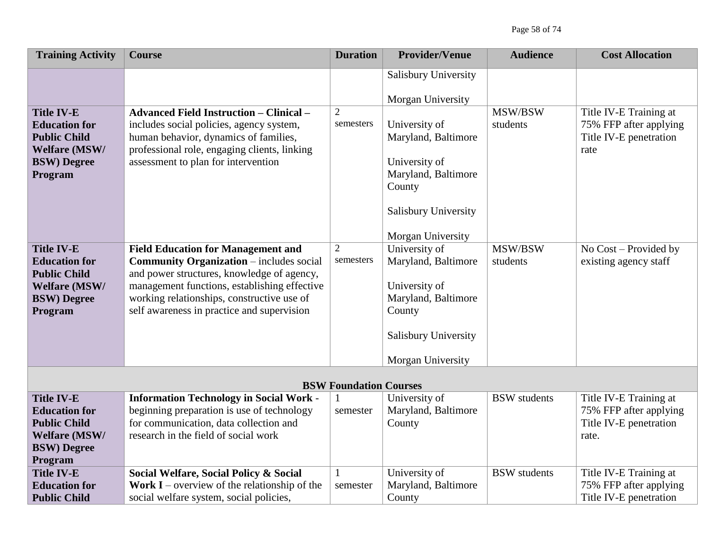Page 58 of 74

| <b>Training Activity</b>                                                                                                  | <b>Course</b>                                                                                                                                                                                                                                                                          | <b>Duration</b>               | <b>Provider/Venue</b>                                                                                                               | <b>Audience</b>     | <b>Cost Allocation</b>                                                              |
|---------------------------------------------------------------------------------------------------------------------------|----------------------------------------------------------------------------------------------------------------------------------------------------------------------------------------------------------------------------------------------------------------------------------------|-------------------------------|-------------------------------------------------------------------------------------------------------------------------------------|---------------------|-------------------------------------------------------------------------------------|
| <b>Title IV-E</b><br><b>Education for</b><br><b>Public Child</b><br><b>Welfare (MSW/</b><br><b>BSW)</b> Degree<br>Program | <b>Advanced Field Instruction - Clinical -</b><br>includes social policies, agency system,<br>human behavior, dynamics of families,<br>professional role, engaging clients, linking<br>assessment to plan for intervention                                                             | $\overline{2}$<br>semesters   | Salisbury University<br>Morgan University<br>University of<br>Maryland, Baltimore<br>University of<br>Maryland, Baltimore<br>County | MSW/BSW<br>students | Title IV-E Training at<br>75% FFP after applying<br>Title IV-E penetration<br>rate  |
|                                                                                                                           |                                                                                                                                                                                                                                                                                        |                               | <b>Salisbury University</b><br>Morgan University                                                                                    |                     |                                                                                     |
| <b>Title IV-E</b><br><b>Education for</b><br><b>Public Child</b><br><b>Welfare (MSW/</b><br><b>BSW)</b> Degree<br>Program | <b>Field Education for Management and</b><br><b>Community Organization - includes social</b><br>and power structures, knowledge of agency,<br>management functions, establishing effective<br>working relationships, constructive use of<br>self awareness in practice and supervision | $\overline{2}$<br>semesters   | University of<br>Maryland, Baltimore<br>University of<br>Maryland, Baltimore<br>County<br><b>Salisbury University</b>               | MSW/BSW<br>students | No Cost - Provided by<br>existing agency staff                                      |
|                                                                                                                           |                                                                                                                                                                                                                                                                                        |                               | Morgan University                                                                                                                   |                     |                                                                                     |
|                                                                                                                           |                                                                                                                                                                                                                                                                                        | <b>BSW Foundation Courses</b> |                                                                                                                                     |                     |                                                                                     |
| <b>Title IV-E</b><br><b>Education for</b><br><b>Public Child</b><br><b>Welfare (MSW/</b><br><b>BSW)</b> Degree<br>Program | <b>Information Technology in Social Work -</b><br>beginning preparation is use of technology<br>for communication, data collection and<br>research in the field of social work                                                                                                         | semester                      | University of<br>Maryland, Baltimore<br>County                                                                                      | <b>BSW</b> students | Title IV-E Training at<br>75% FFP after applying<br>Title IV-E penetration<br>rate. |
| <b>Title IV-E</b><br><b>Education for</b><br><b>Public Child</b>                                                          | Social Welfare, Social Policy & Social<br><b>Work I</b> – overview of the relationship of the<br>social welfare system, social policies,                                                                                                                                               | $\mathbf{1}$<br>semester      | University of<br>Maryland, Baltimore<br>County                                                                                      | <b>BSW</b> students | Title IV-E Training at<br>75% FFP after applying<br>Title IV-E penetration          |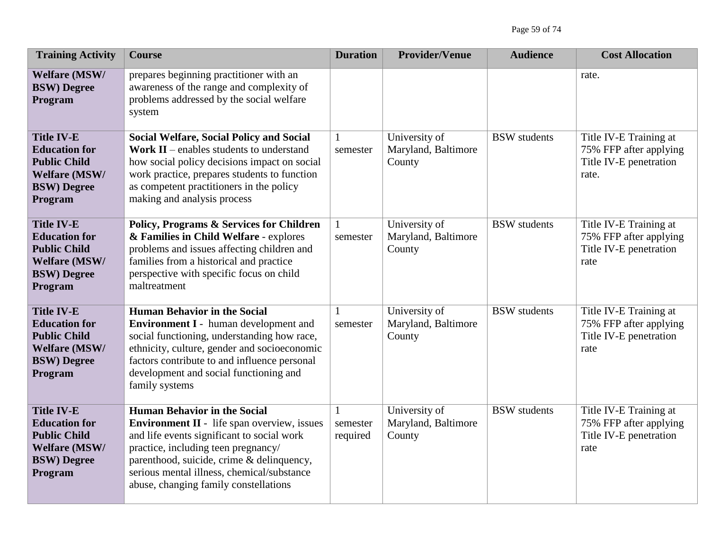| <b>Training Activity</b>                                                                                                  | <b>Course</b>                                                                                                                                                                                                                                                                                                      | <b>Duration</b>           | <b>Provider/Venue</b>                          | <b>Audience</b>     | <b>Cost Allocation</b>                                                              |
|---------------------------------------------------------------------------------------------------------------------------|--------------------------------------------------------------------------------------------------------------------------------------------------------------------------------------------------------------------------------------------------------------------------------------------------------------------|---------------------------|------------------------------------------------|---------------------|-------------------------------------------------------------------------------------|
| <b>Welfare (MSW/</b><br><b>BSW)</b> Degree<br>Program                                                                     | prepares beginning practitioner with an<br>awareness of the range and complexity of<br>problems addressed by the social welfare<br>system                                                                                                                                                                          |                           |                                                |                     | rate.                                                                               |
| <b>Title IV-E</b><br><b>Education for</b><br><b>Public Child</b><br><b>Welfare (MSW/</b><br><b>BSW)</b> Degree<br>Program | <b>Social Welfare, Social Policy and Social</b><br><b>Work II</b> – enables students to understand<br>how social policy decisions impact on social<br>work practice, prepares students to function<br>as competent practitioners in the policy<br>making and analysis process                                      | $\mathbf{1}$<br>semester  | University of<br>Maryland, Baltimore<br>County | <b>BSW</b> students | Title IV-E Training at<br>75% FFP after applying<br>Title IV-E penetration<br>rate. |
| <b>Title IV-E</b><br><b>Education for</b><br><b>Public Child</b><br><b>Welfare (MSW/</b><br><b>BSW)</b> Degree<br>Program | <b>Policy, Programs &amp; Services for Children</b><br>& Families in Child Welfare - explores<br>problems and issues affecting children and<br>families from a historical and practice<br>perspective with specific focus on child<br>maltreatment                                                                 | semester                  | University of<br>Maryland, Baltimore<br>County | <b>BSW</b> students | Title IV-E Training at<br>75% FFP after applying<br>Title IV-E penetration<br>rate  |
| <b>Title IV-E</b><br><b>Education for</b><br><b>Public Child</b><br><b>Welfare (MSW/</b><br><b>BSW)</b> Degree<br>Program | <b>Human Behavior in the Social</b><br>Environment I - human development and<br>social functioning, understanding how race,<br>ethnicity, culture, gender and socioeconomic<br>factors contribute to and influence personal<br>development and social functioning and<br>family systems                            | $\mathbf{1}$<br>semester  | University of<br>Maryland, Baltimore<br>County | <b>BSW</b> students | Title IV-E Training at<br>75% FFP after applying<br>Title IV-E penetration<br>rate  |
| <b>Title IV-E</b><br><b>Education for</b><br><b>Public Child</b><br><b>Welfare (MSW/</b><br><b>BSW)</b> Degree<br>Program | <b>Human Behavior in the Social</b><br><b>Environment II</b> - life span overview, issues<br>and life events significant to social work<br>practice, including teen pregnancy/<br>parenthood, suicide, crime & delinquency,<br>serious mental illness, chemical/substance<br>abuse, changing family constellations | 1<br>semester<br>required | University of<br>Maryland, Baltimore<br>County | <b>BSW</b> students | Title IV-E Training at<br>75% FFP after applying<br>Title IV-E penetration<br>rate  |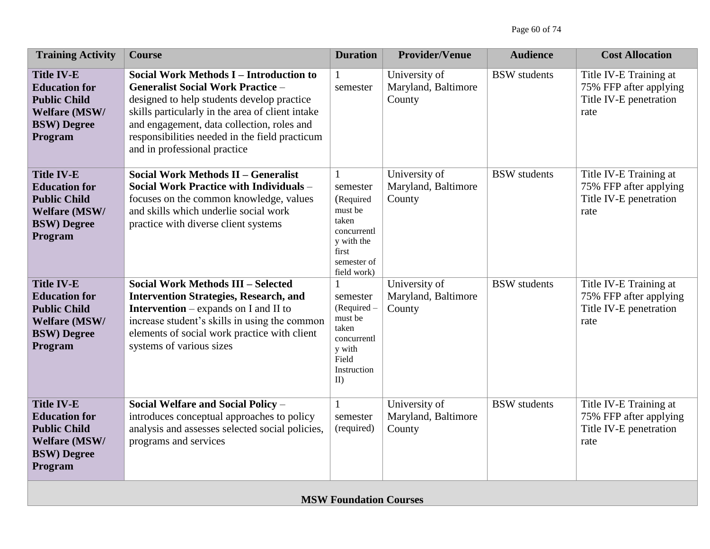| <b>Training Activity</b>                                                                                                  | <b>Course</b>                                                                                                                                                                                                                                                                                                         | <b>Duration</b>                                                                                                               | <b>Provider/Venue</b>                          | <b>Audience</b>     | <b>Cost Allocation</b>                                                             |
|---------------------------------------------------------------------------------------------------------------------------|-----------------------------------------------------------------------------------------------------------------------------------------------------------------------------------------------------------------------------------------------------------------------------------------------------------------------|-------------------------------------------------------------------------------------------------------------------------------|------------------------------------------------|---------------------|------------------------------------------------------------------------------------|
| <b>Title IV-E</b><br><b>Education for</b><br><b>Public Child</b><br><b>Welfare (MSW/</b><br><b>BSW)</b> Degree<br>Program | Social Work Methods I - Introduction to<br><b>Generalist Social Work Practice -</b><br>designed to help students develop practice<br>skills particularly in the area of client intake<br>and engagement, data collection, roles and<br>responsibilities needed in the field practicum<br>and in professional practice | $\mathbf{1}$<br>semester                                                                                                      | University of<br>Maryland, Baltimore<br>County | <b>BSW</b> students | Title IV-E Training at<br>75% FFP after applying<br>Title IV-E penetration<br>rate |
| <b>Title IV-E</b><br><b>Education for</b><br><b>Public Child</b><br><b>Welfare (MSW/</b><br><b>BSW)</b> Degree<br>Program | Social Work Methods II - Generalist<br>Social Work Practice with Individuals -<br>focuses on the common knowledge, values<br>and skills which underlie social work<br>practice with diverse client systems                                                                                                            | $\mathbf{1}$<br>semester<br>(Required<br>must be<br>taken<br>concurrentl<br>y with the<br>first<br>semester of<br>field work) | University of<br>Maryland, Baltimore<br>County | <b>BSW</b> students | Title IV-E Training at<br>75% FFP after applying<br>Title IV-E penetration<br>rate |
| <b>Title IV-E</b><br><b>Education for</b><br><b>Public Child</b><br><b>Welfare (MSW/</b><br><b>BSW)</b> Degree<br>Program | <b>Social Work Methods III - Selected</b><br><b>Intervention Strategies, Research, and</b><br><b>Intervention</b> – expands on I and II to<br>increase student's skills in using the common<br>elements of social work practice with client<br>systems of various sizes                                               | $\mathbf{1}$<br>semester<br>(Required -<br>must be<br>taken<br>concurrentl<br>y with<br>Field<br>Instruction<br>$\mathbf{I}$  | University of<br>Maryland, Baltimore<br>County | <b>BSW</b> students | Title IV-E Training at<br>75% FFP after applying<br>Title IV-E penetration<br>rate |
| <b>Title IV-E</b><br><b>Education for</b><br><b>Public Child</b><br><b>Welfare (MSW/</b><br><b>BSW)</b> Degree<br>Program | Social Welfare and Social Policy -<br>introduces conceptual approaches to policy<br>analysis and assesses selected social policies,<br>programs and services                                                                                                                                                          | $\mathbf{1}$<br>semester<br>(required)                                                                                        | University of<br>Maryland, Baltimore<br>County | <b>BSW</b> students | Title IV-E Training at<br>75% FFP after applying<br>Title IV-E penetration<br>rate |
|                                                                                                                           |                                                                                                                                                                                                                                                                                                                       | <b>MSW Foundation Courses</b>                                                                                                 |                                                |                     |                                                                                    |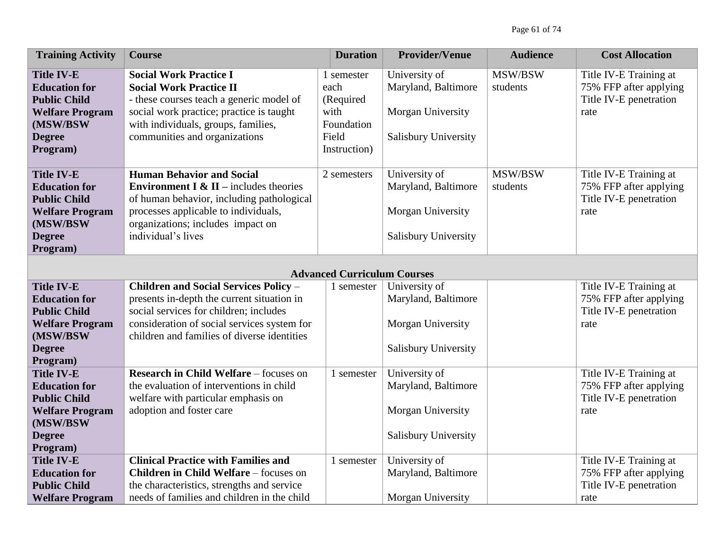| <b>Training Activity</b>                    | <b>Course</b>                                                                        | <b>Duration</b>                    | <b>Provider/Venue</b>       | <b>Audience</b> | <b>Cost Allocation</b> |
|---------------------------------------------|--------------------------------------------------------------------------------------|------------------------------------|-----------------------------|-----------------|------------------------|
| <b>Title IV-E</b>                           | <b>Social Work Practice I</b>                                                        | 1 semester                         | University of               | MSW/BSW         | Title IV-E Training at |
| <b>Education for</b>                        | <b>Social Work Practice II</b>                                                       | each                               | Maryland, Baltimore         | students        | 75% FFP after applying |
| <b>Public Child</b>                         | - these courses teach a generic model of                                             | (Required                          |                             |                 | Title IV-E penetration |
| <b>Welfare Program</b>                      | social work practice; practice is taught                                             | with                               | Morgan University           |                 | rate                   |
| (MSW/BSW                                    | with individuals, groups, families,                                                  | Foundation                         |                             |                 |                        |
| <b>Degree</b>                               | communities and organizations                                                        | Field                              | Salisbury University        |                 |                        |
| Program)                                    |                                                                                      | Instruction)                       |                             |                 |                        |
|                                             |                                                                                      |                                    |                             |                 |                        |
| <b>Title IV-E</b>                           | <b>Human Behavior and Social</b>                                                     | 2 semesters                        | University of               | MSW/BSW         | Title IV-E Training at |
| <b>Education for</b>                        | <b>Environment I &amp; II</b> – includes theories                                    |                                    | Maryland, Baltimore         | students        | 75% FFP after applying |
| <b>Public Child</b>                         | of human behavior, including pathological                                            |                                    |                             |                 | Title IV-E penetration |
| <b>Welfare Program</b>                      | processes applicable to individuals,                                                 |                                    | Morgan University           |                 | rate                   |
| (MSW/BSW                                    | organizations; includes impact on                                                    |                                    |                             |                 |                        |
| <b>Degree</b>                               | individual's lives                                                                   |                                    | Salisbury University        |                 |                        |
| Program)                                    |                                                                                      |                                    |                             |                 |                        |
|                                             |                                                                                      |                                    |                             |                 |                        |
|                                             |                                                                                      | <b>Advanced Curriculum Courses</b> |                             |                 |                        |
| <b>Title IV-E</b>                           | <b>Children and Social Services Policy -</b>                                         | 1 semester                         | University of               |                 | Title IV-E Training at |
| <b>Education for</b><br><b>Public Child</b> | presents in-depth the current situation in<br>social services for children; includes |                                    | Maryland, Baltimore         |                 | 75% FFP after applying |
| <b>Welfare Program</b>                      | consideration of social services system for                                          |                                    | Morgan University           |                 | Title IV-E penetration |
| (MSW/BSW                                    | children and families of diverse identities                                          |                                    |                             |                 | rate                   |
| <b>Degree</b>                               |                                                                                      |                                    | Salisbury University        |                 |                        |
| Program)                                    |                                                                                      |                                    |                             |                 |                        |
| <b>Title IV-E</b>                           | <b>Research in Child Welfare - focuses on</b>                                        | 1 semester                         | University of               |                 | Title IV-E Training at |
| <b>Education for</b>                        | the evaluation of interventions in child                                             |                                    | Maryland, Baltimore         |                 | 75% FFP after applying |
| <b>Public Child</b>                         | welfare with particular emphasis on                                                  |                                    |                             |                 | Title IV-E penetration |
| <b>Welfare Program</b>                      | adoption and foster care                                                             |                                    | Morgan University           |                 | rate                   |
| (MSW/BSW                                    |                                                                                      |                                    |                             |                 |                        |
| <b>Degree</b>                               |                                                                                      |                                    | <b>Salisbury University</b> |                 |                        |
| Program)                                    |                                                                                      |                                    |                             |                 |                        |
| <b>Title IV-E</b>                           | <b>Clinical Practice with Families and</b>                                           | 1 semester                         | University of               |                 | Title IV-E Training at |
| <b>Education for</b>                        | <b>Children in Child Welfare - focuses on</b>                                        |                                    | Maryland, Baltimore         |                 | 75% FFP after applying |
| <b>Public Child</b>                         | the characteristics, strengths and service                                           |                                    |                             |                 | Title IV-E penetration |
| <b>Welfare Program</b>                      | needs of families and children in the child                                          |                                    | Morgan University           |                 | rate                   |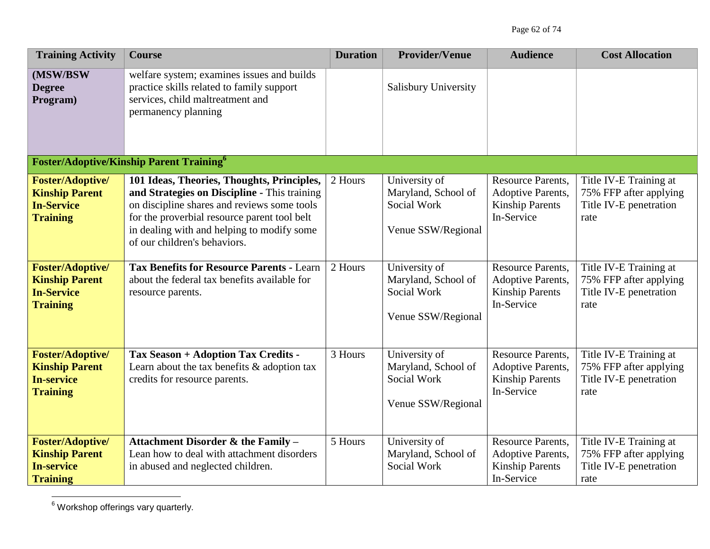| <b>Training Activity</b>                                                                 | <b>Course</b>                                                                                                                                                                                                                                                           | <b>Duration</b>      | <b>Provider/Venue</b>                                                     | <b>Audience</b>                                                                       | <b>Cost Allocation</b>                                                             |
|------------------------------------------------------------------------------------------|-------------------------------------------------------------------------------------------------------------------------------------------------------------------------------------------------------------------------------------------------------------------------|----------------------|---------------------------------------------------------------------------|---------------------------------------------------------------------------------------|------------------------------------------------------------------------------------|
| (MSW/BSW<br><b>Degree</b><br>Program)                                                    | welfare system; examines issues and builds<br>practice skills related to family support<br>services, child maltreatment and<br>permanency planning                                                                                                                      |                      | <b>Salisbury University</b>                                               |                                                                                       |                                                                                    |
|                                                                                          | <b>Foster/Adoptive/Kinship Parent Training</b> <sup>6</sup>                                                                                                                                                                                                             |                      |                                                                           |                                                                                       |                                                                                    |
| <b>Foster/Adoptive/</b><br><b>Kinship Parent</b><br><b>In-Service</b><br><b>Training</b> | 101 Ideas, Theories, Thoughts, Principles,<br>and Strategies on Discipline - This training<br>on discipline shares and reviews some tools<br>for the proverbial resource parent tool belt<br>in dealing with and helping to modify some<br>of our children's behaviors. | 2 Hours              | University of<br>Maryland, School of<br>Social Work<br>Venue SSW/Regional | <b>Resource Parents,</b><br>Adoptive Parents,<br><b>Kinship Parents</b><br>In-Service | Title IV-E Training at<br>75% FFP after applying<br>Title IV-E penetration<br>rate |
| <b>Foster/Adoptive/</b><br><b>Kinship Parent</b><br><b>In-Service</b><br><b>Training</b> | <b>Tax Benefits for Resource Parents - Learn</b><br>about the federal tax benefits available for<br>resource parents.                                                                                                                                                   | $\overline{2}$ Hours | University of<br>Maryland, School of<br>Social Work<br>Venue SSW/Regional | <b>Resource Parents,</b><br>Adoptive Parents,<br><b>Kinship Parents</b><br>In-Service | Title IV-E Training at<br>75% FFP after applying<br>Title IV-E penetration<br>rate |
| <b>Foster/Adoptive/</b><br><b>Kinship Parent</b><br><b>In-service</b><br><b>Training</b> | <b>Tax Season + Adoption Tax Credits -</b><br>Learn about the tax benefits $\&$ adoption tax<br>credits for resource parents.                                                                                                                                           | 3 Hours              | University of<br>Maryland, School of<br>Social Work<br>Venue SSW/Regional | <b>Resource Parents,</b><br>Adoptive Parents,<br><b>Kinship Parents</b><br>In-Service | Title IV-E Training at<br>75% FFP after applying<br>Title IV-E penetration<br>rate |
| <b>Foster/Adoptive/</b><br><b>Kinship Parent</b><br><b>In-service</b><br><b>Training</b> | Attachment Disorder & the Family -<br>Lean how to deal with attachment disorders<br>in abused and neglected children.                                                                                                                                                   | 5 Hours              | University of<br>Maryland, School of<br>Social Work                       | <b>Resource Parents,</b><br>Adoptive Parents,<br><b>Kinship Parents</b><br>In-Service | Title IV-E Training at<br>75% FFP after applying<br>Title IV-E penetration<br>rate |

 $\overline{a}$  $6$  Workshop offerings vary quarterly.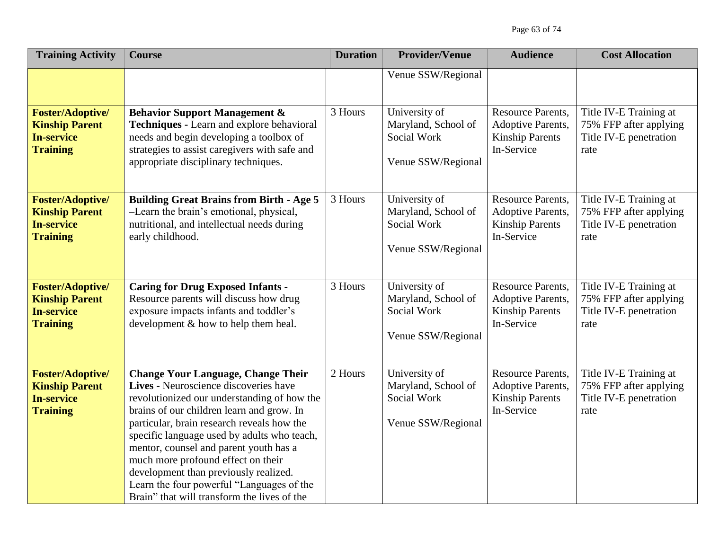Page 63 of 74

| <b>Training Activity</b>                                                                 | <b>Course</b>                                                                                                                                                                                                                                                                                                                                                                                                                                                                                    | <b>Duration</b> | <b>Provider/Venue</b>                                                     | <b>Audience</b>                                                                              | <b>Cost Allocation</b>                                                             |
|------------------------------------------------------------------------------------------|--------------------------------------------------------------------------------------------------------------------------------------------------------------------------------------------------------------------------------------------------------------------------------------------------------------------------------------------------------------------------------------------------------------------------------------------------------------------------------------------------|-----------------|---------------------------------------------------------------------------|----------------------------------------------------------------------------------------------|------------------------------------------------------------------------------------|
|                                                                                          |                                                                                                                                                                                                                                                                                                                                                                                                                                                                                                  |                 | Venue SSW/Regional                                                        |                                                                                              |                                                                                    |
| <b>Foster/Adoptive/</b><br><b>Kinship Parent</b><br><b>In-service</b><br><b>Training</b> | <b>Behavior Support Management &amp;</b><br>Techniques - Learn and explore behavioral<br>needs and begin developing a toolbox of<br>strategies to assist caregivers with safe and<br>appropriate disciplinary techniques.                                                                                                                                                                                                                                                                        | 3 Hours         | University of<br>Maryland, School of<br>Social Work<br>Venue SSW/Regional | <b>Resource Parents,</b><br><b>Adoptive Parents,</b><br><b>Kinship Parents</b><br>In-Service | Title IV-E Training at<br>75% FFP after applying<br>Title IV-E penetration<br>rate |
| <b>Foster/Adoptive/</b><br><b>Kinship Parent</b><br><b>In-service</b><br><b>Training</b> | <b>Building Great Brains from Birth - Age 5</b><br>-Learn the brain's emotional, physical,<br>nutritional, and intellectual needs during<br>early childhood.                                                                                                                                                                                                                                                                                                                                     | 3 Hours         | University of<br>Maryland, School of<br>Social Work<br>Venue SSW/Regional | <b>Resource Parents,</b><br>Adoptive Parents,<br><b>Kinship Parents</b><br>In-Service        | Title IV-E Training at<br>75% FFP after applying<br>Title IV-E penetration<br>rate |
| <b>Foster/Adoptive/</b><br><b>Kinship Parent</b><br><b>In-service</b><br><b>Training</b> | <b>Caring for Drug Exposed Infants -</b><br>Resource parents will discuss how drug<br>exposure impacts infants and toddler's<br>development & how to help them heal.                                                                                                                                                                                                                                                                                                                             | 3 Hours         | University of<br>Maryland, School of<br>Social Work<br>Venue SSW/Regional | <b>Resource Parents,</b><br><b>Adoptive Parents,</b><br><b>Kinship Parents</b><br>In-Service | Title IV-E Training at<br>75% FFP after applying<br>Title IV-E penetration<br>rate |
| <b>Foster/Adoptive/</b><br><b>Kinship Parent</b><br><b>In-service</b><br><b>Training</b> | <b>Change Your Language, Change Their</b><br>Lives - Neuroscience discoveries have<br>revolutionized our understanding of how the<br>brains of our children learn and grow. In<br>particular, brain research reveals how the<br>specific language used by adults who teach,<br>mentor, counsel and parent youth has a<br>much more profound effect on their<br>development than previously realized.<br>Learn the four powerful "Languages of the<br>Brain" that will transform the lives of the | 2 Hours         | University of<br>Maryland, School of<br>Social Work<br>Venue SSW/Regional | <b>Resource Parents,</b><br><b>Adoptive Parents,</b><br><b>Kinship Parents</b><br>In-Service | Title IV-E Training at<br>75% FFP after applying<br>Title IV-E penetration<br>rate |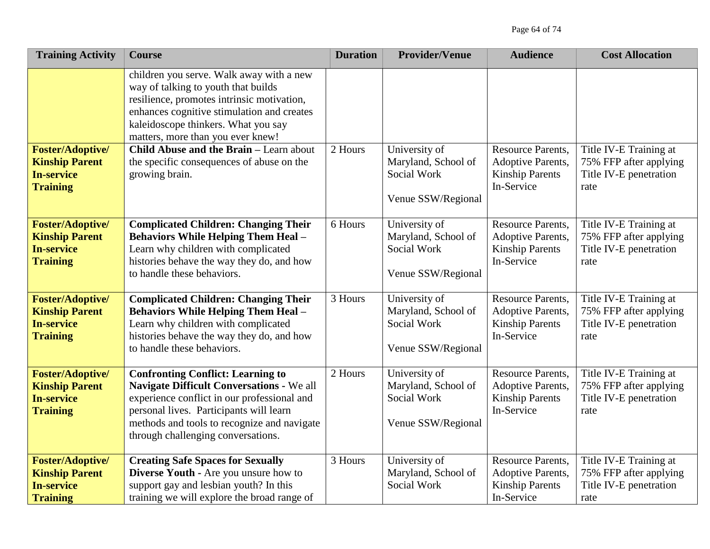| <b>Training Activity</b>                                                                 | <b>Course</b>                                                                                                                                                                                                                                                                                                                                                     | <b>Duration</b> | <b>Provider/Venue</b>                                                     | <b>Audience</b>                                                                              | <b>Cost Allocation</b>                                                             |
|------------------------------------------------------------------------------------------|-------------------------------------------------------------------------------------------------------------------------------------------------------------------------------------------------------------------------------------------------------------------------------------------------------------------------------------------------------------------|-----------------|---------------------------------------------------------------------------|----------------------------------------------------------------------------------------------|------------------------------------------------------------------------------------|
| <b>Foster/Adoptive/</b><br><b>Kinship Parent</b><br><b>In-service</b><br><b>Training</b> | children you serve. Walk away with a new<br>way of talking to youth that builds<br>resilience, promotes intrinsic motivation,<br>enhances cognitive stimulation and creates<br>kaleidoscope thinkers. What you say<br>matters, more than you ever knew!<br>Child Abuse and the Brain - Learn about<br>the specific consequences of abuse on the<br>growing brain. | 2 Hours         | University of<br>Maryland, School of<br>Social Work<br>Venue SSW/Regional | <b>Resource Parents,</b><br><b>Adoptive Parents,</b><br><b>Kinship Parents</b><br>In-Service | Title IV-E Training at<br>75% FFP after applying<br>Title IV-E penetration<br>rate |
| <b>Foster/Adoptive/</b><br><b>Kinship Parent</b><br><b>In-service</b><br><b>Training</b> | <b>Complicated Children: Changing Their</b><br><b>Behaviors While Helping Them Heal -</b><br>Learn why children with complicated<br>histories behave the way they do, and how<br>to handle these behaviors.                                                                                                                                                       | 6 Hours         | University of<br>Maryland, School of<br>Social Work<br>Venue SSW/Regional | <b>Resource Parents,</b><br><b>Adoptive Parents,</b><br><b>Kinship Parents</b><br>In-Service | Title IV-E Training at<br>75% FFP after applying<br>Title IV-E penetration<br>rate |
| <b>Foster/Adoptive/</b><br><b>Kinship Parent</b><br><b>In-service</b><br><b>Training</b> | <b>Complicated Children: Changing Their</b><br><b>Behaviors While Helping Them Heal -</b><br>Learn why children with complicated<br>histories behave the way they do, and how<br>to handle these behaviors.                                                                                                                                                       | 3 Hours         | University of<br>Maryland, School of<br>Social Work<br>Venue SSW/Regional | <b>Resource Parents,</b><br><b>Adoptive Parents,</b><br><b>Kinship Parents</b><br>In-Service | Title IV-E Training at<br>75% FFP after applying<br>Title IV-E penetration<br>rate |
| <b>Foster/Adoptive/</b><br><b>Kinship Parent</b><br><b>In-service</b><br><b>Training</b> | <b>Confronting Conflict: Learning to</b><br>Navigate Difficult Conversations - We all<br>experience conflict in our professional and<br>personal lives. Participants will learn<br>methods and tools to recognize and navigate<br>through challenging conversations.                                                                                              | 2 Hours         | University of<br>Maryland, School of<br>Social Work<br>Venue SSW/Regional | <b>Resource Parents,</b><br><b>Adoptive Parents,</b><br><b>Kinship Parents</b><br>In-Service | Title IV-E Training at<br>75% FFP after applying<br>Title IV-E penetration<br>rate |
| <b>Foster/Adoptive/</b><br><b>Kinship Parent</b><br><b>In-service</b><br><b>Training</b> | <b>Creating Safe Spaces for Sexually</b><br>Diverse Youth - Are you unsure how to<br>support gay and lesbian youth? In this<br>training we will explore the broad range of                                                                                                                                                                                        | 3 Hours         | University of<br>Maryland, School of<br>Social Work                       | <b>Resource Parents,</b><br><b>Adoptive Parents,</b><br><b>Kinship Parents</b><br>In-Service | Title IV-E Training at<br>75% FFP after applying<br>Title IV-E penetration<br>rate |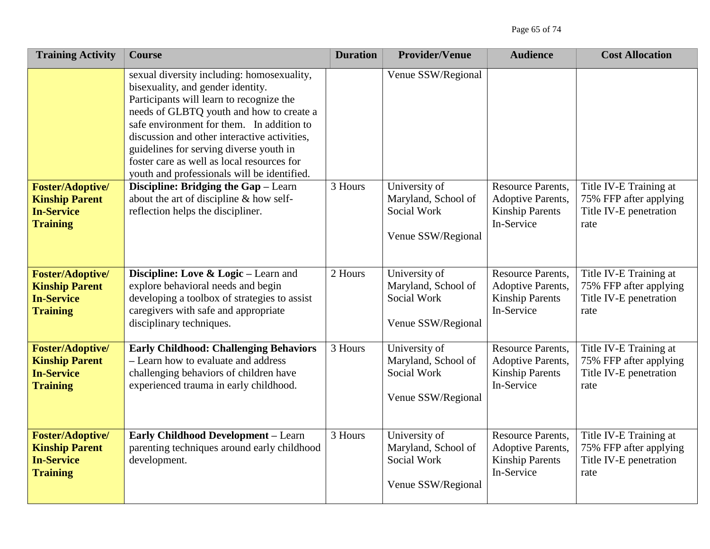| <b>Training Activity</b>                                                                 | <b>Course</b>                                                                                                                                                                                                                                                                                                                                                                                                | <b>Duration</b> | <b>Provider/Venue</b>                                                     | <b>Audience</b>                                                                              | <b>Cost Allocation</b>                                                             |
|------------------------------------------------------------------------------------------|--------------------------------------------------------------------------------------------------------------------------------------------------------------------------------------------------------------------------------------------------------------------------------------------------------------------------------------------------------------------------------------------------------------|-----------------|---------------------------------------------------------------------------|----------------------------------------------------------------------------------------------|------------------------------------------------------------------------------------|
|                                                                                          | sexual diversity including: homosexuality,<br>bisexuality, and gender identity.<br>Participants will learn to recognize the<br>needs of GLBTQ youth and how to create a<br>safe environment for them. In addition to<br>discussion and other interactive activities,<br>guidelines for serving diverse youth in<br>foster care as well as local resources for<br>youth and professionals will be identified. |                 | Venue SSW/Regional                                                        |                                                                                              |                                                                                    |
| <b>Foster/Adoptive/</b><br><b>Kinship Parent</b><br><b>In-Service</b><br><b>Training</b> | Discipline: Bridging the Gap - Learn<br>about the art of discipline & how self-<br>reflection helps the discipliner.                                                                                                                                                                                                                                                                                         | 3 Hours         | University of<br>Maryland, School of<br>Social Work<br>Venue SSW/Regional | <b>Resource Parents,</b><br>Adoptive Parents,<br><b>Kinship Parents</b><br>In-Service        | Title IV-E Training at<br>75% FFP after applying<br>Title IV-E penetration<br>rate |
| <b>Foster/Adoptive/</b><br><b>Kinship Parent</b><br><b>In-Service</b><br><b>Training</b> | Discipline: Love & Logic – Learn and<br>explore behavioral needs and begin<br>developing a toolbox of strategies to assist<br>caregivers with safe and appropriate<br>disciplinary techniques.                                                                                                                                                                                                               | 2 Hours         | University of<br>Maryland, School of<br>Social Work<br>Venue SSW/Regional | <b>Resource Parents,</b><br>Adoptive Parents,<br><b>Kinship Parents</b><br>In-Service        | Title IV-E Training at<br>75% FFP after applying<br>Title IV-E penetration<br>rate |
| <b>Foster/Adoptive/</b><br><b>Kinship Parent</b><br><b>In-Service</b><br><b>Training</b> | <b>Early Childhood: Challenging Behaviors</b><br>- Learn how to evaluate and address<br>challenging behaviors of children have<br>experienced trauma in early childhood.                                                                                                                                                                                                                                     | 3 Hours         | University of<br>Maryland, School of<br>Social Work<br>Venue SSW/Regional | <b>Resource Parents,</b><br><b>Adoptive Parents,</b><br><b>Kinship Parents</b><br>In-Service | Title IV-E Training at<br>75% FFP after applying<br>Title IV-E penetration<br>rate |
| <b>Foster/Adoptive/</b><br><b>Kinship Parent</b><br><b>In-Service</b><br><b>Training</b> | <b>Early Childhood Development - Learn</b><br>parenting techniques around early childhood<br>development.                                                                                                                                                                                                                                                                                                    | 3 Hours         | University of<br>Maryland, School of<br>Social Work<br>Venue SSW/Regional | <b>Resource Parents,</b><br>Adoptive Parents,<br><b>Kinship Parents</b><br>In-Service        | Title IV-E Training at<br>75% FFP after applying<br>Title IV-E penetration<br>rate |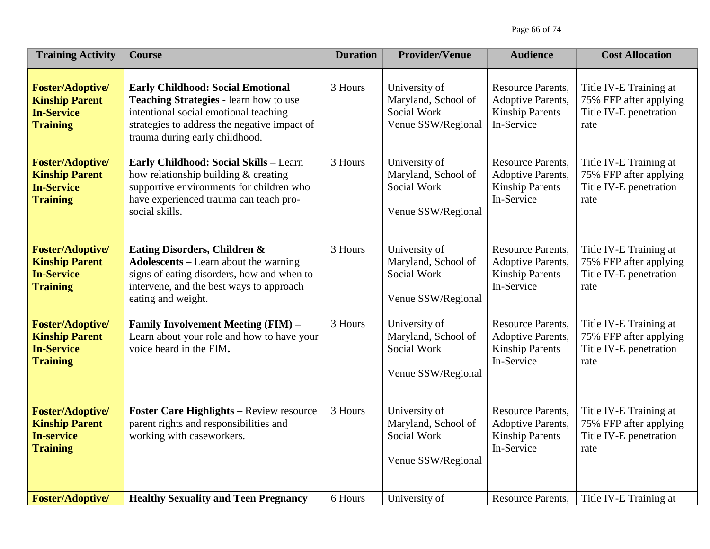| <b>Training Activity</b>                                                                 | <b>Course</b>                                                                                                                                                                                                 | <b>Duration</b> | <b>Provider/Venue</b>                                                     | <b>Audience</b>                                                                              | <b>Cost Allocation</b>                                                             |
|------------------------------------------------------------------------------------------|---------------------------------------------------------------------------------------------------------------------------------------------------------------------------------------------------------------|-----------------|---------------------------------------------------------------------------|----------------------------------------------------------------------------------------------|------------------------------------------------------------------------------------|
|                                                                                          |                                                                                                                                                                                                               |                 |                                                                           |                                                                                              |                                                                                    |
| <b>Foster/Adoptive/</b><br><b>Kinship Parent</b><br><b>In-Service</b><br><b>Training</b> | <b>Early Childhood: Social Emotional</b><br>Teaching Strategies - learn how to use<br>intentional social emotional teaching<br>strategies to address the negative impact of<br>trauma during early childhood. | 3 Hours         | University of<br>Maryland, School of<br>Social Work<br>Venue SSW/Regional | <b>Resource Parents,</b><br><b>Adoptive Parents,</b><br><b>Kinship Parents</b><br>In-Service | Title IV-E Training at<br>75% FFP after applying<br>Title IV-E penetration<br>rate |
| <b>Foster/Adoptive/</b><br><b>Kinship Parent</b><br><b>In-Service</b><br><b>Training</b> | Early Childhood: Social Skills - Learn<br>how relationship building & creating<br>supportive environments for children who<br>have experienced trauma can teach pro-<br>social skills.                        | 3 Hours         | University of<br>Maryland, School of<br>Social Work<br>Venue SSW/Regional | <b>Resource Parents,</b><br><b>Adoptive Parents,</b><br><b>Kinship Parents</b><br>In-Service | Title IV-E Training at<br>75% FFP after applying<br>Title IV-E penetration<br>rate |
| <b>Foster/Adoptive/</b><br><b>Kinship Parent</b><br><b>In-Service</b><br><b>Training</b> | Eating Disorders, Children &<br><b>Adolescents</b> - Learn about the warning<br>signs of eating disorders, how and when to<br>intervene, and the best ways to approach<br>eating and weight.                  | 3 Hours         | University of<br>Maryland, School of<br>Social Work<br>Venue SSW/Regional | <b>Resource Parents,</b><br><b>Adoptive Parents,</b><br><b>Kinship Parents</b><br>In-Service | Title IV-E Training at<br>75% FFP after applying<br>Title IV-E penetration<br>rate |
| <b>Foster/Adoptive/</b><br><b>Kinship Parent</b><br><b>In-Service</b><br><b>Training</b> | Family Involvement Meeting (FIM) -<br>Learn about your role and how to have your<br>voice heard in the FIM.                                                                                                   | 3 Hours         | University of<br>Maryland, School of<br>Social Work<br>Venue SSW/Regional | <b>Resource Parents,</b><br><b>Adoptive Parents,</b><br><b>Kinship Parents</b><br>In-Service | Title IV-E Training at<br>75% FFP after applying<br>Title IV-E penetration<br>rate |
| <b>Foster/Adoptive/</b><br><b>Kinship Parent</b><br><b>In-service</b><br><b>Training</b> | <b>Foster Care Highlights - Review resource</b><br>parent rights and responsibilities and<br>working with caseworkers.                                                                                        | 3 Hours         | University of<br>Maryland, School of<br>Social Work<br>Venue SSW/Regional | <b>Resource Parents,</b><br><b>Adoptive Parents,</b><br><b>Kinship Parents</b><br>In-Service | Title IV-E Training at<br>75% FFP after applying<br>Title IV-E penetration<br>rate |
| <b>Foster/Adoptive/</b>                                                                  | <b>Healthy Sexuality and Teen Pregnancy</b>                                                                                                                                                                   | 6 Hours         | University of                                                             | <b>Resource Parents,</b>                                                                     | Title IV-E Training at                                                             |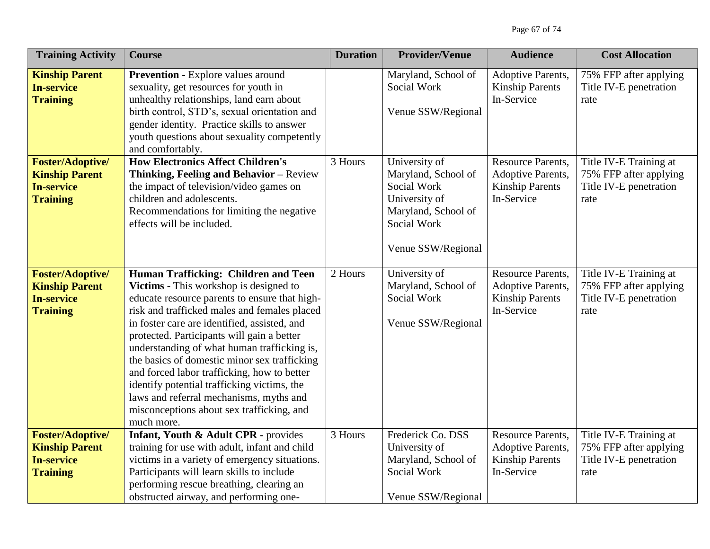| <b>Training Activity</b>                                                                 | <b>Course</b>                                                                                                                                                                                                                                                                                                                                                                                                                                                                                                                                                                    | <b>Duration</b> | <b>Provider/Venue</b>                                                                                                            | <b>Audience</b>                                                                              | <b>Cost Allocation</b>                                                             |
|------------------------------------------------------------------------------------------|----------------------------------------------------------------------------------------------------------------------------------------------------------------------------------------------------------------------------------------------------------------------------------------------------------------------------------------------------------------------------------------------------------------------------------------------------------------------------------------------------------------------------------------------------------------------------------|-----------------|----------------------------------------------------------------------------------------------------------------------------------|----------------------------------------------------------------------------------------------|------------------------------------------------------------------------------------|
| <b>Kinship Parent</b><br><b>In-service</b><br><b>Training</b>                            | <b>Prevention - Explore values around</b><br>sexuality, get resources for youth in<br>unhealthy relationships, land earn about<br>birth control, STD's, sexual orientation and<br>gender identity. Practice skills to answer<br>youth questions about sexuality competently<br>and comfortably.                                                                                                                                                                                                                                                                                  |                 | Maryland, School of<br>Social Work<br>Venue SSW/Regional                                                                         | <b>Adoptive Parents,</b><br><b>Kinship Parents</b><br>In-Service                             | 75% FFP after applying<br>Title IV-E penetration<br>rate                           |
| <b>Foster/Adoptive/</b><br><b>Kinship Parent</b><br><b>In-service</b><br><b>Training</b> | <b>How Electronics Affect Children's</b><br>Thinking, Feeling and Behavior - Review<br>the impact of television/video games on<br>children and adolescents.<br>Recommendations for limiting the negative<br>effects will be included.                                                                                                                                                                                                                                                                                                                                            | 3 Hours         | University of<br>Maryland, School of<br>Social Work<br>University of<br>Maryland, School of<br>Social Work<br>Venue SSW/Regional | <b>Resource Parents,</b><br><b>Adoptive Parents,</b><br><b>Kinship Parents</b><br>In-Service | Title IV-E Training at<br>75% FFP after applying<br>Title IV-E penetration<br>rate |
| <b>Foster/Adoptive/</b><br><b>Kinship Parent</b><br><b>In-service</b><br><b>Training</b> | Human Trafficking: Children and Teen<br>Victims - This workshop is designed to<br>educate resource parents to ensure that high-<br>risk and trafficked males and females placed<br>in foster care are identified, assisted, and<br>protected. Participants will gain a better<br>understanding of what human trafficking is,<br>the basics of domestic minor sex trafficking<br>and forced labor trafficking, how to better<br>identify potential trafficking victims, the<br>laws and referral mechanisms, myths and<br>misconceptions about sex trafficking, and<br>much more. | 2 Hours         | University of<br>Maryland, School of<br>Social Work<br>Venue SSW/Regional                                                        | <b>Resource Parents,</b><br>Adoptive Parents,<br><b>Kinship Parents</b><br>In-Service        | Title IV-E Training at<br>75% FFP after applying<br>Title IV-E penetration<br>rate |
| <b>Foster/Adoptive/</b><br><b>Kinship Parent</b><br><b>In-service</b><br><b>Training</b> | Infant, Youth & Adult CPR - provides<br>training for use with adult, infant and child<br>victims in a variety of emergency situations.<br>Participants will learn skills to include<br>performing rescue breathing, clearing an<br>obstructed airway, and performing one-                                                                                                                                                                                                                                                                                                        | 3 Hours         | Frederick Co. DSS<br>University of<br>Maryland, School of<br>Social Work<br>Venue SSW/Regional                                   | <b>Resource Parents,</b><br><b>Adoptive Parents,</b><br><b>Kinship Parents</b><br>In-Service | Title IV-E Training at<br>75% FFP after applying<br>Title IV-E penetration<br>rate |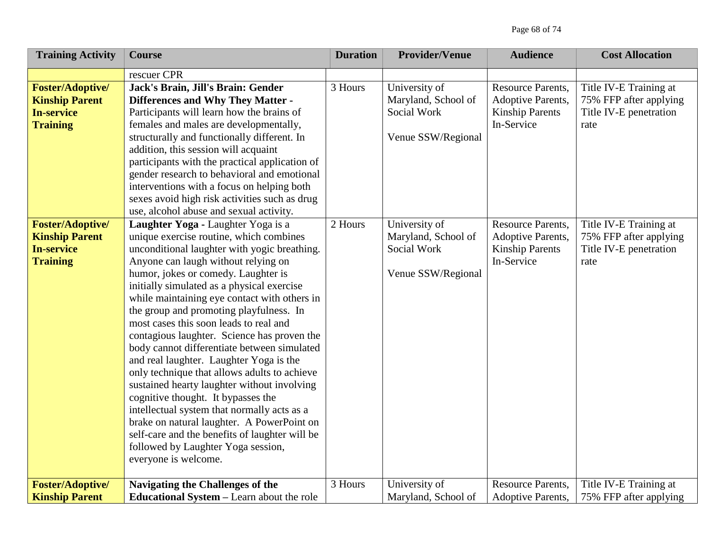| <b>Training Activity</b>                                                                 | <b>Course</b>                                                                                                                                                                                                                                                                                                                                                                                                                                                                                                                                                                                                                                                                                                                                                                                                                                                                             | <b>Duration</b> | <b>Provider/Venue</b>                                                     | <b>Audience</b>                                                                              | <b>Cost Allocation</b>                                                             |
|------------------------------------------------------------------------------------------|-------------------------------------------------------------------------------------------------------------------------------------------------------------------------------------------------------------------------------------------------------------------------------------------------------------------------------------------------------------------------------------------------------------------------------------------------------------------------------------------------------------------------------------------------------------------------------------------------------------------------------------------------------------------------------------------------------------------------------------------------------------------------------------------------------------------------------------------------------------------------------------------|-----------------|---------------------------------------------------------------------------|----------------------------------------------------------------------------------------------|------------------------------------------------------------------------------------|
|                                                                                          | rescuer CPR                                                                                                                                                                                                                                                                                                                                                                                                                                                                                                                                                                                                                                                                                                                                                                                                                                                                               |                 |                                                                           |                                                                                              |                                                                                    |
| <b>Foster/Adoptive/</b><br><b>Kinship Parent</b><br><b>In-service</b><br><b>Training</b> | Jack's Brain, Jill's Brain: Gender<br><b>Differences and Why They Matter -</b><br>Participants will learn how the brains of<br>females and males are developmentally,<br>structurally and functionally different. In<br>addition, this session will acquaint<br>participants with the practical application of<br>gender research to behavioral and emotional<br>interventions with a focus on helping both<br>sexes avoid high risk activities such as drug<br>use, alcohol abuse and sexual activity.                                                                                                                                                                                                                                                                                                                                                                                   | 3 Hours         | University of<br>Maryland, School of<br>Social Work<br>Venue SSW/Regional | <b>Resource Parents,</b><br><b>Adoptive Parents,</b><br><b>Kinship Parents</b><br>In-Service | Title IV-E Training at<br>75% FFP after applying<br>Title IV-E penetration<br>rate |
| <b>Foster/Adoptive/</b><br><b>Kinship Parent</b><br><b>In-service</b><br><b>Training</b> | Laughter Yoga - Laughter Yoga is a<br>unique exercise routine, which combines<br>unconditional laughter with yogic breathing.<br>Anyone can laugh without relying on<br>humor, jokes or comedy. Laughter is<br>initially simulated as a physical exercise<br>while maintaining eye contact with others in<br>the group and promoting playfulness. In<br>most cases this soon leads to real and<br>contagious laughter. Science has proven the<br>body cannot differentiate between simulated<br>and real laughter. Laughter Yoga is the<br>only technique that allows adults to achieve<br>sustained hearty laughter without involving<br>cognitive thought. It bypasses the<br>intellectual system that normally acts as a<br>brake on natural laughter. A PowerPoint on<br>self-care and the benefits of laughter will be<br>followed by Laughter Yoga session,<br>everyone is welcome. | 2 Hours         | University of<br>Maryland, School of<br>Social Work<br>Venue SSW/Regional | <b>Resource Parents,</b><br><b>Adoptive Parents,</b><br><b>Kinship Parents</b><br>In-Service | Title IV-E Training at<br>75% FFP after applying<br>Title IV-E penetration<br>rate |
| <b>Foster/Adoptive/</b><br><b>Kinship Parent</b>                                         | Navigating the Challenges of the<br><b>Educational System – Learn about the role</b>                                                                                                                                                                                                                                                                                                                                                                                                                                                                                                                                                                                                                                                                                                                                                                                                      | 3 Hours         | University of<br>Maryland, School of                                      | <b>Resource Parents,</b><br><b>Adoptive Parents,</b>                                         | Title IV-E Training at<br>75% FFP after applying                                   |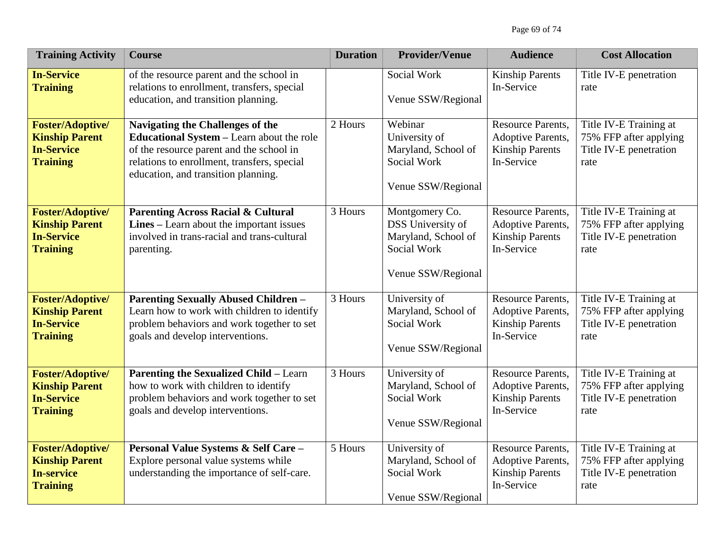| <b>Training Activity</b>                                                                 | <b>Course</b>                                                                                                                                                                                                   | <b>Duration</b> | <b>Provider/Venue</b>                                                                           | <b>Audience</b>                                                                              | <b>Cost Allocation</b>                                                             |
|------------------------------------------------------------------------------------------|-----------------------------------------------------------------------------------------------------------------------------------------------------------------------------------------------------------------|-----------------|-------------------------------------------------------------------------------------------------|----------------------------------------------------------------------------------------------|------------------------------------------------------------------------------------|
| <b>In-Service</b><br><b>Training</b>                                                     | of the resource parent and the school in<br>relations to enrollment, transfers, special<br>education, and transition planning.                                                                                  |                 | Social Work<br>Venue SSW/Regional                                                               | <b>Kinship Parents</b><br>In-Service                                                         | Title IV-E penetration<br>rate                                                     |
| <b>Foster/Adoptive/</b><br><b>Kinship Parent</b><br><b>In-Service</b><br><b>Training</b> | Navigating the Challenges of the<br>Educational System - Learn about the role<br>of the resource parent and the school in<br>relations to enrollment, transfers, special<br>education, and transition planning. | 2 Hours         | Webinar<br>University of<br>Maryland, School of<br>Social Work<br>Venue SSW/Regional            | <b>Resource Parents,</b><br>Adoptive Parents,<br><b>Kinship Parents</b><br>In-Service        | Title IV-E Training at<br>75% FFP after applying<br>Title IV-E penetration<br>rate |
| <b>Foster/Adoptive/</b><br><b>Kinship Parent</b><br><b>In-Service</b><br><b>Training</b> | <b>Parenting Across Racial &amp; Cultural</b><br>Lines – Learn about the important issues<br>involved in trans-racial and trans-cultural<br>parenting.                                                          | 3 Hours         | Montgomery Co.<br>DSS University of<br>Maryland, School of<br>Social Work<br>Venue SSW/Regional | <b>Resource Parents,</b><br>Adoptive Parents,<br><b>Kinship Parents</b><br>In-Service        | Title IV-E Training at<br>75% FFP after applying<br>Title IV-E penetration<br>rate |
| <b>Foster/Adoptive/</b><br><b>Kinship Parent</b><br><b>In-Service</b><br><b>Training</b> | <b>Parenting Sexually Abused Children -</b><br>Learn how to work with children to identify<br>problem behaviors and work together to set<br>goals and develop interventions.                                    | 3 Hours         | University of<br>Maryland, School of<br>Social Work<br>Venue SSW/Regional                       | <b>Resource Parents,</b><br><b>Adoptive Parents,</b><br><b>Kinship Parents</b><br>In-Service | Title IV-E Training at<br>75% FFP after applying<br>Title IV-E penetration<br>rate |
| <b>Foster/Adoptive/</b><br><b>Kinship Parent</b><br><b>In-Service</b><br><b>Training</b> | <b>Parenting the Sexualized Child - Learn</b><br>how to work with children to identify<br>problem behaviors and work together to set<br>goals and develop interventions.                                        | 3 Hours         | University of<br>Maryland, School of<br>Social Work<br>Venue SSW/Regional                       | <b>Resource Parents,</b><br>Adoptive Parents,<br><b>Kinship Parents</b><br>In-Service        | Title IV-E Training at<br>75% FFP after applying<br>Title IV-E penetration<br>rate |
| <b>Foster/Adoptive/</b><br><b>Kinship Parent</b><br><b>In-service</b><br><b>Training</b> | Personal Value Systems & Self Care-<br>Explore personal value systems while<br>understanding the importance of self-care.                                                                                       | 5 Hours         | University of<br>Maryland, School of<br>Social Work<br>Venue SSW/Regional                       | <b>Resource Parents,</b><br><b>Adoptive Parents,</b><br><b>Kinship Parents</b><br>In-Service | Title IV-E Training at<br>75% FFP after applying<br>Title IV-E penetration<br>rate |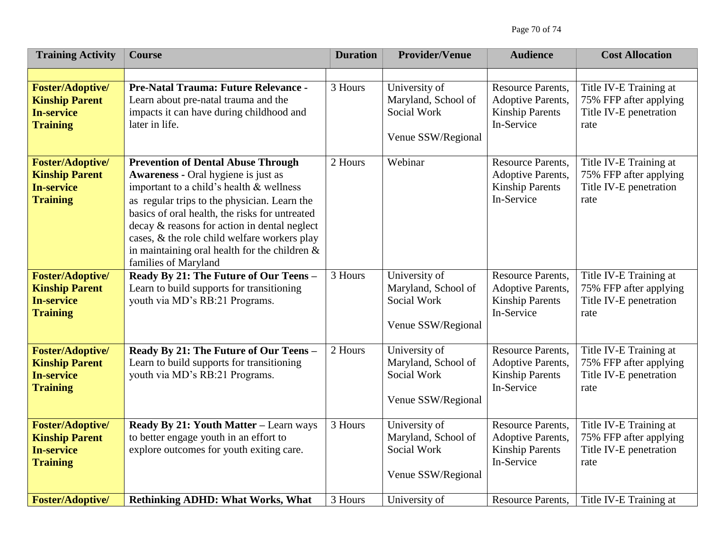| <b>Training Activity</b>                                                                 | <b>Course</b>                                                                                                                                                                                                                                                                                                                                                                                                     | <b>Duration</b> | <b>Provider/Venue</b>                                                     | <b>Audience</b>                                                                              | <b>Cost Allocation</b>                                                             |
|------------------------------------------------------------------------------------------|-------------------------------------------------------------------------------------------------------------------------------------------------------------------------------------------------------------------------------------------------------------------------------------------------------------------------------------------------------------------------------------------------------------------|-----------------|---------------------------------------------------------------------------|----------------------------------------------------------------------------------------------|------------------------------------------------------------------------------------|
|                                                                                          |                                                                                                                                                                                                                                                                                                                                                                                                                   |                 |                                                                           |                                                                                              |                                                                                    |
| <b>Foster/Adoptive/</b><br><b>Kinship Parent</b><br><b>In-service</b><br><b>Training</b> | Pre-Natal Trauma: Future Relevance -<br>Learn about pre-natal trauma and the<br>impacts it can have during childhood and<br>later in life.                                                                                                                                                                                                                                                                        | 3 Hours         | University of<br>Maryland, School of<br>Social Work<br>Venue SSW/Regional | <b>Resource Parents,</b><br><b>Adoptive Parents,</b><br><b>Kinship Parents</b><br>In-Service | Title IV-E Training at<br>75% FFP after applying<br>Title IV-E penetration<br>rate |
| <b>Foster/Adoptive/</b><br><b>Kinship Parent</b><br><b>In-service</b><br><b>Training</b> | <b>Prevention of Dental Abuse Through</b><br><b>Awareness - Oral hygiene is just as</b><br>important to a child's health & wellness<br>as regular trips to the physician. Learn the<br>basics of oral health, the risks for untreated<br>decay & reasons for action in dental neglect<br>cases, & the role child welfare workers play<br>in maintaining oral health for the children $\&$<br>families of Maryland | 2 Hours         | Webinar                                                                   | <b>Resource Parents,</b><br>Adoptive Parents,<br><b>Kinship Parents</b><br>In-Service        | Title IV-E Training at<br>75% FFP after applying<br>Title IV-E penetration<br>rate |
| <b>Foster/Adoptive/</b><br><b>Kinship Parent</b><br><b>In-service</b><br><b>Training</b> | Ready By 21: The Future of Our Teens -<br>Learn to build supports for transitioning<br>youth via MD's RB:21 Programs.                                                                                                                                                                                                                                                                                             | 3 Hours         | University of<br>Maryland, School of<br>Social Work<br>Venue SSW/Regional | <b>Resource Parents,</b><br>Adoptive Parents,<br><b>Kinship Parents</b><br>In-Service        | Title IV-E Training at<br>75% FFP after applying<br>Title IV-E penetration<br>rate |
| <b>Foster/Adoptive/</b><br><b>Kinship Parent</b><br><b>In-service</b><br><b>Training</b> | Ready By 21: The Future of Our Teens -<br>Learn to build supports for transitioning<br>youth via MD's RB:21 Programs.                                                                                                                                                                                                                                                                                             | 2 Hours         | University of<br>Maryland, School of<br>Social Work<br>Venue SSW/Regional | <b>Resource Parents,</b><br>Adoptive Parents,<br><b>Kinship Parents</b><br>In-Service        | Title IV-E Training at<br>75% FFP after applying<br>Title IV-E penetration<br>rate |
| <b>Foster/Adoptive/</b><br><b>Kinship Parent</b><br><b>In-service</b><br><b>Training</b> | Ready By 21: Youth Matter - Learn ways<br>to better engage youth in an effort to<br>explore outcomes for youth exiting care.                                                                                                                                                                                                                                                                                      | 3 Hours         | University of<br>Maryland, School of<br>Social Work<br>Venue SSW/Regional | <b>Resource Parents,</b><br><b>Adoptive Parents,</b><br><b>Kinship Parents</b><br>In-Service | Title IV-E Training at<br>75% FFP after applying<br>Title IV-E penetration<br>rate |
| <b>Foster/Adoptive/</b>                                                                  | <b>Rethinking ADHD: What Works, What</b>                                                                                                                                                                                                                                                                                                                                                                          | 3 Hours         | University of                                                             | <b>Resource Parents,</b>                                                                     | Title IV-E Training at                                                             |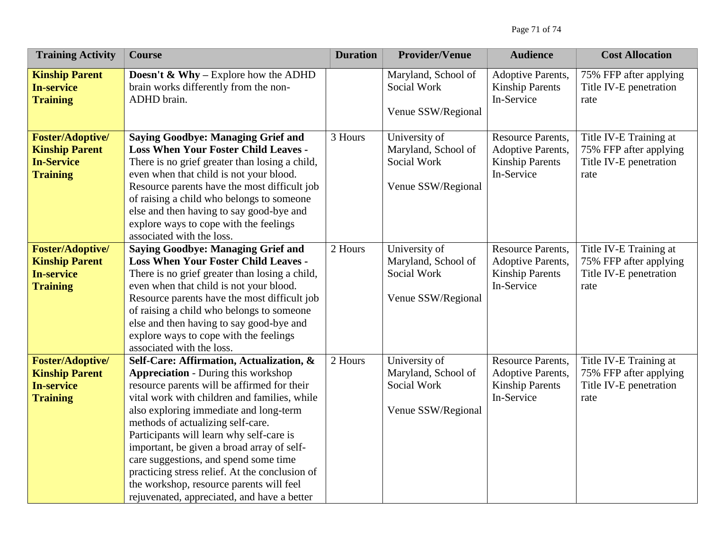| <b>Training Activity</b>                                                                 | <b>Course</b>                                                                                                                                                                                                                                                                                                                                                                                                                                                                                                                                        | <b>Duration</b> | <b>Provider/Venue</b>                                                     | <b>Audience</b>                                                                       | <b>Cost Allocation</b>                                                             |
|------------------------------------------------------------------------------------------|------------------------------------------------------------------------------------------------------------------------------------------------------------------------------------------------------------------------------------------------------------------------------------------------------------------------------------------------------------------------------------------------------------------------------------------------------------------------------------------------------------------------------------------------------|-----------------|---------------------------------------------------------------------------|---------------------------------------------------------------------------------------|------------------------------------------------------------------------------------|
| <b>Kinship Parent</b><br><b>In-service</b><br><b>Training</b>                            | <b>Doesn't &amp; Why</b> – Explore how the ADHD<br>brain works differently from the non-<br>ADHD brain.                                                                                                                                                                                                                                                                                                                                                                                                                                              |                 | Maryland, School of<br>Social Work<br>Venue SSW/Regional                  | Adoptive Parents,<br><b>Kinship Parents</b><br>In-Service                             | 75% FFP after applying<br>Title IV-E penetration<br>rate                           |
| <b>Foster/Adoptive/</b><br><b>Kinship Parent</b><br><b>In-Service</b><br><b>Training</b> | <b>Saying Goodbye: Managing Grief and</b><br><b>Loss When Your Foster Child Leaves -</b><br>There is no grief greater than losing a child,<br>even when that child is not your blood.<br>Resource parents have the most difficult job<br>of raising a child who belongs to someone<br>else and then having to say good-bye and<br>explore ways to cope with the feelings<br>associated with the loss.                                                                                                                                                | 3 Hours         | University of<br>Maryland, School of<br>Social Work<br>Venue SSW/Regional | <b>Resource Parents,</b><br>Adoptive Parents,<br><b>Kinship Parents</b><br>In-Service | Title IV-E Training at<br>75% FFP after applying<br>Title IV-E penetration<br>rate |
| <b>Foster/Adoptive/</b><br><b>Kinship Parent</b><br><b>In-service</b><br><b>Training</b> | <b>Saying Goodbye: Managing Grief and</b><br><b>Loss When Your Foster Child Leaves -</b><br>There is no grief greater than losing a child,<br>even when that child is not your blood.<br>Resource parents have the most difficult job<br>of raising a child who belongs to someone<br>else and then having to say good-bye and<br>explore ways to cope with the feelings<br>associated with the loss.                                                                                                                                                | 2 Hours         | University of<br>Maryland, School of<br>Social Work<br>Venue SSW/Regional | <b>Resource Parents,</b><br>Adoptive Parents,<br><b>Kinship Parents</b><br>In-Service | Title IV-E Training at<br>75% FFP after applying<br>Title IV-E penetration<br>rate |
| <b>Foster/Adoptive/</b><br><b>Kinship Parent</b><br><b>In-service</b><br><b>Training</b> | Self-Care: Affirmation, Actualization, &<br><b>Appreciation - During this workshop</b><br>resource parents will be affirmed for their<br>vital work with children and families, while<br>also exploring immediate and long-term<br>methods of actualizing self-care.<br>Participants will learn why self-care is<br>important, be given a broad array of self-<br>care suggestions, and spend some time<br>practicing stress relief. At the conclusion of<br>the workshop, resource parents will feel<br>rejuvenated, appreciated, and have a better | 2 Hours         | University of<br>Maryland, School of<br>Social Work<br>Venue SSW/Regional | <b>Resource Parents,</b><br>Adoptive Parents,<br><b>Kinship Parents</b><br>In-Service | Title IV-E Training at<br>75% FFP after applying<br>Title IV-E penetration<br>rate |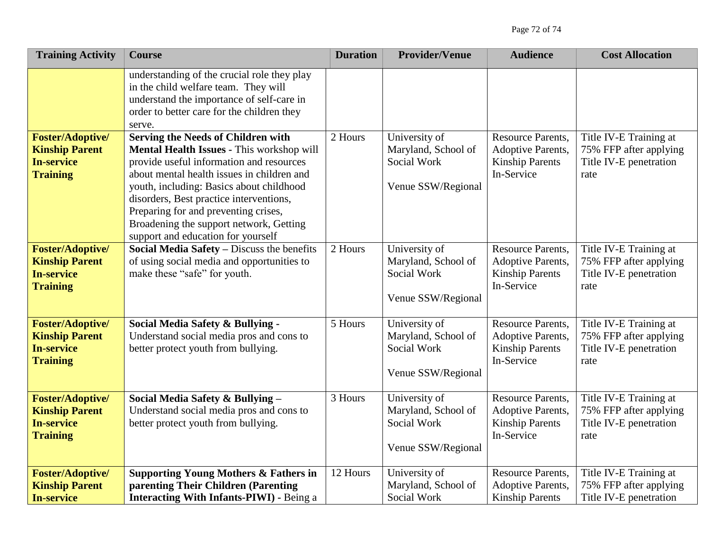| <b>Training Activity</b>                                                                 | <b>Course</b>                                                                                                                                                                                                                                                                                                                                                                                    | <b>Duration</b> | <b>Provider/Venue</b>                                                     | <b>Audience</b>                                                                              | <b>Cost Allocation</b>                                                             |
|------------------------------------------------------------------------------------------|--------------------------------------------------------------------------------------------------------------------------------------------------------------------------------------------------------------------------------------------------------------------------------------------------------------------------------------------------------------------------------------------------|-----------------|---------------------------------------------------------------------------|----------------------------------------------------------------------------------------------|------------------------------------------------------------------------------------|
|                                                                                          | understanding of the crucial role they play<br>in the child welfare team. They will<br>understand the importance of self-care in<br>order to better care for the children they<br>serve.                                                                                                                                                                                                         |                 |                                                                           |                                                                                              |                                                                                    |
| <b>Foster/Adoptive/</b><br><b>Kinship Parent</b><br><b>In-service</b><br><b>Training</b> | <b>Serving the Needs of Children with</b><br>Mental Health Issues - This workshop will<br>provide useful information and resources<br>about mental health issues in children and<br>youth, including: Basics about childhood<br>disorders, Best practice interventions,<br>Preparing for and preventing crises,<br>Broadening the support network, Getting<br>support and education for yourself | 2 Hours         | University of<br>Maryland, School of<br>Social Work<br>Venue SSW/Regional | <b>Resource Parents,</b><br><b>Adoptive Parents,</b><br><b>Kinship Parents</b><br>In-Service | Title IV-E Training at<br>75% FFP after applying<br>Title IV-E penetration<br>rate |
| <b>Foster/Adoptive/</b><br><b>Kinship Parent</b><br><b>In-service</b><br><b>Training</b> | Social Media Safety - Discuss the benefits<br>of using social media and opportunities to<br>make these "safe" for youth.                                                                                                                                                                                                                                                                         | 2 Hours         | University of<br>Maryland, School of<br>Social Work<br>Venue SSW/Regional | <b>Resource Parents,</b><br><b>Adoptive Parents,</b><br><b>Kinship Parents</b><br>In-Service | Title IV-E Training at<br>75% FFP after applying<br>Title IV-E penetration<br>rate |
| <b>Foster/Adoptive/</b><br><b>Kinship Parent</b><br><b>In-service</b><br><b>Training</b> | Social Media Safety & Bullying -<br>Understand social media pros and cons to<br>better protect youth from bullying.                                                                                                                                                                                                                                                                              | 5 Hours         | University of<br>Maryland, School of<br>Social Work<br>Venue SSW/Regional | <b>Resource Parents,</b><br><b>Adoptive Parents,</b><br><b>Kinship Parents</b><br>In-Service | Title IV-E Training at<br>75% FFP after applying<br>Title IV-E penetration<br>rate |
| <b>Foster/Adoptive/</b><br><b>Kinship Parent</b><br><b>In-service</b><br><b>Training</b> | Social Media Safety & Bullying -<br>Understand social media pros and cons to<br>better protect youth from bullying.                                                                                                                                                                                                                                                                              | 3 Hours         | University of<br>Maryland, School of<br>Social Work<br>Venue SSW/Regional | <b>Resource Parents,</b><br><b>Adoptive Parents,</b><br><b>Kinship Parents</b><br>In-Service | Title IV-E Training at<br>75% FFP after applying<br>Title IV-E penetration<br>rate |
| <b>Foster/Adoptive/</b><br><b>Kinship Parent</b><br><b>In-service</b>                    | <b>Supporting Young Mothers &amp; Fathers in</b><br>parenting Their Children (Parenting<br><b>Interacting With Infants-PIWI) - Being a</b>                                                                                                                                                                                                                                                       | 12 Hours        | University of<br>Maryland, School of<br>Social Work                       | <b>Resource Parents,</b><br><b>Adoptive Parents,</b><br><b>Kinship Parents</b>               | Title IV-E Training at<br>75% FFP after applying<br>Title IV-E penetration         |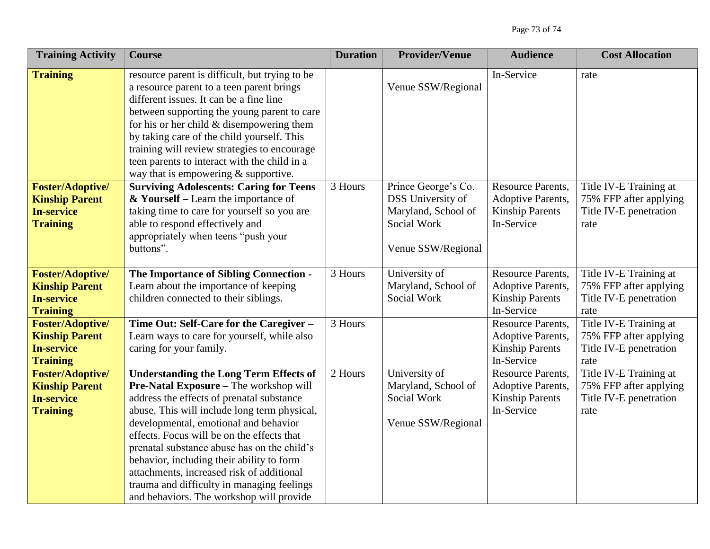| <b>Training Activity</b>                                                                 | <b>Course</b>                                                                                                                                                                                                                                                                                                                                                                                                                                                                                                  | <b>Duration</b> | <b>Provider/Venue</b>                                                                                       | <b>Audience</b>                                                                              | <b>Cost Allocation</b>                                                             |
|------------------------------------------------------------------------------------------|----------------------------------------------------------------------------------------------------------------------------------------------------------------------------------------------------------------------------------------------------------------------------------------------------------------------------------------------------------------------------------------------------------------------------------------------------------------------------------------------------------------|-----------------|-------------------------------------------------------------------------------------------------------------|----------------------------------------------------------------------------------------------|------------------------------------------------------------------------------------|
| <b>Training</b>                                                                          | resource parent is difficult, but trying to be<br>a resource parent to a teen parent brings<br>different issues. It can be a fine line<br>between supporting the young parent to care<br>for his or her child $&$ disempowering them<br>by taking care of the child yourself. This<br>training will review strategies to encourage<br>teen parents to interact with the child in a<br>way that is empowering $&$ supportive.                                                                                   |                 | Venue SSW/Regional                                                                                          | In-Service                                                                                   | rate                                                                               |
| <b>Foster/Adoptive/</b><br><b>Kinship Parent</b><br><b>In-service</b><br><b>Training</b> | <b>Surviving Adolescents: Caring for Teens</b><br>$& Yourself - Learn the importance of$<br>taking time to care for yourself so you are<br>able to respond effectively and<br>appropriately when teens "push your<br>buttons".                                                                                                                                                                                                                                                                                 | 3 Hours         | Prince George's Co.<br><b>DSS</b> University of<br>Maryland, School of<br>Social Work<br>Venue SSW/Regional | Resource Parents,<br>Adoptive Parents,<br><b>Kinship Parents</b><br>In-Service               | Title IV-E Training at<br>75% FFP after applying<br>Title IV-E penetration<br>rate |
| <b>Foster/Adoptive/</b><br><b>Kinship Parent</b><br><b>In-service</b><br><b>Training</b> | The Importance of Sibling Connection -<br>Learn about the importance of keeping<br>children connected to their siblings.                                                                                                                                                                                                                                                                                                                                                                                       | 3 Hours         | University of<br>Maryland, School of<br>Social Work                                                         | Resource Parents,<br><b>Adoptive Parents,</b><br><b>Kinship Parents</b><br>In-Service        | Title IV-E Training at<br>75% FFP after applying<br>Title IV-E penetration<br>rate |
| <b>Foster/Adoptive/</b><br><b>Kinship Parent</b><br><b>In-service</b><br><b>Training</b> | Time Out: Self-Care for the Caregiver -<br>Learn ways to care for yourself, while also<br>caring for your family.                                                                                                                                                                                                                                                                                                                                                                                              | 3 Hours         |                                                                                                             | <b>Resource Parents,</b><br><b>Adoptive Parents,</b><br><b>Kinship Parents</b><br>In-Service | Title IV-E Training at<br>75% FFP after applying<br>Title IV-E penetration<br>rate |
| <b>Foster/Adoptive/</b><br><b>Kinship Parent</b><br><b>In-service</b><br><b>Training</b> | <b>Understanding the Long Term Effects of</b><br>Pre-Natal Exposure - The workshop will<br>address the effects of prenatal substance<br>abuse. This will include long term physical,<br>developmental, emotional and behavior<br>effects. Focus will be on the effects that<br>prenatal substance abuse has on the child's<br>behavior, including their ability to form<br>attachments, increased risk of additional<br>trauma and difficulty in managing feelings<br>and behaviors. The workshop will provide | 2 Hours         | University of<br>Maryland, School of<br>Social Work<br>Venue SSW/Regional                                   | <b>Resource Parents,</b><br><b>Adoptive Parents,</b><br><b>Kinship Parents</b><br>In-Service | Title IV-E Training at<br>75% FFP after applying<br>Title IV-E penetration<br>rate |